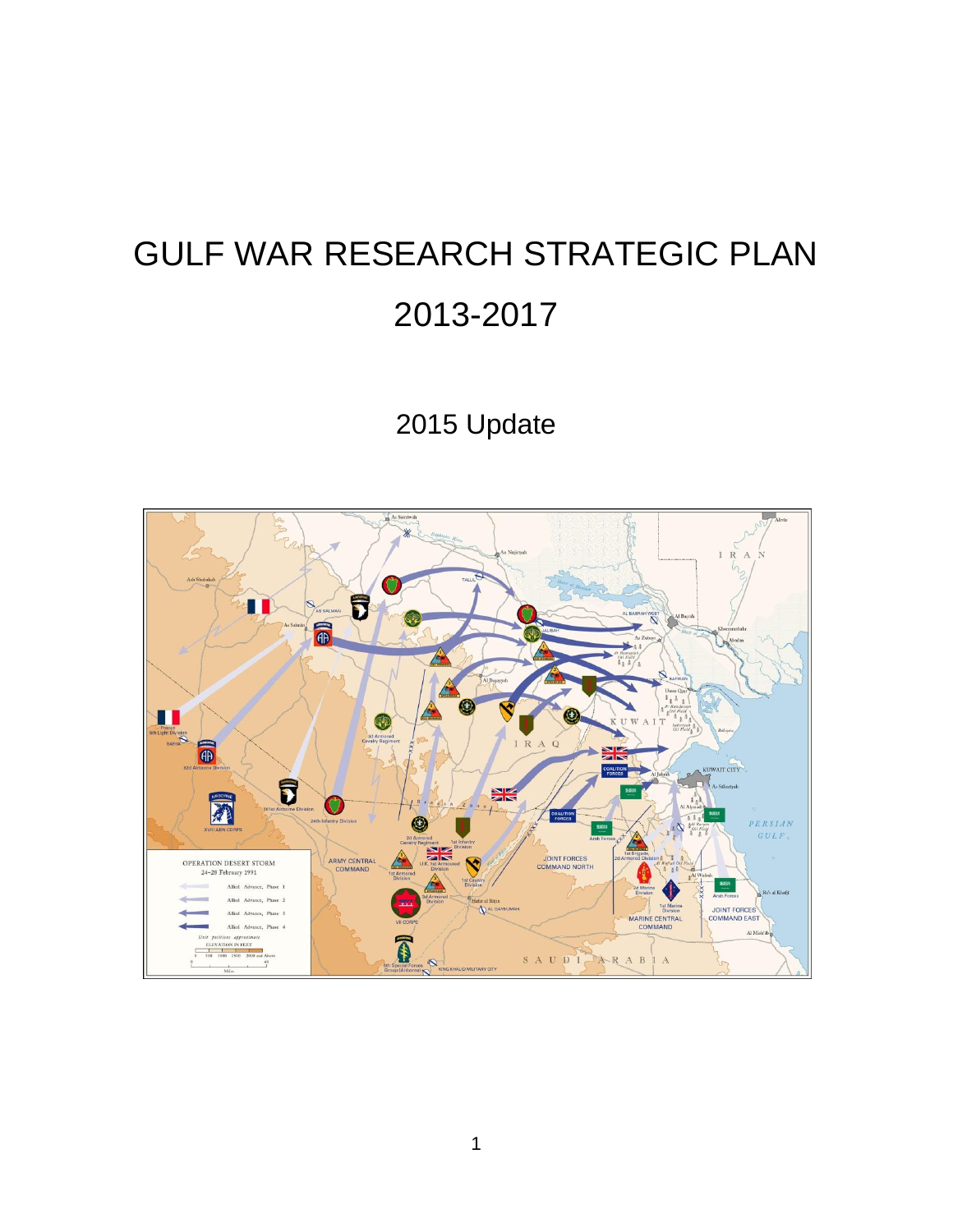# GULF WAR RESEARCH STRATEGIC PLAN 2013-2017

# 2015 Update

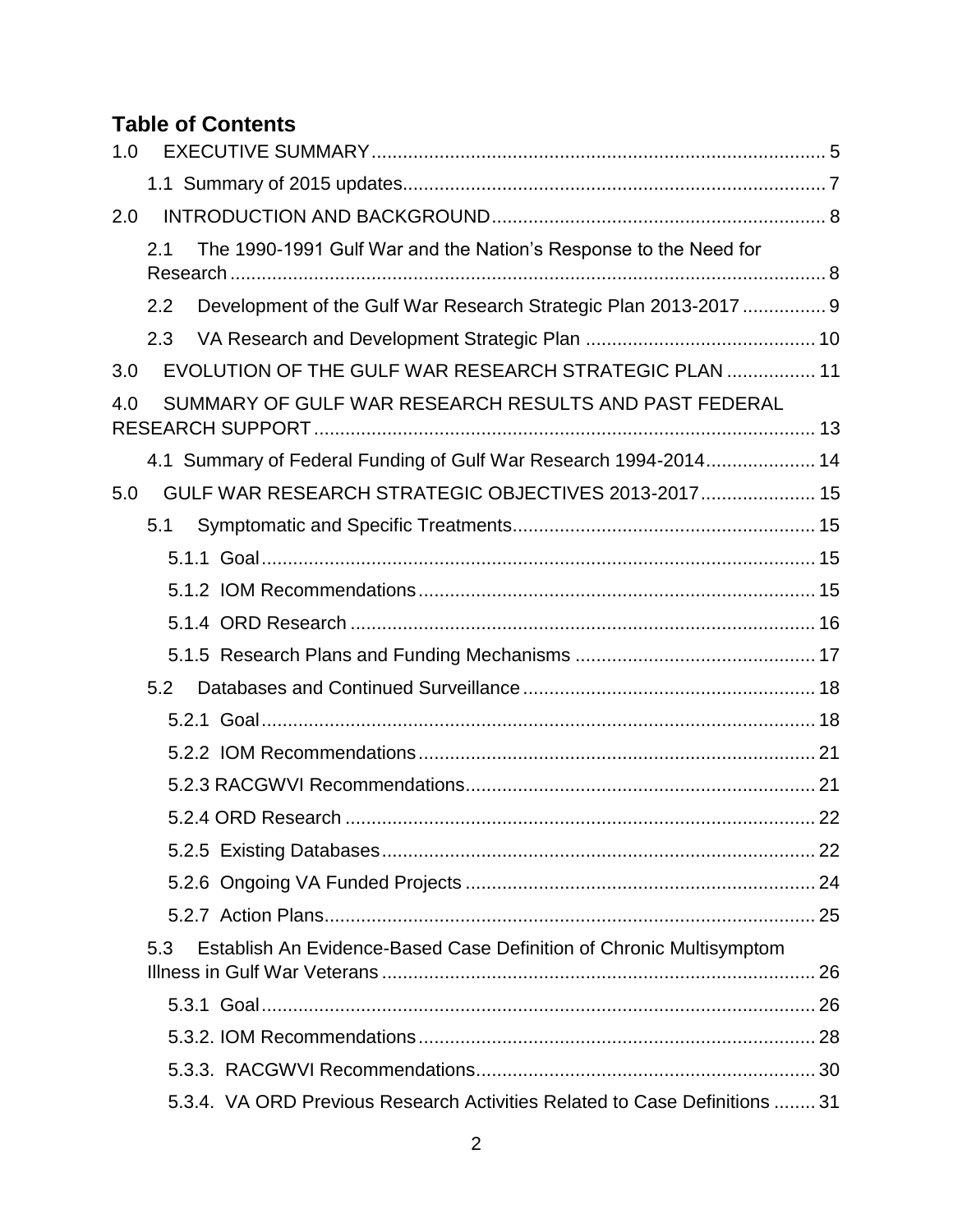# **Table of Contents**

| 1.0 |                                                                            |  |
|-----|----------------------------------------------------------------------------|--|
|     |                                                                            |  |
| 2.0 |                                                                            |  |
|     | The 1990-1991 Gulf War and the Nation's Response to the Need for<br>2.1    |  |
|     |                                                                            |  |
|     | Development of the Gulf War Research Strategic Plan 2013-2017  9<br>2.2    |  |
|     | 2.3                                                                        |  |
| 3.0 | EVOLUTION OF THE GULF WAR RESEARCH STRATEGIC PLAN  11                      |  |
| 4.0 | SUMMARY OF GULF WAR RESEARCH RESULTS AND PAST FEDERAL                      |  |
|     | 4.1 Summary of Federal Funding of Gulf War Research 1994-2014 14           |  |
| 5.0 | GULF WAR RESEARCH STRATEGIC OBJECTIVES 2013-2017 15                        |  |
|     | 5.1                                                                        |  |
|     |                                                                            |  |
|     |                                                                            |  |
|     |                                                                            |  |
|     |                                                                            |  |
|     | 5.2                                                                        |  |
|     |                                                                            |  |
|     |                                                                            |  |
|     |                                                                            |  |
|     |                                                                            |  |
|     |                                                                            |  |
|     |                                                                            |  |
|     |                                                                            |  |
|     | Establish An Evidence-Based Case Definition of Chronic Multisymptom<br>5.3 |  |
|     |                                                                            |  |
|     |                                                                            |  |
|     |                                                                            |  |
|     |                                                                            |  |
|     | 5.3.4. VA ORD Previous Research Activities Related to Case Definitions  31 |  |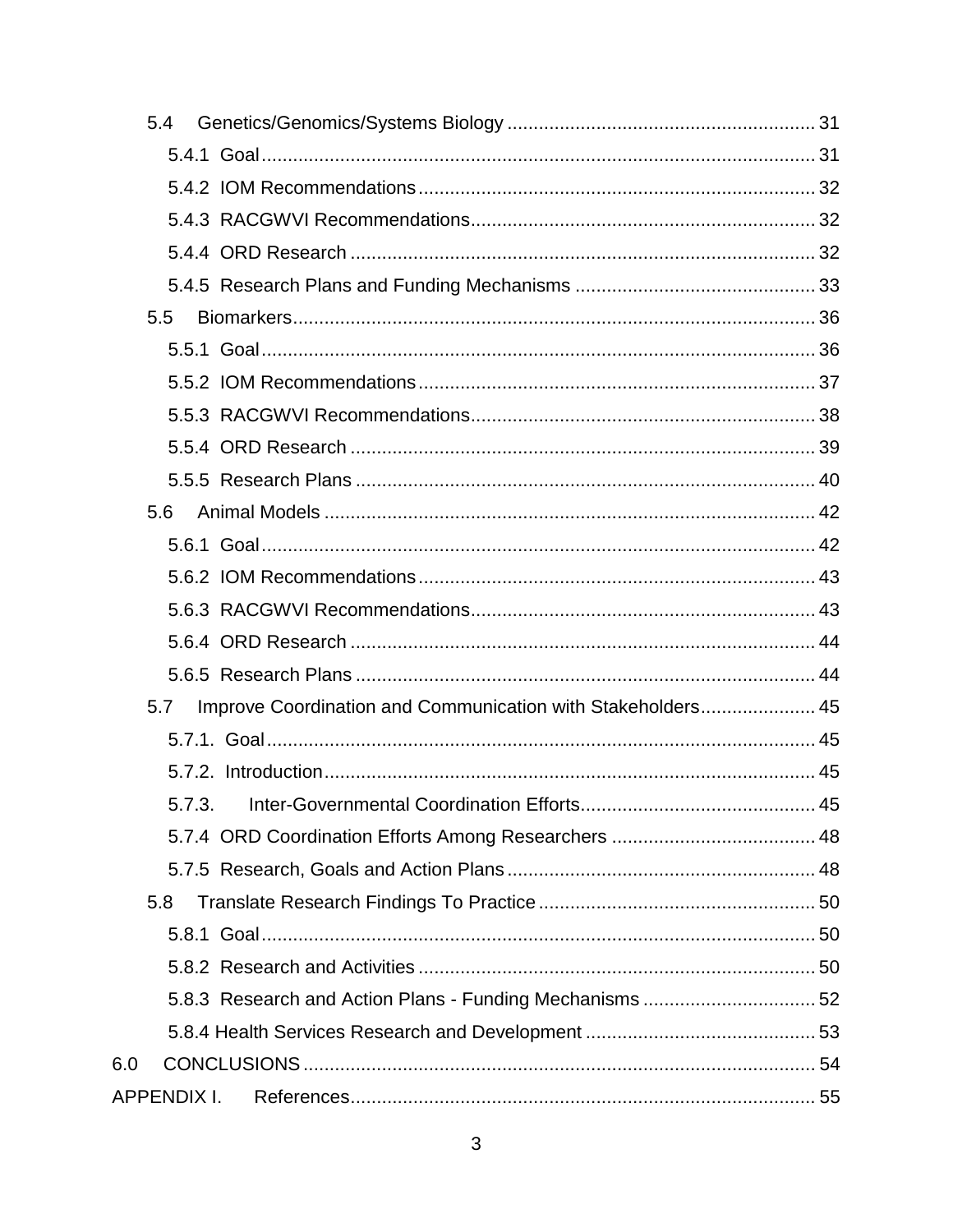| 5.4                                                                |  |
|--------------------------------------------------------------------|--|
|                                                                    |  |
|                                                                    |  |
|                                                                    |  |
|                                                                    |  |
|                                                                    |  |
| 5.5                                                                |  |
|                                                                    |  |
|                                                                    |  |
|                                                                    |  |
|                                                                    |  |
|                                                                    |  |
| 5.6                                                                |  |
|                                                                    |  |
|                                                                    |  |
|                                                                    |  |
|                                                                    |  |
|                                                                    |  |
| Improve Coordination and Communication with Stakeholders 45<br>5.7 |  |
|                                                                    |  |
|                                                                    |  |
|                                                                    |  |
|                                                                    |  |
|                                                                    |  |
| 5.8                                                                |  |
|                                                                    |  |
|                                                                    |  |
|                                                                    |  |
|                                                                    |  |
| 6.0                                                                |  |
| <b>APPENDIX I.</b>                                                 |  |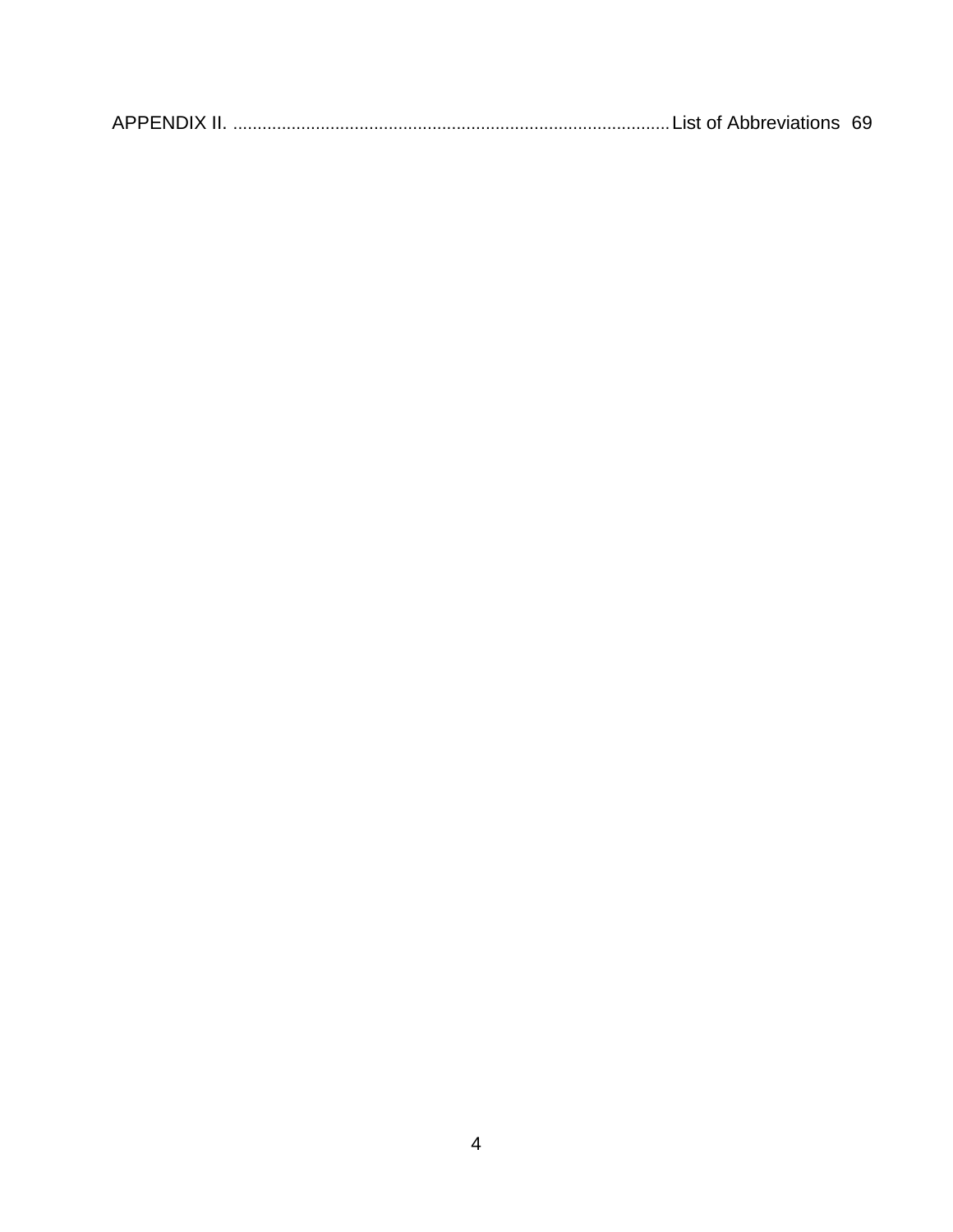|--|--|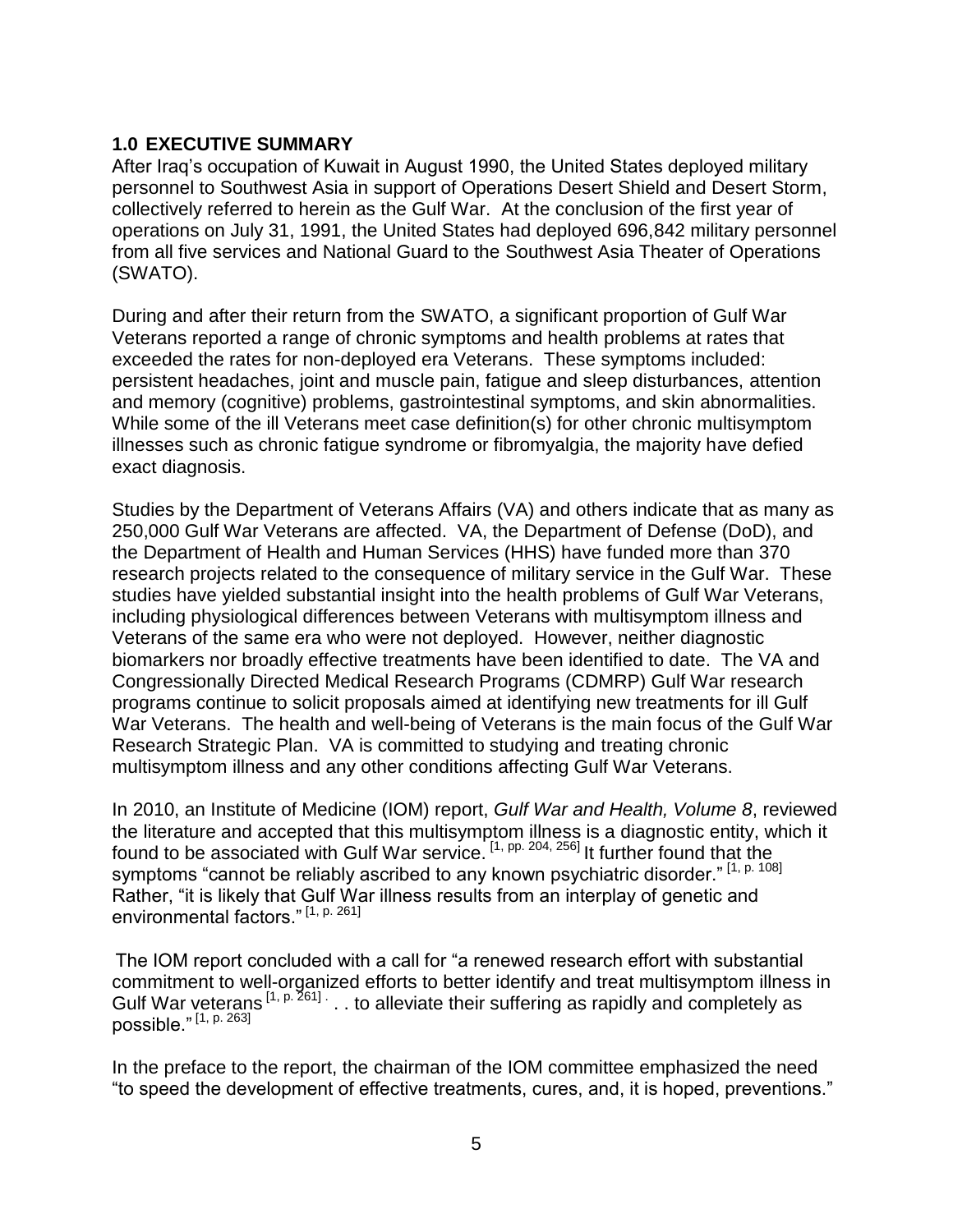#### <span id="page-4-0"></span>**1.0 EXECUTIVE SUMMARY**

After Iraq's occupation of Kuwait in August 1990, the United States deployed military personnel to Southwest Asia in support of Operations Desert Shield and Desert Storm, collectively referred to herein as the Gulf War. At the conclusion of the first year of operations on July 31, 1991, the United States had deployed 696,842 military personnel from all five services and National Guard to the Southwest Asia Theater of Operations (SWATO).

During and after their return from the SWATO, a significant proportion of Gulf War Veterans reported a range of chronic symptoms and health problems at rates that exceeded the rates for non-deployed era Veterans. These symptoms included: persistent headaches, joint and muscle pain, fatigue and sleep disturbances, attention and memory (cognitive) problems, gastrointestinal symptoms, and skin abnormalities. While some of the ill Veterans meet case definition(s) for other chronic multisymptom illnesses such as chronic fatigue syndrome or fibromyalgia, the majority have defied exact diagnosis.

Studies by the Department of Veterans Affairs (VA) and others indicate that as many as 250,000 Gulf War Veterans are affected. VA, the Department of Defense (DoD), and the Department of Health and Human Services (HHS) have funded more than 370 research projects related to the consequence of military service in the Gulf War. These studies have yielded substantial insight into the health problems of Gulf War Veterans, including physiological differences between Veterans with multisymptom illness and Veterans of the same era who were not deployed. However, neither diagnostic biomarkers nor broadly effective treatments have been identified to date. The VA and Congressionally Directed Medical Research Programs (CDMRP) Gulf War research programs continue to solicit proposals aimed at identifying new treatments for ill Gulf War Veterans. The health and well-being of Veterans is the main focus of the Gulf War Research Strategic Plan. VA is committed to studying and treating chronic multisymptom illness and any other conditions affecting Gulf War Veterans.

In 2010, an Institute of Medicine (IOM) report, *Gulf War and Health, Volume 8*, reviewed the literature and accepted that this multisymptom illness is a diagnostic entity, which it found to be associated with Gulf War service.<sup>[1, pp. 204, 256]</sup> It further found that the symptoms "cannot be reliably ascribed to any known psychiatric disorder."<sup>[1, p. 108]</sup> Rather, "it is likely that Gulf War illness results from an interplay of genetic and environmental factors." [1, p. 261]

The IOM report concluded with a call for "a renewed research effort with substantial commitment to well-organized efforts to better identify and treat multisymptom illness in Gulf War veterans  $[1, p. 261]$ ... to alleviate their suffering as rapidly and completely as possible." [1, p. 263]

In the preface to the report, the chairman of the IOM committee emphasized the need "to speed the development of effective treatments, cures, and, it is hoped, preventions."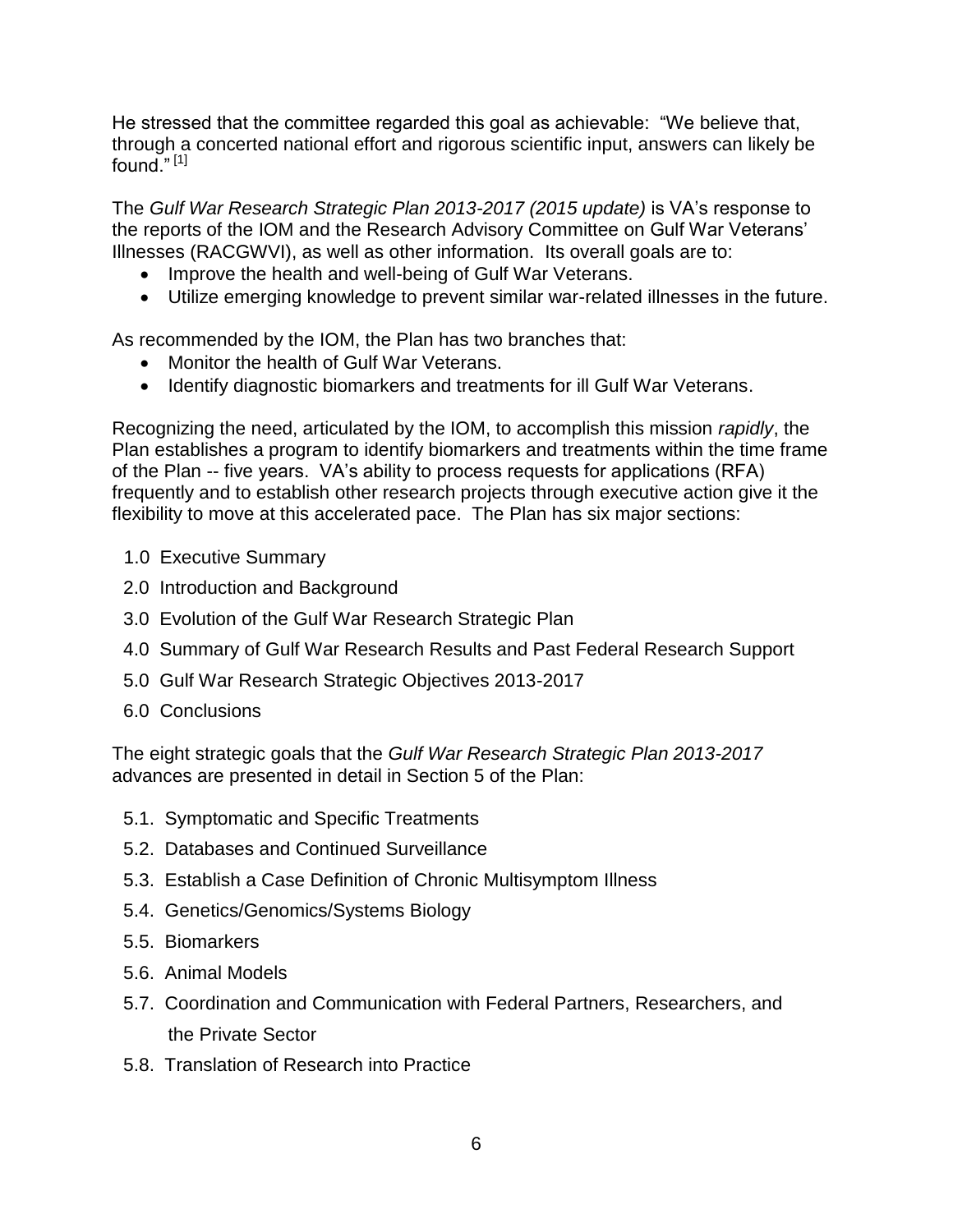He stressed that the committee regarded this goal as achievable: "We believe that, through a concerted national effort and rigorous scientific input, answers can likely be found." [1]

The *Gulf War Research Strategic Plan 2013-2017 (2015 update)* is VA's response to the reports of the IOM and the Research Advisory Committee on Gulf War Veterans' Illnesses (RACGWVI), as well as other information. Its overall goals are to:

- Improve the health and well-being of Gulf War Veterans.
- Utilize emerging knowledge to prevent similar war-related illnesses in the future.

As recommended by the IOM, the Plan has two branches that:

- Monitor the health of Gulf War Veterans.
- Identify diagnostic biomarkers and treatments for ill Gulf War Veterans.

Recognizing the need, articulated by the IOM, to accomplish this mission *rapidly*, the Plan establishes a program to identify biomarkers and treatments within the time frame of the Plan -- five years. VA's ability to process requests for applications (RFA) frequently and to establish other research projects through executive action give it the flexibility to move at this accelerated pace. The Plan has six major sections:

- 1.0 Executive Summary
- 2.0 Introduction and Background
- 3.0 Evolution of the Gulf War Research Strategic Plan
- 4.0 Summary of Gulf War Research Results and Past Federal Research Support
- 5.0 Gulf War Research Strategic Objectives 2013-2017
- 6.0 Conclusions

The eight strategic goals that the *Gulf War Research Strategic Plan 2013-2017*  advances are presented in detail in Section 5 of the Plan:

- 5.1. Symptomatic and Specific Treatments
- 5.2. Databases and Continued Surveillance
- 5.3. Establish a Case Definition of Chronic Multisymptom Illness
- 5.4. Genetics/Genomics/Systems Biology
- 5.5. Biomarkers
- 5.6. Animal Models
- 5.7. Coordination and Communication with Federal Partners, Researchers, and the Private Sector
- 5.8. Translation of Research into Practice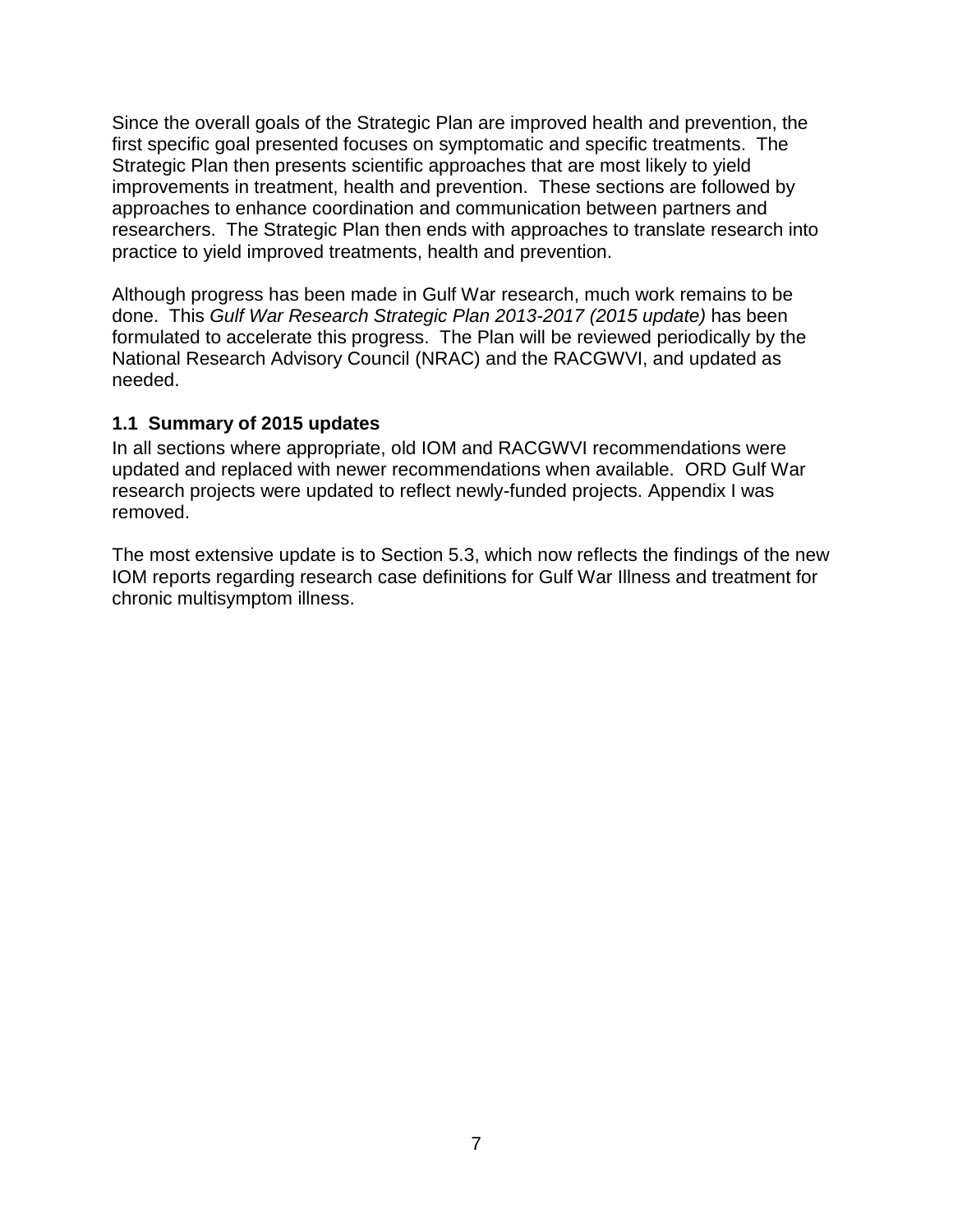Since the overall goals of the Strategic Plan are improved health and prevention, the first specific goal presented focuses on symptomatic and specific treatments. The Strategic Plan then presents scientific approaches that are most likely to yield improvements in treatment, health and prevention. These sections are followed by approaches to enhance coordination and communication between partners and researchers. The Strategic Plan then ends with approaches to translate research into practice to yield improved treatments, health and prevention.

Although progress has been made in Gulf War research, much work remains to be done. This *Gulf War Research Strategic Plan 2013-2017 (2015 update)* has been formulated to accelerate this progress. The Plan will be reviewed periodically by the National Research Advisory Council (NRAC) and the RACGWVI, and updated as needed.

#### <span id="page-6-0"></span>**1.1 Summary of 2015 updates**

In all sections where appropriate, old IOM and RACGWVI recommendations were updated and replaced with newer recommendations when available. ORD Gulf War research projects were updated to reflect newly-funded projects. Appendix I was removed.

The most extensive update is to Section 5.3, which now reflects the findings of the new IOM reports regarding research case definitions for Gulf War Illness and treatment for chronic multisymptom illness.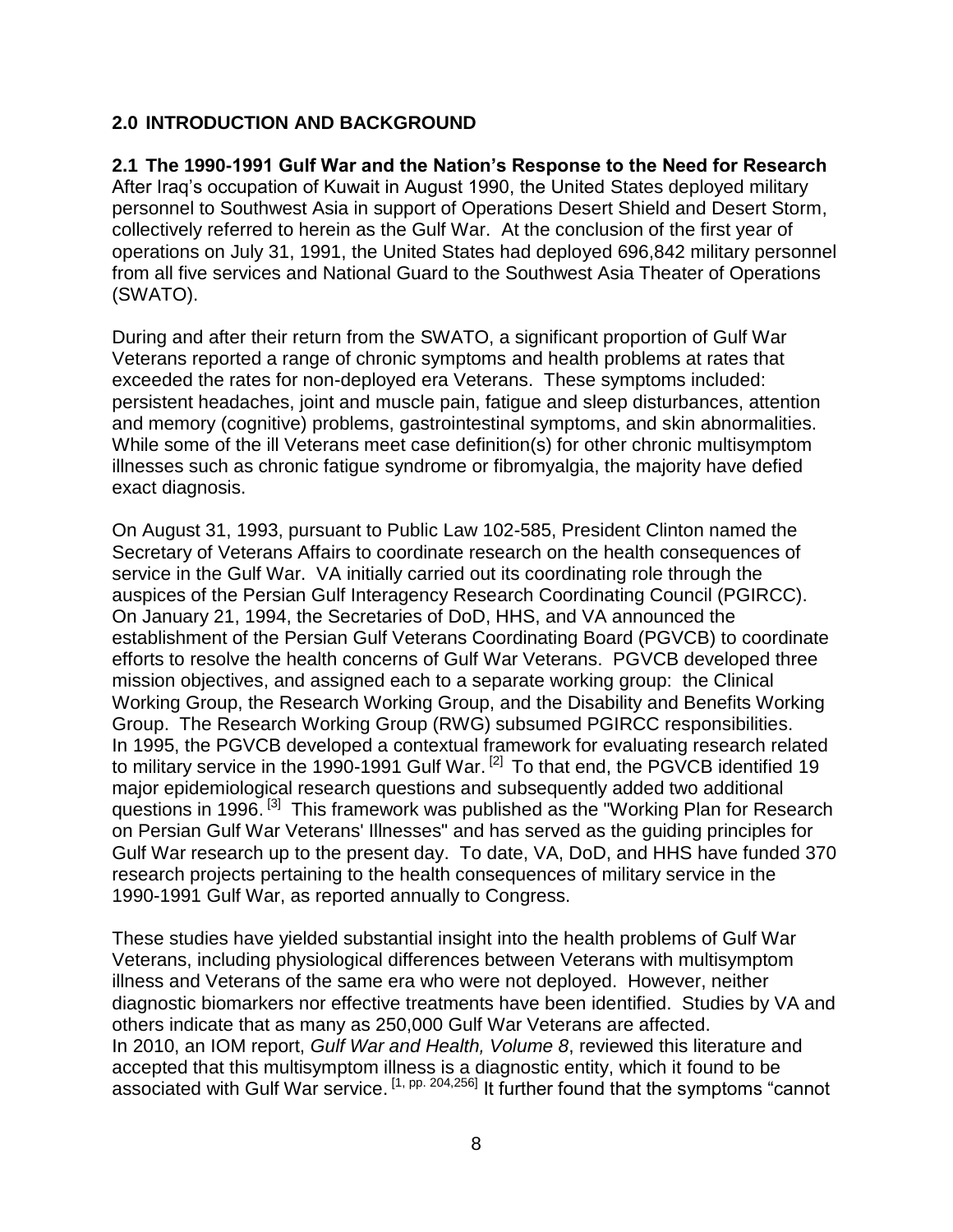#### <span id="page-7-0"></span>**2.0 INTRODUCTION AND BACKGROUND**

#### <span id="page-7-1"></span>**2.1 The 1990-1991 Gulf War and the Nation's Response to the Need for Research**

After Iraq's occupation of Kuwait in August 1990, the United States deployed military personnel to Southwest Asia in support of Operations Desert Shield and Desert Storm, collectively referred to herein as the Gulf War. At the conclusion of the first year of operations on July 31, 1991, the United States had deployed 696,842 military personnel from all five services and National Guard to the Southwest Asia Theater of Operations (SWATO).

During and after their return from the SWATO, a significant proportion of Gulf War Veterans reported a range of chronic symptoms and health problems at rates that exceeded the rates for non-deployed era Veterans. These symptoms included: persistent headaches, joint and muscle pain, fatigue and sleep disturbances, attention and memory (cognitive) problems, gastrointestinal symptoms, and skin abnormalities. While some of the ill Veterans meet case definition(s) for other chronic multisymptom illnesses such as chronic fatigue syndrome or fibromyalgia, the majority have defied exact diagnosis.

On August 31, 1993, pursuant to Public Law 102-585, President Clinton named the Secretary of Veterans Affairs to coordinate research on the health consequences of service in the Gulf War. VA initially carried out its coordinating role through the auspices of the Persian Gulf Interagency Research Coordinating Council (PGIRCC). On January 21, 1994, the Secretaries of DoD, HHS, and VA announced the establishment of the Persian Gulf Veterans Coordinating Board (PGVCB) to coordinate efforts to resolve the health concerns of Gulf War Veterans. PGVCB developed three mission objectives, and assigned each to a separate working group: the Clinical Working Group, the Research Working Group, and the Disability and Benefits Working Group. The Research Working Group (RWG) subsumed PGIRCC responsibilities. In 1995, the PGVCB developed a contextual framework for evaluating research related to military service in the 1990-1991 Gulf War.<sup>[2]</sup> To that end, the PGVCB identified 19 major epidemiological research questions and subsequently added two additional questions in 1996.<sup>[3]</sup> This framework was published as the "Working Plan for Research on Persian Gulf War Veterans' Illnesses" and has served as the guiding principles for Gulf War research up to the present day. To date, VA, DoD, and HHS have funded 370 research projects pertaining to the health consequences of military service in the 1990-1991 Gulf War, as reported annually to Congress.

These studies have yielded substantial insight into the health problems of Gulf War Veterans, including physiological differences between Veterans with multisymptom illness and Veterans of the same era who were not deployed. However, neither diagnostic biomarkers nor effective treatments have been identified. Studies by VA and others indicate that as many as 250,000 Gulf War Veterans are affected. In 2010, an IOM report, *Gulf War and Health, Volume 8*, reviewed this literature and accepted that this multisymptom illness is a diagnostic entity, which it found to be associated with Gulf War service. <sup>[1, pp. 204,256]</sup> It further found that the symptoms "cannot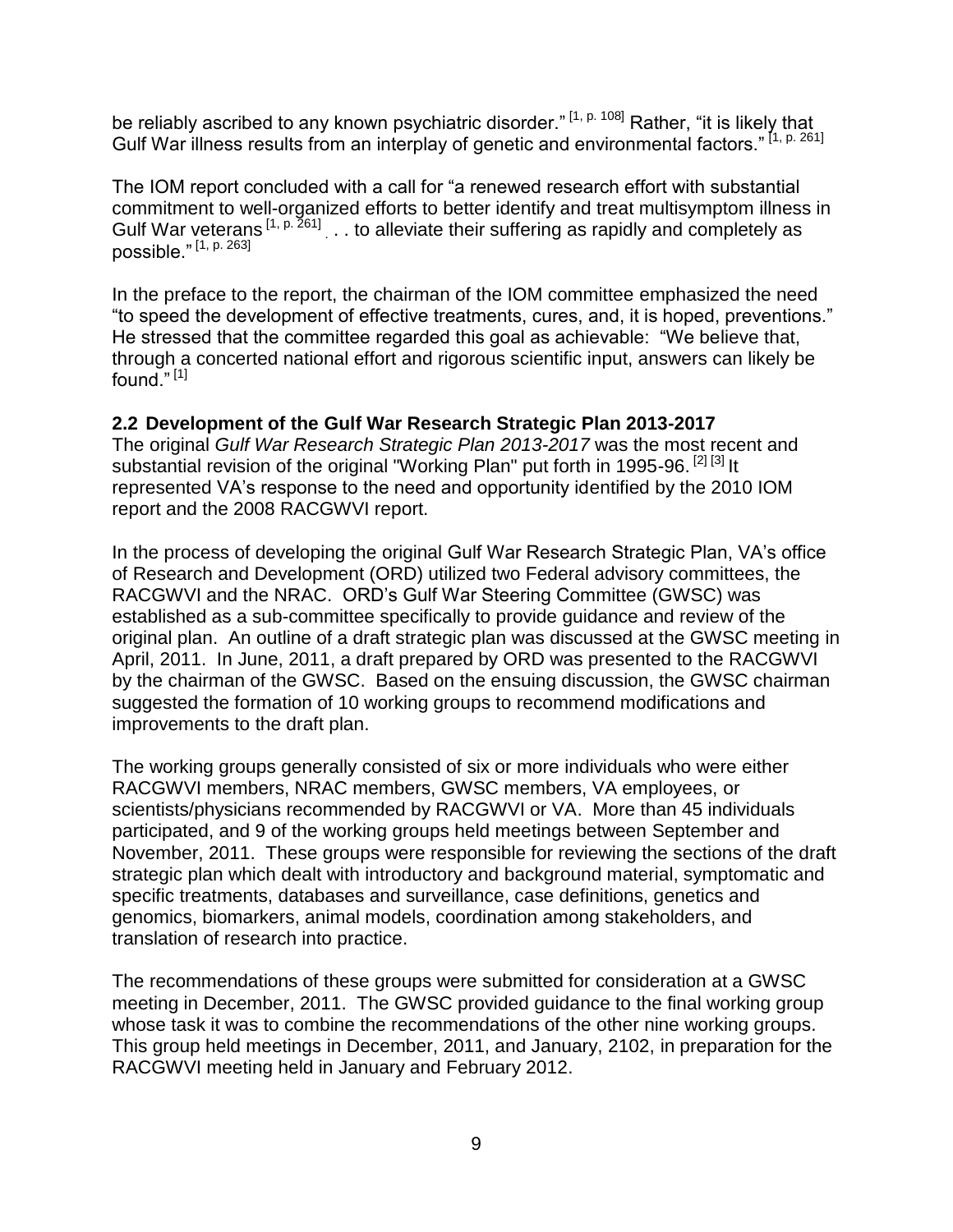be reliably ascribed to any known psychiatric disorder."  $[1, p. 108]$  Rather, "it is likely that Gulf War illness results from an interplay of genetic and environmental factors." [1, p. 261]

The IOM report concluded with a call for "a renewed research effort with substantial commitment to well-organized efforts to better identify and treat multisymptom illness in Gulf War veterans  $[1, p. 261]$  . . to alleviate their suffering as rapidly and completely as possible." [1, p. 263]

In the preface to the report, the chairman of the IOM committee emphasized the need "to speed the development of effective treatments, cures, and, it is hoped, preventions." He stressed that the committee regarded this goal as achievable: "We believe that, through a concerted national effort and rigorous scientific input, answers can likely be found." [1]

#### <span id="page-8-0"></span>**2.2 Development of the Gulf War Research Strategic Plan 2013-2017**

The original *Gulf War Research Strategic Plan 2013-2017* was the most recent and substantial revision of the original "Working Plan" put forth in 1995-96.<sup>[2] [3]</sup> It represented VA's response to the need and opportunity identified by the 2010 IOM report and the 2008 RACGWVI report.

In the process of developing the original Gulf War Research Strategic Plan, VA's office of Research and Development (ORD) utilized two Federal advisory committees, the RACGWVI and the NRAC. ORD's Gulf War Steering Committee (GWSC) was established as a sub-committee specifically to provide guidance and review of the original plan. An outline of a draft strategic plan was discussed at the GWSC meeting in April, 2011. In June, 2011, a draft prepared by ORD was presented to the RACGWVI by the chairman of the GWSC. Based on the ensuing discussion, the GWSC chairman suggested the formation of 10 working groups to recommend modifications and improvements to the draft plan.

The working groups generally consisted of six or more individuals who were either RACGWVI members, NRAC members, GWSC members, VA employees, or scientists/physicians recommended by RACGWVI or VA. More than 45 individuals participated, and 9 of the working groups held meetings between September and November, 2011. These groups were responsible for reviewing the sections of the draft strategic plan which dealt with introductory and background material, symptomatic and specific treatments, databases and surveillance, case definitions, genetics and genomics, biomarkers, animal models, coordination among stakeholders, and translation of research into practice.

The recommendations of these groups were submitted for consideration at a GWSC meeting in December, 2011. The GWSC provided guidance to the final working group whose task it was to combine the recommendations of the other nine working groups. This group held meetings in December, 2011, and January, 2102, in preparation for the RACGWVI meeting held in January and February 2012.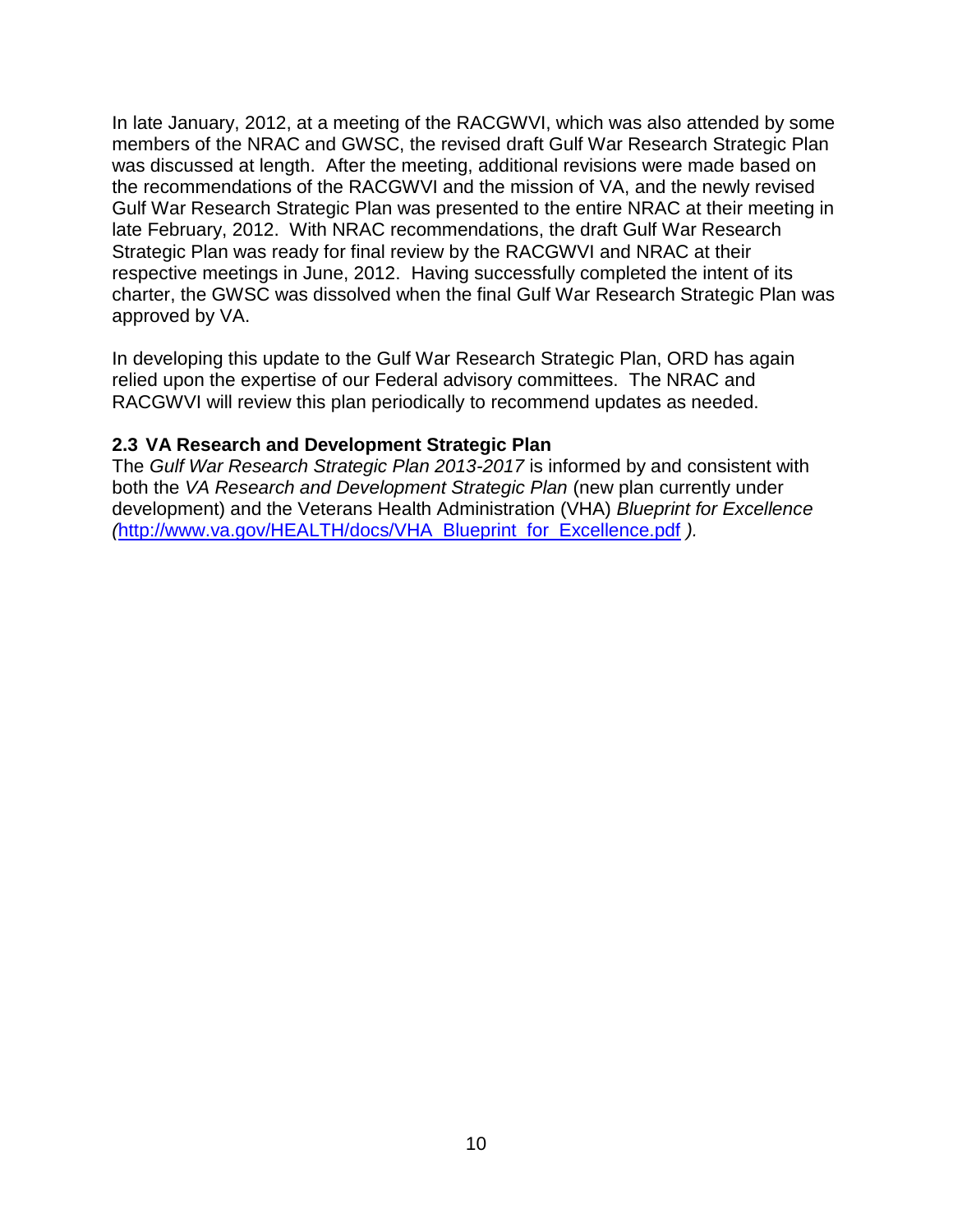In late January, 2012, at a meeting of the RACGWVI, which was also attended by some members of the NRAC and GWSC, the revised draft Gulf War Research Strategic Plan was discussed at length. After the meeting, additional revisions were made based on the recommendations of the RACGWVI and the mission of VA, and the newly revised Gulf War Research Strategic Plan was presented to the entire NRAC at their meeting in late February, 2012. With NRAC recommendations, the draft Gulf War Research Strategic Plan was ready for final review by the RACGWVI and NRAC at their respective meetings in June, 2012. Having successfully completed the intent of its charter, the GWSC was dissolved when the final Gulf War Research Strategic Plan was approved by VA.

In developing this update to the Gulf War Research Strategic Plan, ORD has again relied upon the expertise of our Federal advisory committees. The NRAC and RACGWVI will review this plan periodically to recommend updates as needed.

#### <span id="page-9-0"></span>**2.3 VA Research and Development Strategic Plan**

The *Gulf War Research Strategic Plan 2013-2017* is informed by and consistent with both the *VA Research and Development Strategic Plan* (new plan currently under development) and the Veterans Health Administration (VHA) *Blueprint for Excellence (*[http://www.va.gov/HEALTH/docs/VHA\\_Blueprint\\_for\\_Excellence.pdf](http://www.va.gov/HEALTH/docs/VHA_Blueprint_for_Excellence.pdf) *).*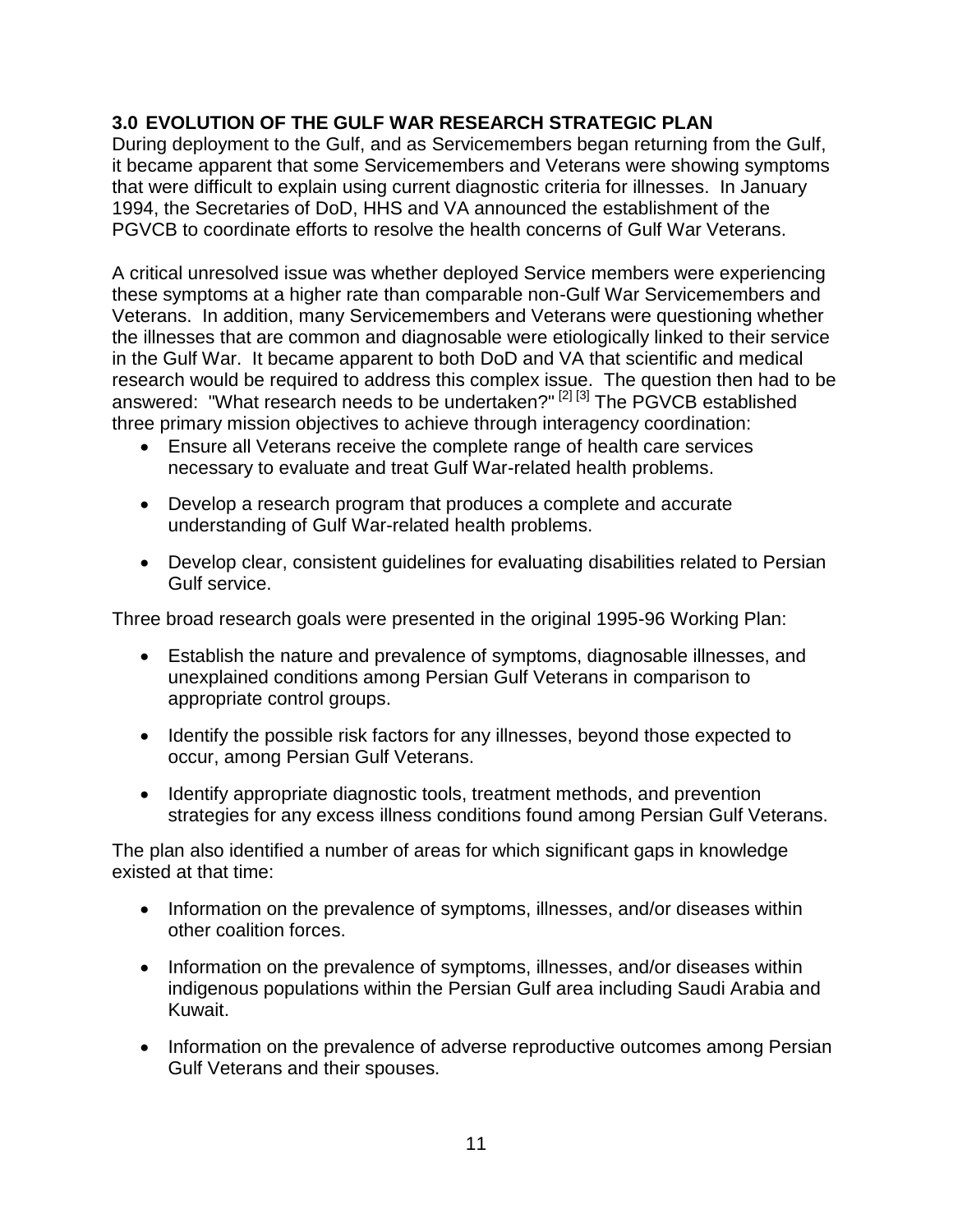#### <span id="page-10-0"></span>**3.0 EVOLUTION OF THE GULF WAR RESEARCH STRATEGIC PLAN**

During deployment to the Gulf, and as Servicemembers began returning from the Gulf, it became apparent that some Servicemembers and Veterans were showing symptoms that were difficult to explain using current diagnostic criteria for illnesses. In January 1994, the Secretaries of DoD, HHS and VA announced the establishment of the PGVCB to coordinate efforts to resolve the health concerns of Gulf War Veterans.

A critical unresolved issue was whether deployed Service members were experiencing these symptoms at a higher rate than comparable non-Gulf War Servicemembers and Veterans. In addition, many Servicemembers and Veterans were questioning whether the illnesses that are common and diagnosable were etiologically linked to their service in the Gulf War. It became apparent to both DoD and VA that scientific and medical research would be required to address this complex issue. The question then had to be answered: "What research needs to be undertaken?" [2] [3] The PGVCB established three primary mission objectives to achieve through interagency coordination:

- Ensure all Veterans receive the complete range of health care services necessary to evaluate and treat Gulf War-related health problems.
- Develop a research program that produces a complete and accurate understanding of Gulf War-related health problems.
- Develop clear, consistent guidelines for evaluating disabilities related to Persian Gulf service.

Three broad research goals were presented in the original 1995-96 Working Plan:

- Establish the nature and prevalence of symptoms, diagnosable illnesses, and unexplained conditions among Persian Gulf Veterans in comparison to appropriate control groups.
- Identify the possible risk factors for any illnesses, beyond those expected to occur, among Persian Gulf Veterans.
- Identify appropriate diagnostic tools, treatment methods, and prevention strategies for any excess illness conditions found among Persian Gulf Veterans.

The plan also identified a number of areas for which significant gaps in knowledge existed at that time:

- Information on the prevalence of symptoms, illnesses, and/or diseases within other coalition forces.
- Information on the prevalence of symptoms, illnesses, and/or diseases within indigenous populations within the Persian Gulf area including Saudi Arabia and Kuwait.
- Information on the prevalence of adverse reproductive outcomes among Persian Gulf Veterans and their spouses.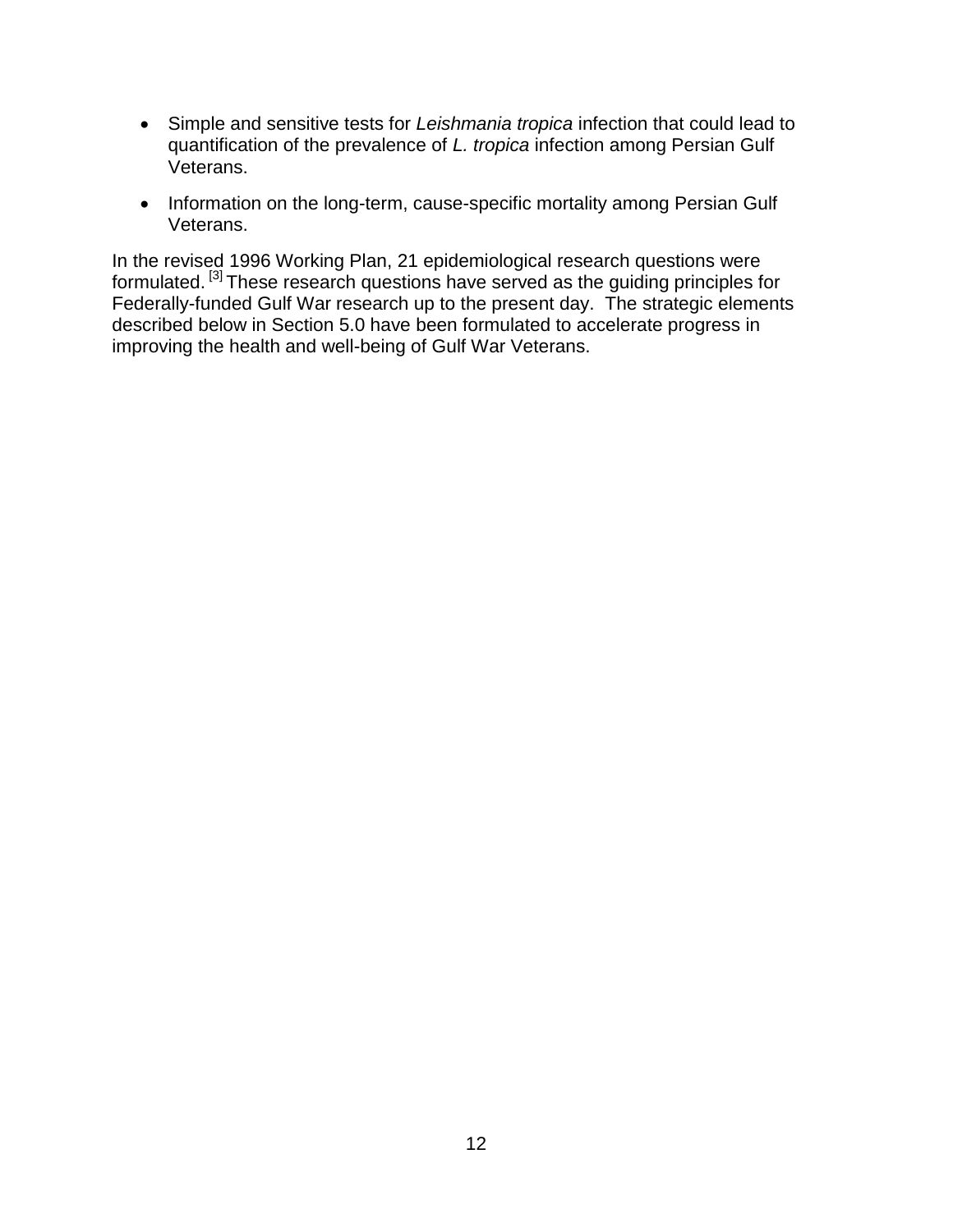- Simple and sensitive tests for *Leishmania tropica* infection that could lead to quantification of the prevalence of *L. tropica* infection among Persian Gulf Veterans.
- Information on the long-term, cause-specific mortality among Persian Gulf Veterans.

In the revised 1996 Working Plan, 21 epidemiological research questions were formulated. <sup>[3]</sup> These research questions have served as the guiding principles for Federally-funded Gulf War research up to the present day. The strategic elements described below in Section 5.0 have been formulated to accelerate progress in improving the health and well-being of Gulf War Veterans.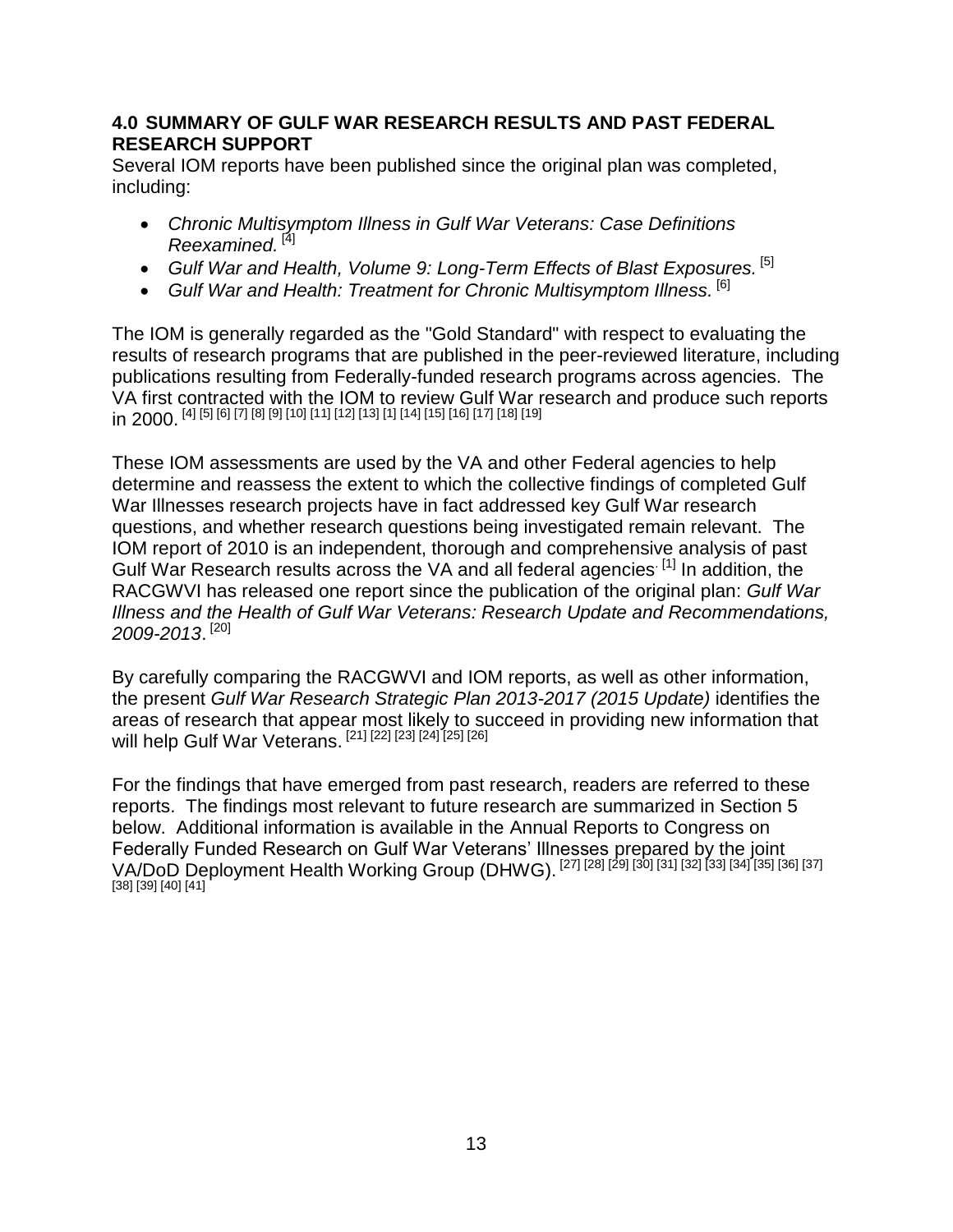#### <span id="page-12-0"></span>**4.0 SUMMARY OF GULF WAR RESEARCH RESULTS AND PAST FEDERAL RESEARCH SUPPORT**

Several IOM reports have been published since the original plan was completed, including:

- *Chronic Multisymptom Illness in Gulf War Veterans: Case Definitions Reexamined.* [4]
- *Gulf War and Health, Volume 9: Long-Term Effects of Blast Exposures.* [5]
- *Gulf War and Health: Treatment for Chronic Multisymptom Illness.* [6]

The IOM is generally regarded as the "Gold Standard" with respect to evaluating the results of research programs that are published in the peer-reviewed literature, including publications resulting from Federally-funded research programs across agencies. The VA first contracted with the IOM to review Gulf War research and produce such reports in 2000. [4] [5] [6] [7] [8] [9] [10] [11] [12] [13] [1] [14] [15] [16] [17] [18] [19]

These IOM assessments are used by the VA and other Federal agencies to help determine and reassess the extent to which the collective findings of completed Gulf War Illnesses research projects have in fact addressed key Gulf War research questions, and whether research questions being investigated remain relevant. The IOM report of 2010 is an independent, thorough and comprehensive analysis of past Gulf War Research results across the VA and all federal agencies<sup>[1]</sup> In addition, the RACGWVI has released one report since the publication of the original plan: *[Gulf War](http://www.va.gov/RAC-GWVI/docs/Committee_Documents/GWIandHealthofGWVeterans_RAC-GWVIReport_2008.pdf)  [Illness and the Health of Gulf War Veterans:](http://www.va.gov/RAC-GWVI/docs/Committee_Documents/GWIandHealthofGWVeterans_RAC-GWVIReport_2008.pdf) Research Update and Recommendations, 2009-2013*. [20]

By carefully comparing the RACGWVI and IOM reports, as well as other information, the present *Gulf War Research Strategic Plan 2013-2017 (2015 Update)* identifies the areas of research that appear most likely to succeed in providing new information that will help Gulf War Veterans. [21] [22] [23] [24] [25] [26]

For the findings that have emerged from past research, readers are referred to these reports. The findings most relevant to future research are summarized in Section 5 below. Additional information is available in the [Annual Reports to Congress on](http://www.research.va.gov/resources/pubs/pubs_individual.cfm?Category=Gulf%20War%20Reports)  [Federally Funded Research on Gulf War Veterans' Illnesses](http://www.research.va.gov/resources/pubs/pubs_individual.cfm?Category=Gulf%20War%20Reports) prepared by the joint VA/DoD Deployment Health Working Group (DHWG). [27] [28] [29] [30] [31] [32] [33] [34] [35] [36] [37] [38] [39] [40] [41]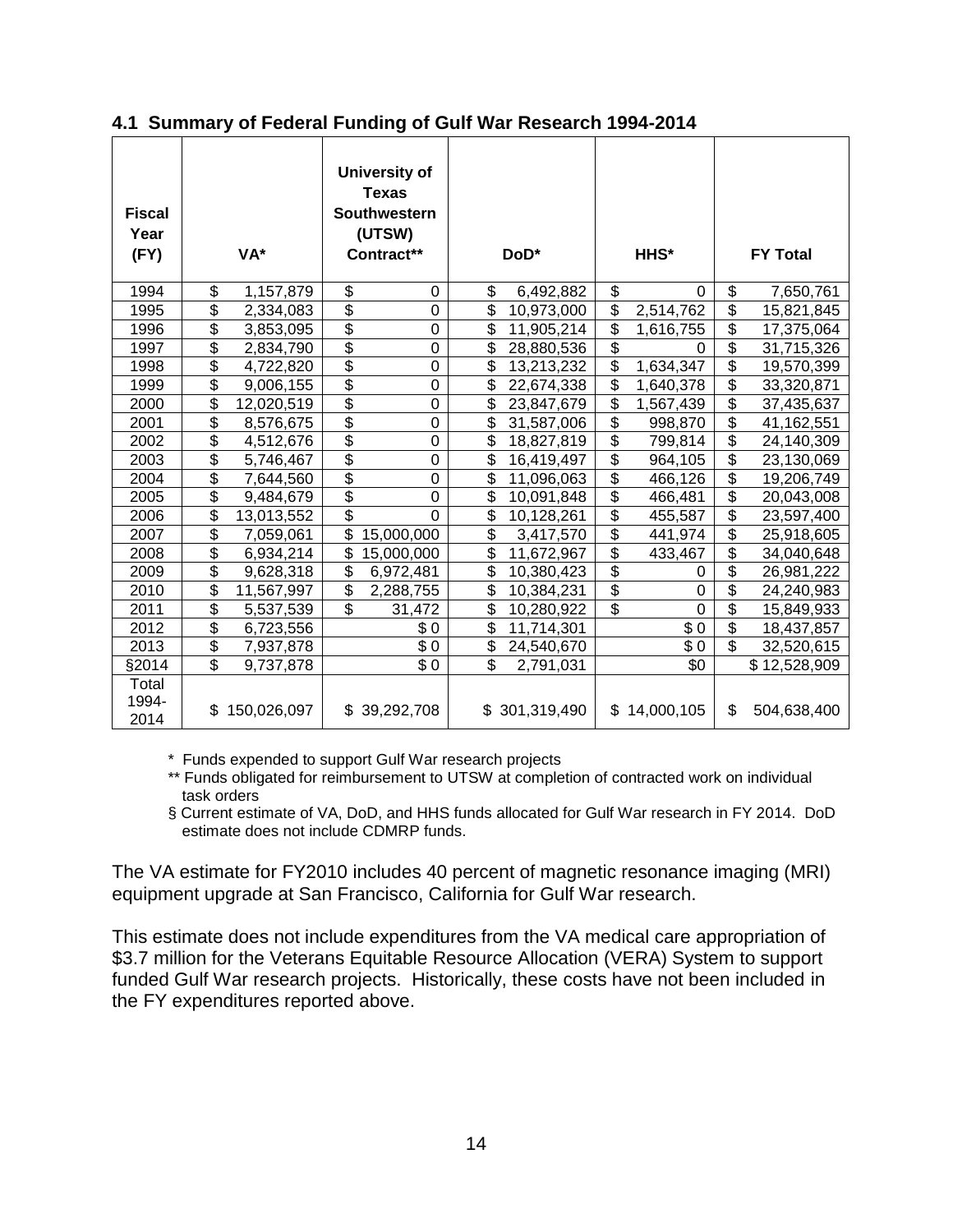| <b>Fiscal</b><br>Year<br>(FY) | VA*              |                           | University of<br><b>Texas</b><br>Southwestern<br>(UTSW)<br>Contract** |                                      | DoD*          |                                      | HHS*           |                           | <b>FY Total</b> |
|-------------------------------|------------------|---------------------------|-----------------------------------------------------------------------|--------------------------------------|---------------|--------------------------------------|----------------|---------------------------|-----------------|
| 1994                          | \$<br>1,157,879  | \$                        | 0                                                                     | \$                                   | 6,492,882     | \$                                   | $\Omega$       | \$                        | 7,650,761       |
| 1995                          | \$<br>2,334,083  | $\overline{\$}$           | $\mathbf 0$                                                           | $\overline{\$}$                      | 10,973,000    | $\overline{\mathcal{S}}$             | 2,514,762      | $\overline{\$}$           | 15,821,845      |
| 1996                          | \$<br>3,853,095  | $\overline{\$}$           | $\mathbf 0$                                                           | \$                                   | 11,905,214    | \$                                   | 1,616,755      | $\overline{\$}$           | 17,375,064      |
| 1997                          | \$<br>2,834,790  | $\frac{6}{9}$             | $\overline{0}$                                                        | \$                                   | 28,880,536    | \$                                   | $\Omega$       | $\overline{\$}$           | 31,715,326      |
| 1998                          | \$<br>4,722,820  |                           | $\mathbf 0$                                                           | \$                                   | 13,213,232    | $\overline{\$}$                      | 1,634,347      | \$                        | 19,570,399      |
| 1999                          | \$<br>9,006,155  | $\overline{\$}$           | $\overline{0}$                                                        | \$                                   | 22,674,338    | $\overline{\mathcal{E}}$             | 1,640,378      | $\overline{\$}$           | 33,320,871      |
| 2000                          | \$<br>12,020,519 | $\frac{6}{9}$             | $\mathbf 0$                                                           | \$                                   | 23,847,679    | $\overline{\boldsymbol{\mathsf{S}}}$ | 1,567,439      | $\overline{\mathfrak{s}}$ | 37,435,637      |
| 2001                          | \$<br>8,576,675  |                           | $\mathbf 0$                                                           | \$                                   | 31,587,006    | $\overline{\$}$                      | 998,870        | $\overline{\$}$           | 41,162,551      |
| 2002                          | \$<br>4,512,676  | \$                        | $\mathbf 0$                                                           | \$                                   | 18,827,819    | $\overline{\boldsymbol{\mathsf{S}}}$ | 799,814        | $\overline{\mathfrak{s}}$ | 24,140,309      |
| 2003                          | \$<br>5,746,467  | $\overline{\$}$           | $\overline{0}$                                                        | \$                                   | 16,419,497    | $\overline{\$}$                      | 964,105        | $\overline{\mathbf{S}}$   | 23,130,069      |
| 2004                          | \$<br>7,644,560  | $\frac{6}{9}$             | $\overline{0}$                                                        | \$                                   | 11,096,063    | $\overline{\mathcal{S}}$             | 466,126        | $\overline{\mathbf{S}}$   | 19,206,749      |
| 2005                          | \$<br>9,484,679  |                           | $\boldsymbol{0}$                                                      | \$                                   | 10,091,848    | $\overline{\$}$                      | 466,481        | $\overline{\$}$           | 20,043,008      |
| 2006                          | \$<br>13,013,552 | $\overline{\$}$           | $\overline{0}$                                                        | $\overline{\boldsymbol{\mathsf{S}}}$ | 10,128,261    | $\overline{\$}$                      | 455,587        | $\overline{\mathfrak{s}}$ | 23,597,400      |
| 2007                          | \$<br>7,059,061  | \$                        | 15,000,000                                                            | \$                                   | 3,417,570     | $\overline{\boldsymbol{\mathsf{S}}}$ | 441,974        | \$                        | 25,918,605      |
| 2008                          | \$<br>6,934,214  | \$                        | 15,000,000                                                            | \$                                   | 11,672,967    | $\overline{\boldsymbol{\mathsf{S}}}$ | 433,467        | $\overline{\mathbf{S}}$   | 34,040,648      |
| 2009                          | \$<br>9,628,318  | $\overline{\mathfrak{s}}$ | 6,972,481                                                             | $\overline{\mathbf{S}}$              | 10,380,423    | $\overline{\mathbf{S}}$              | 0              | $\overline{\mathfrak{s}}$ | 26,981,222      |
| 2010                          | \$<br>11,567,997 | \$                        | 2,288,755                                                             | \$                                   | 10,384,231    | $\overline{\mathbf{S}}$              | 0              | $\overline{\mathbf{S}}$   | 24,240,983      |
| 2011                          | \$<br>5,537,539  | $\overline{\$}$           | 31,472                                                                | \$                                   | 10,280,922    | $\overline{\$}$                      | $\overline{0}$ | $\overline{\$}$           | 15,849,933      |
| 2012                          | \$<br>6,723,556  |                           | \$0                                                                   | \$                                   | 11,714,301    |                                      | \$0            | $\overline{\mathbf{S}}$   | 18,437,857      |
| 2013                          | \$<br>7,937,878  |                           | \$0                                                                   | \$                                   | 24,540,670    |                                      | \$0            | \$                        | 32,520,615      |
| §2014                         | \$<br>9,737,878  |                           | $\overline{\$}0$                                                      | \$                                   | 2,791,031     |                                      | \$0            |                           | \$12,528,909    |
| Total<br>1994-<br>2014        | \$150,026,097    |                           | \$39,292,708                                                          |                                      | \$301,319,490 |                                      | \$14,000,105   | \$                        | 504,638,400     |

#### <span id="page-13-0"></span>**4.1 Summary of Federal Funding of Gulf War Research 1994-2014**

\* Funds expended to support Gulf War research projects

\*\* Funds obligated for reimbursement to UTSW at completion of contracted work on individual task orders

§ Current estimate of VA, DoD, and HHS funds allocated for Gulf War research in FY 2014. DoD estimate does not include CDMRP funds.

The VA estimate for FY2010 includes 40 percent of magnetic resonance imaging (MRI) equipment upgrade at San Francisco, California for Gulf War research.

This estimate does not include expenditures from the VA medical care appropriation of \$3.7 million for the Veterans Equitable Resource Allocation (VERA) System to support funded Gulf War research projects. Historically, these costs have not been included in the FY expenditures reported above.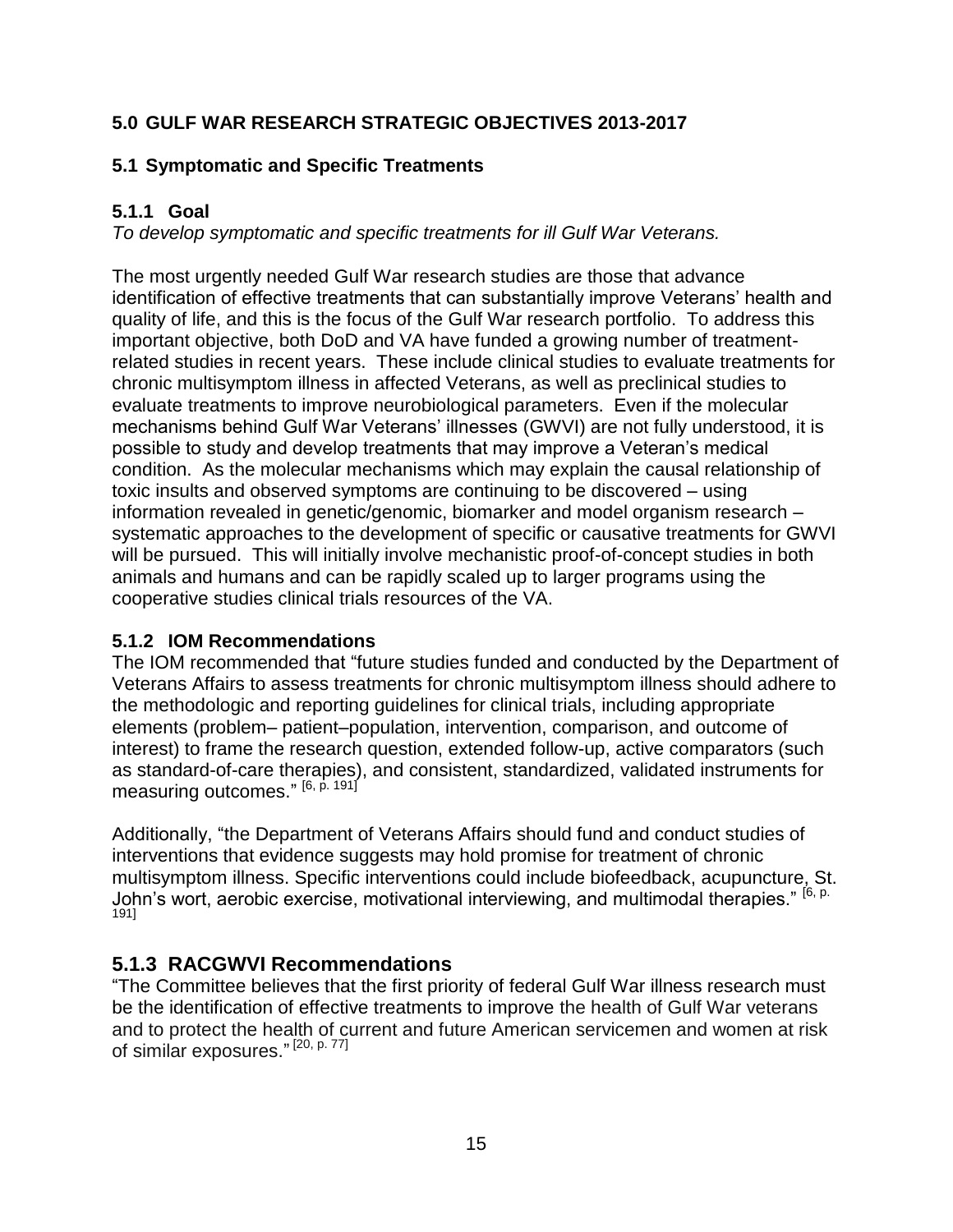#### <span id="page-14-0"></span>**5.0 GULF WAR RESEARCH STRATEGIC OBJECTIVES 2013-2017**

#### <span id="page-14-1"></span>**5.1 Symptomatic and Specific Treatments**

#### <span id="page-14-2"></span>**5.1.1 Goal**

*To develop symptomatic and specific treatments for ill Gulf War Veterans.* 

The most urgently needed Gulf War research studies are those that advance identification of effective treatments that can substantially improve Veterans' health and quality of life, and this is the focus of the Gulf War research portfolio. To address this important objective, both DoD and VA have funded a growing number of treatmentrelated studies in recent years. These include clinical studies to evaluate treatments for chronic multisymptom illness in affected Veterans, as well as preclinical studies to evaluate treatments to improve neurobiological parameters. Even if the molecular mechanisms behind Gulf War Veterans' illnesses (GWVI) are not fully understood, it is possible to study and develop treatments that may improve a Veteran's medical condition. As the molecular mechanisms which may explain the causal relationship of toxic insults and observed symptoms are continuing to be discovered – using information revealed in genetic/genomic, biomarker and model organism research – systematic approaches to the development of specific or causative treatments for GWVI will be pursued. This will initially involve mechanistic proof-of-concept studies in both animals and humans and can be rapidly scaled up to larger programs using the cooperative studies clinical trials resources of the VA.

#### <span id="page-14-3"></span>**5.1.2 IOM Recommendations**

The IOM recommended that "future studies funded and conducted by the Department of Veterans Affairs to assess treatments for chronic multisymptom illness should adhere to the methodologic and reporting guidelines for clinical trials, including appropriate elements (problem– patient–population, intervention, comparison, and outcome of interest) to frame the research question, extended follow-up, active comparators (such as standard-of-care therapies), and consistent, standardized, validated instruments for measuring outcomes." <sup>[6, p. 191]</sup>

Additionally, "the Department of Veterans Affairs should fund and conduct studies of interventions that evidence suggests may hold promise for treatment of chronic multisymptom illness. Specific interventions could include biofeedback, acupuncture, St. John's wort, aerobic exercise, motivational interviewing, and multimodal therapies." [6, p. 191]

#### **5.1.3 RACGWVI Recommendations**

"The Committee believes that the first priority of federal Gulf War illness research must be the identification of effective treatments to improve the health of Gulf War veterans and to protect the health of current and future American servicemen and women at risk of similar exposures."<sup>[20, p. 77]</sup>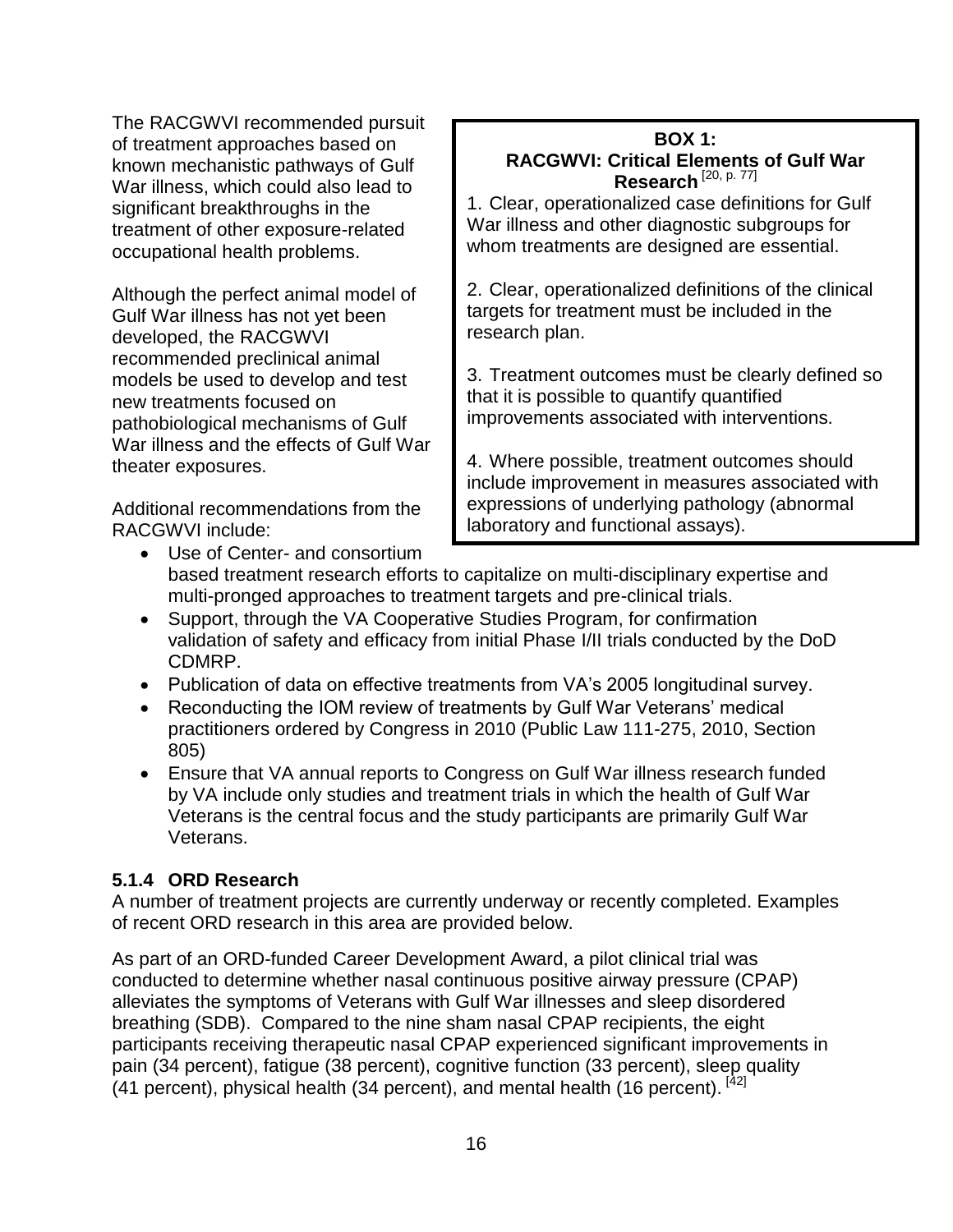The RACGWVI recommended pursuit of treatment approaches based on known mechanistic pathways of Gulf War illness, which could also lead to significant breakthroughs in the treatment of other exposure-related occupational health problems.

Although the perfect animal model of Gulf War illness has not yet been developed, the RACGWVI recommended preclinical animal models be used to develop and test new treatments focused on pathobiological mechanisms of Gulf War illness and the effects of Gulf War theater exposures.

Additional recommendations from the RACGWVI include:

#### **BOX 1: RACGWVI: Critical Elements of Gulf War Research** [20, p. 77]

1. Clear, operationalized case definitions for Gulf War illness and other diagnostic subgroups for whom treatments are designed are essential.

2. Clear, operationalized definitions of the clinical targets for treatment must be included in the research plan.

3. Treatment outcomes must be clearly defined so that it is possible to quantify quantified improvements associated with interventions.

4. Where possible, treatment outcomes should include improvement in measures associated with expressions of underlying pathology (abnormal laboratory and functional assays).

- Use of Center- and consortium based treatment research efforts to capitalize on multi-disciplinary expertise and multi-pronged approaches to treatment targets and pre-clinical trials.
- Support, through the VA Cooperative Studies Program, for confirmation validation of safety and efficacy from initial Phase I/II trials conducted by the DoD CDMRP.
- Publication of data on effective treatments from VA's 2005 longitudinal survey.
- Reconducting the IOM review of treatments by Gulf War Veterans' medical practitioners ordered by Congress in 2010 (Public Law 111-275, 2010, Section 805)
- Ensure that VA annual reports to Congress on Gulf War illness research funded by VA include only studies and treatment trials in which the health of Gulf War Veterans is the central focus and the study participants are primarily Gulf War Veterans.

#### <span id="page-15-0"></span>**5.1.4 ORD Research**

A number of treatment projects are currently underway or recently completed. Examples of recent ORD research in this area are provided below.

As part of an ORD-funded Career Development Award, a pilot clinical trial was conducted to determine whether nasal continuous positive airway pressure (CPAP) alleviates the symptoms of Veterans with Gulf War illnesses and sleep disordered breathing (SDB). Compared to the nine sham nasal CPAP recipients, the eight participants receiving therapeutic nasal CPAP experienced significant improvements in pain (34 percent), fatigue (38 percent), cognitive function (33 percent), sleep quality (41 percent), physical health (34 percent), and mental health (16 percent). [42]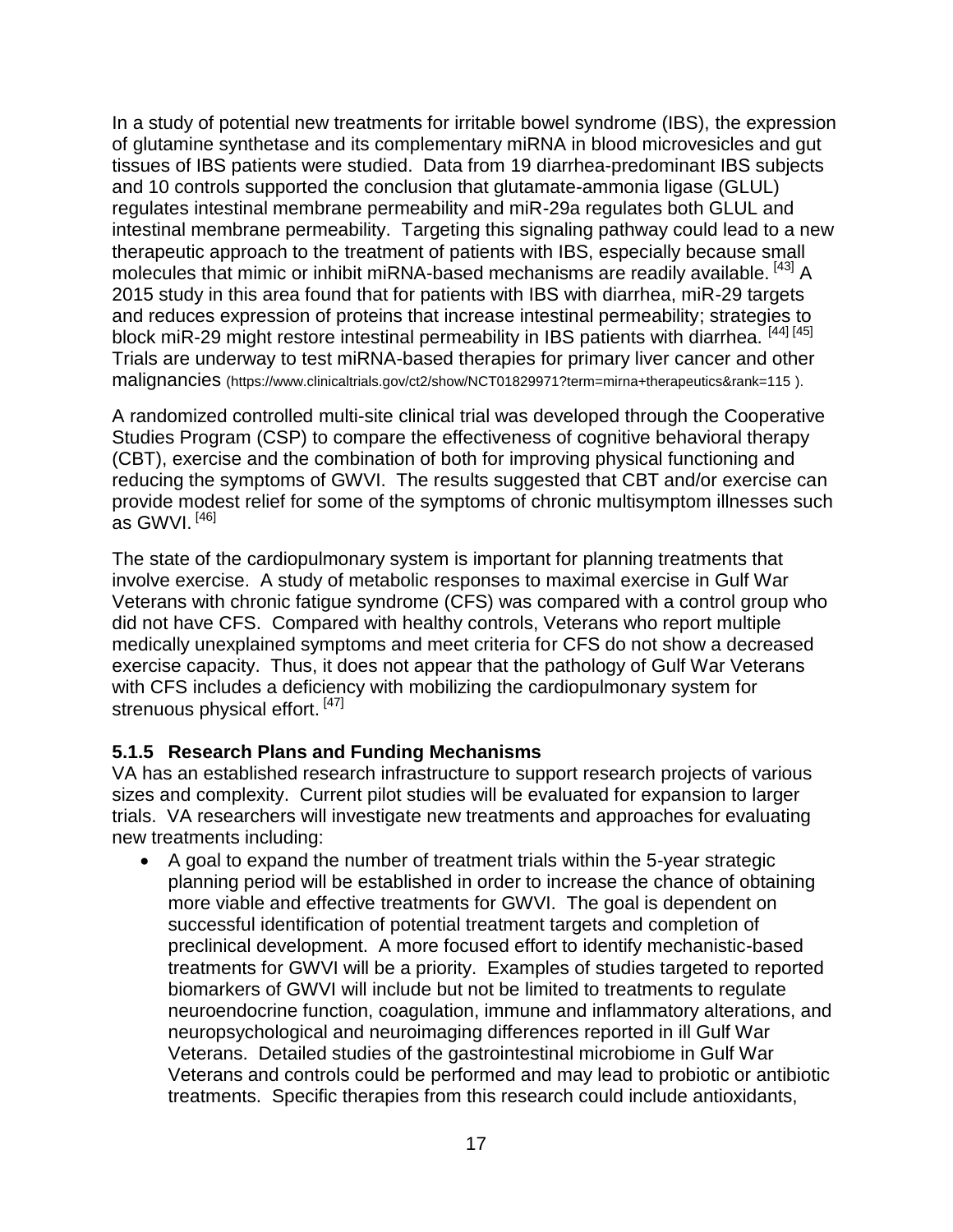In a study of potential new treatments for irritable bowel syndrome (IBS), the expression of glutamine synthetase and its complementary miRNA in blood microvesicles and gut tissues of IBS patients were studied. Data from 19 diarrhea-predominant IBS subjects and 10 controls supported the conclusion that glutamate-ammonia ligase (GLUL) regulates intestinal membrane permeability and miR-29a regulates both GLUL and intestinal membrane permeability. Targeting this signaling pathway could lead to a new therapeutic approach to the treatment of patients with IBS, especially because small molecules that mimic or inhibit miRNA-based mechanisms are readily available. [43] A 2015 study in this area found that for patients with IBS with diarrhea, miR-29 targets and reduces expression of proteins that increase intestinal permeability; strategies to block miR-29 might restore intestinal permeability in IBS patients with diarrhea.<sup>[44] [45]</sup> Trials are underway to test miRNA-based therapies for primary liver cancer and other malignancies (https://www.clinicaltrials.gov/ct2/show/NCT01829971?term=mirna+therapeutics&rank=115 ).

A randomized controlled multi-site clinical trial was developed through the Cooperative Studies Program (CSP) to compare the effectiveness of cognitive behavioral therapy (CBT), exercise and the combination of both for improving physical functioning and reducing the symptoms of GWVI. The results suggested that CBT and/or exercise can provide modest relief for some of the symptoms of chronic multisymptom illnesses such as GWVI. [46]

The state of the cardiopulmonary system is important for planning treatments that involve exercise. A study of metabolic responses to maximal exercise in Gulf War Veterans with chronic fatigue syndrome (CFS) was compared with a control group who did not have CFS. Compared with healthy controls, Veterans who report multiple medically unexplained symptoms and meet criteria for CFS do not show a decreased exercise capacity. Thus, it does not appear that the pathology of Gulf War Veterans with CFS includes a deficiency with mobilizing the cardiopulmonary system for strenuous physical effort.<sup>[47]</sup>

#### <span id="page-16-0"></span>**5.1.5 Research Plans and Funding Mechanisms**

VA has an established research infrastructure to support research projects of various sizes and complexity. Current pilot studies will be evaluated for expansion to larger trials. VA researchers will investigate new treatments and approaches for evaluating new treatments including:

 A goal to expand the number of treatment trials within the 5-year strategic planning period will be established in order to increase the chance of obtaining more viable and effective treatments for GWVI. The goal is dependent on successful identification of potential treatment targets and completion of preclinical development. A more focused effort to identify mechanistic-based treatments for GWVI will be a priority. Examples of studies targeted to reported biomarkers of GWVI will include but not be limited to treatments to regulate neuroendocrine function, coagulation, immune and inflammatory alterations, and neuropsychological and neuroimaging differences reported in ill Gulf War Veterans. Detailed studies of the gastrointestinal microbiome in Gulf War Veterans and controls could be performed and may lead to probiotic or antibiotic treatments. Specific therapies from this research could include antioxidants,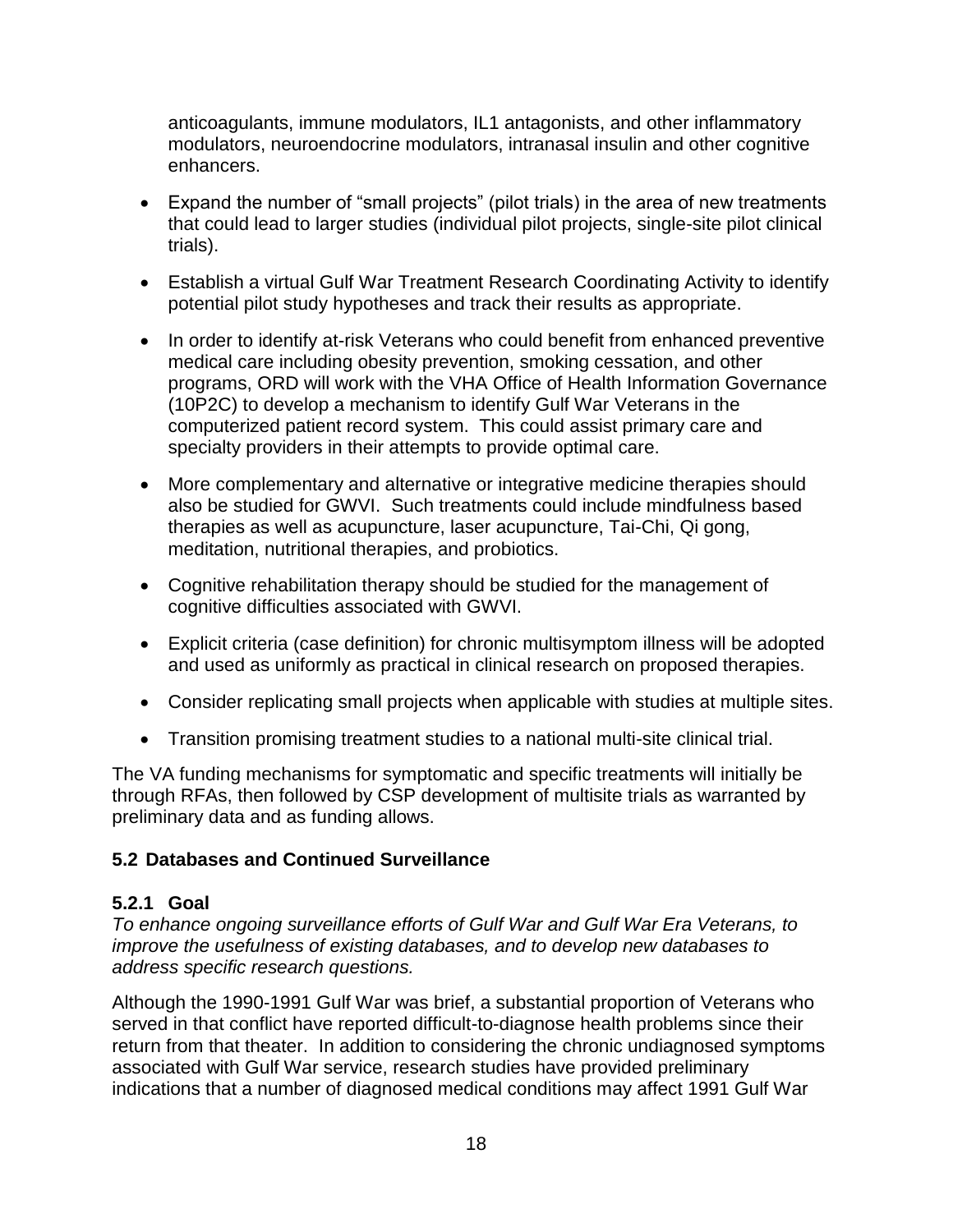anticoagulants, immune modulators, IL1 antagonists, and other inflammatory modulators, neuroendocrine modulators, intranasal insulin and other cognitive enhancers.

- Expand the number of "small projects" (pilot trials) in the area of new treatments that could lead to larger studies (individual pilot projects, single-site pilot clinical trials).
- Establish a virtual Gulf War Treatment Research Coordinating Activity to identify potential pilot study hypotheses and track their results as appropriate.
- In order to identify at-risk Veterans who could benefit from enhanced preventive medical care including obesity prevention, smoking cessation, and other programs, ORD will work with the VHA Office of Health Information Governance (10P2C) to develop a mechanism to identify Gulf War Veterans in the computerized patient record system. This could assist primary care and specialty providers in their attempts to provide optimal care.
- More complementary and alternative or integrative medicine therapies should also be studied for GWVI. Such treatments could include mindfulness based therapies as well as acupuncture, laser acupuncture, Tai-Chi, Qi gong, meditation, nutritional therapies, and probiotics.
- Cognitive rehabilitation therapy should be studied for the management of cognitive difficulties associated with GWVI.
- Explicit criteria (case definition) for chronic multisymptom illness will be adopted and used as uniformly as practical in clinical research on proposed therapies.
- Consider replicating small projects when applicable with studies at multiple sites.
- Transition promising treatment studies to a national multi-site clinical trial.

The VA funding mechanisms for symptomatic and specific treatments will initially be through RFAs, then followed by CSP development of multisite trials as warranted by preliminary data and as funding allows.

#### <span id="page-17-0"></span>**5.2 Databases and Continued Surveillance**

#### <span id="page-17-1"></span>**5.2.1 Goal**

*To enhance ongoing surveillance efforts of Gulf War and Gulf War Era Veterans, to improve the usefulness of existing databases, and to develop new databases to address specific research questions.*

Although the 1990-1991 Gulf War was brief, a substantial proportion of Veterans who served in that conflict have reported difficult-to-diagnose health problems since their return from that theater. In addition to considering the chronic undiagnosed symptoms associated with Gulf War service, research studies have provided preliminary indications that a number of diagnosed medical conditions may affect 1991 Gulf War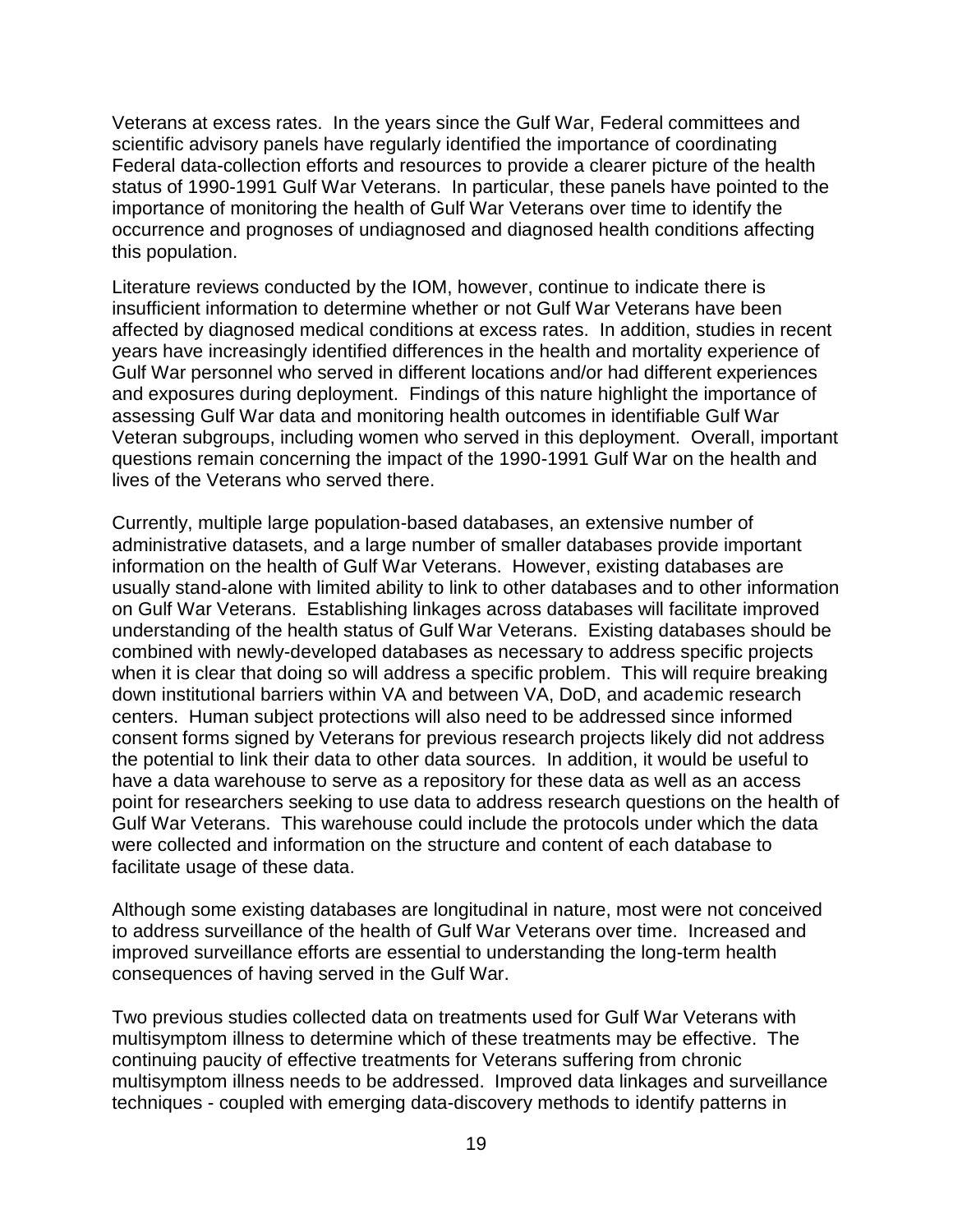Veterans at excess rates. In the years since the Gulf War, Federal committees and scientific advisory panels have regularly identified the importance of coordinating Federal data-collection efforts and resources to provide a clearer picture of the health status of 1990-1991 Gulf War Veterans. In particular, these panels have pointed to the importance of monitoring the health of Gulf War Veterans over time to identify the occurrence and prognoses of undiagnosed and diagnosed health conditions affecting this population.

Literature reviews conducted by the IOM, however, continue to indicate there is insufficient information to determine whether or not Gulf War Veterans have been affected by diagnosed medical conditions at excess rates. In addition, studies in recent years have increasingly identified differences in the health and mortality experience of Gulf War personnel who served in different locations and/or had different experiences and exposures during deployment. Findings of this nature highlight the importance of assessing Gulf War data and monitoring health outcomes in identifiable Gulf War Veteran subgroups, including women who served in this deployment. Overall, important questions remain concerning the impact of the 1990-1991 Gulf War on the health and lives of the Veterans who served there.

Currently, multiple large population-based databases, an extensive number of administrative datasets, and a large number of smaller databases provide important information on the health of Gulf War Veterans. However, existing databases are usually stand-alone with limited ability to link to other databases and to other information on Gulf War Veterans. Establishing linkages across databases will facilitate improved understanding of the health status of Gulf War Veterans. Existing databases should be combined with newly-developed databases as necessary to address specific projects when it is clear that doing so will address a specific problem. This will require breaking down institutional barriers within VA and between VA, DoD, and academic research centers. Human subject protections will also need to be addressed since informed consent forms signed by Veterans for previous research projects likely did not address the potential to link their data to other data sources. In addition, it would be useful to have a data warehouse to serve as a repository for these data as well as an access point for researchers seeking to use data to address research questions on the health of Gulf War Veterans. This warehouse could include the protocols under which the data were collected and information on the structure and content of each database to facilitate usage of these data.

Although some existing databases are longitudinal in nature, most were not conceived to address surveillance of the health of Gulf War Veterans over time. Increased and improved surveillance efforts are essential to understanding the long-term health consequences of having served in the Gulf War.

Two previous studies collected data on treatments used for Gulf War Veterans with multisymptom illness to determine which of these treatments may be effective. The continuing paucity of effective treatments for Veterans suffering from chronic multisymptom illness needs to be addressed. Improved data linkages and surveillance techniques - coupled with emerging data-discovery methods to identify patterns in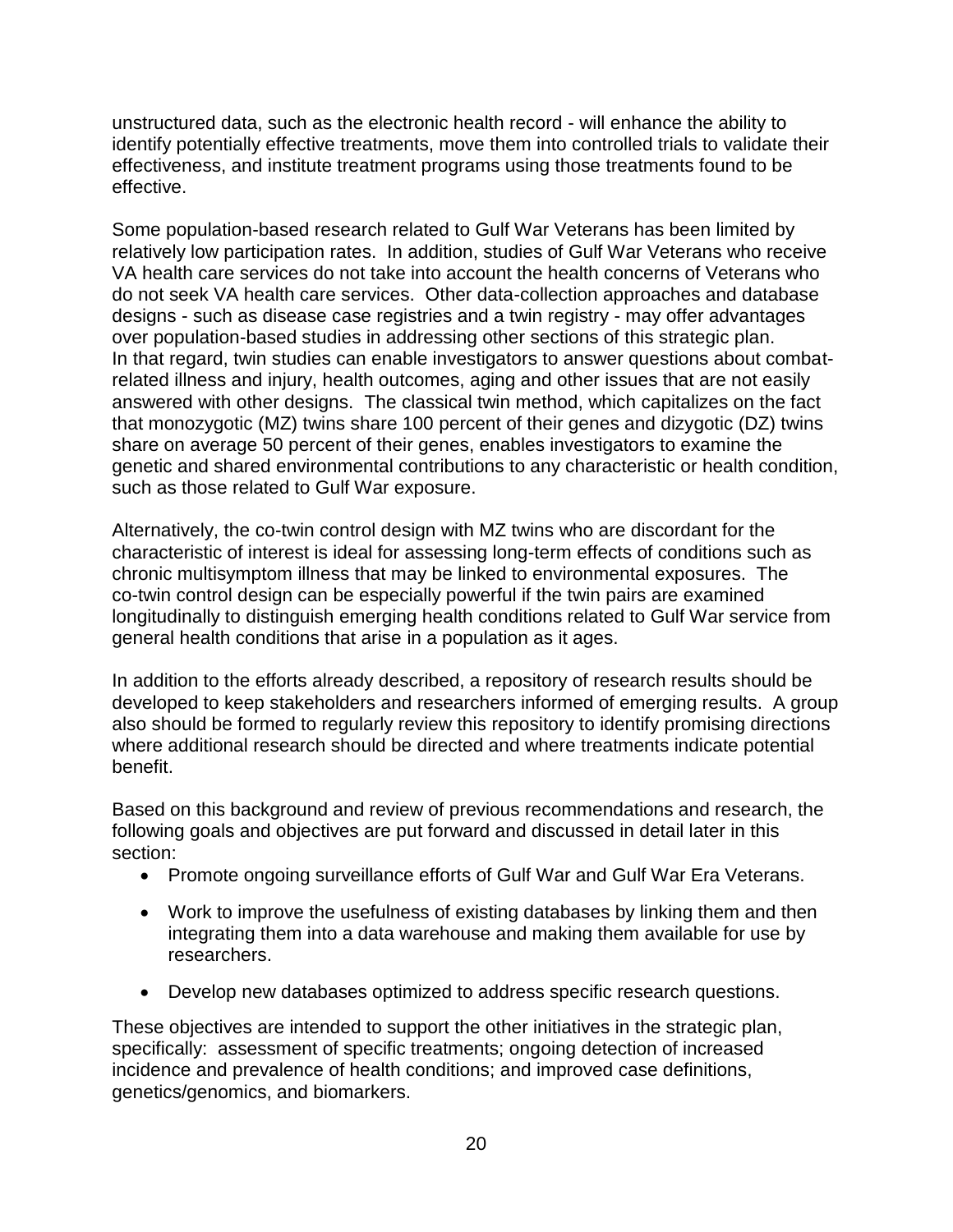unstructured data, such as the electronic health record - will enhance the ability to identify potentially effective treatments, move them into controlled trials to validate their effectiveness, and institute treatment programs using those treatments found to be effective.

Some population-based research related to Gulf War Veterans has been limited by relatively low participation rates. In addition, studies of Gulf War Veterans who receive VA health care services do not take into account the health concerns of Veterans who do not seek VA health care services. Other data-collection approaches and database designs - such as disease case registries and a twin registry - may offer advantages over population-based studies in addressing other sections of this strategic plan. In that regard, twin studies can enable investigators to answer questions about combatrelated illness and injury, health outcomes, aging and other issues that are not easily answered with other designs. The classical twin method, which capitalizes on the fact that monozygotic (MZ) twins share 100 percent of their genes and dizygotic (DZ) twins share on average 50 percent of their genes, enables investigators to examine the genetic and shared environmental contributions to any characteristic or health condition, such as those related to Gulf War exposure.

Alternatively, the co-twin control design with MZ twins who are discordant for the characteristic of interest is ideal for assessing long-term effects of conditions such as chronic multisymptom illness that may be linked to environmental exposures. The co-twin control design can be especially powerful if the twin pairs are examined longitudinally to distinguish emerging health conditions related to Gulf War service from general health conditions that arise in a population as it ages.

In addition to the efforts already described, a repository of research results should be developed to keep stakeholders and researchers informed of emerging results. A group also should be formed to regularly review this repository to identify promising directions where additional research should be directed and where treatments indicate potential benefit.

Based on this background and review of previous recommendations and research, the following goals and objectives are put forward and discussed in detail later in this section:

- Promote ongoing surveillance efforts of Gulf War and Gulf War Era Veterans.
- Work to improve the usefulness of existing databases by linking them and then integrating them into a data warehouse and making them available for use by researchers.
- Develop new databases optimized to address specific research questions.

These objectives are intended to support the other initiatives in the strategic plan, specifically: assessment of specific treatments; ongoing detection of increased incidence and prevalence of health conditions; and improved case definitions, genetics/genomics, and biomarkers.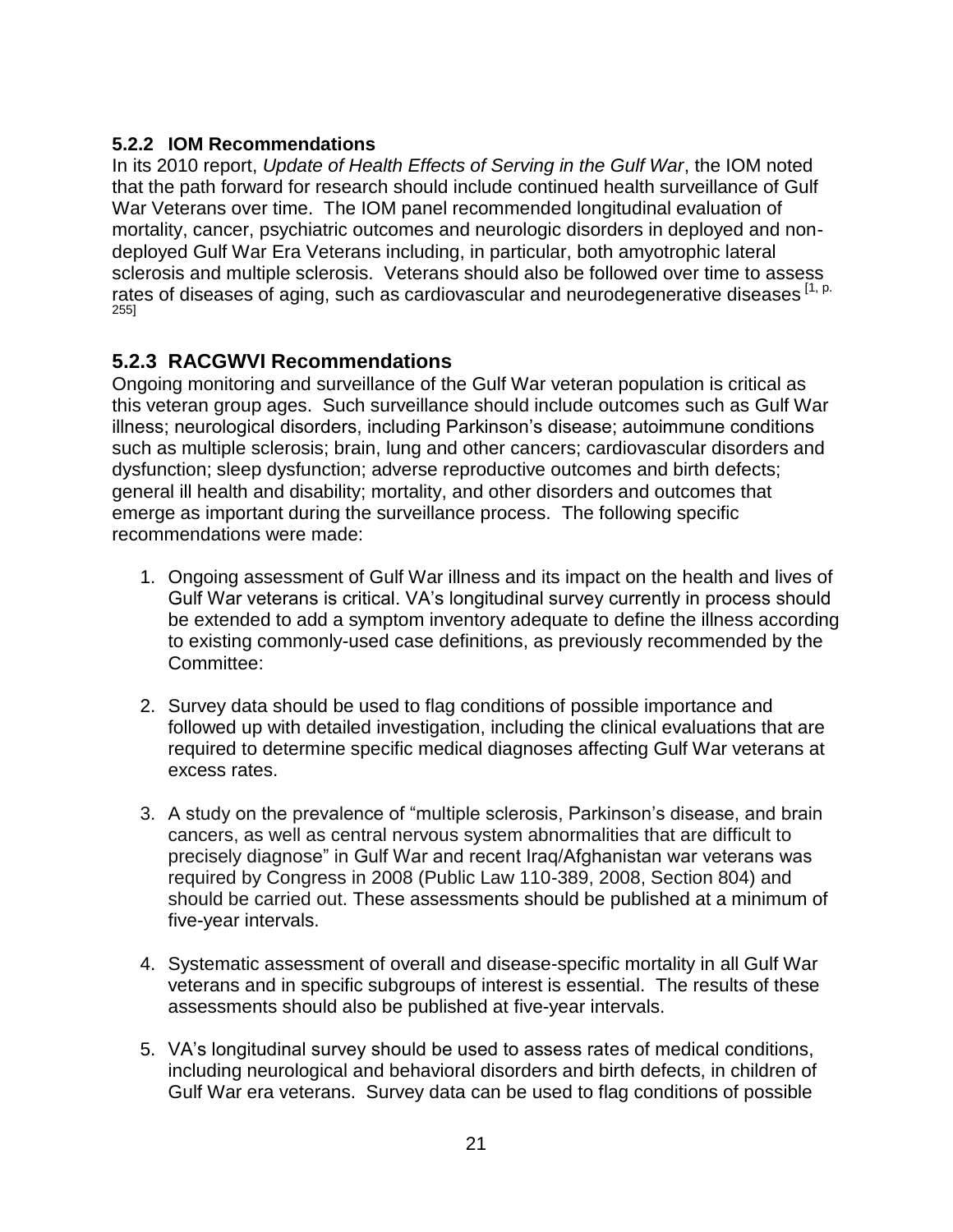#### <span id="page-20-0"></span>**5.2.2 IOM Recommendations**

In its 2010 report, *Update of Health Effects of Serving in the Gulf War*, the IOM noted that the path forward for research should include continued health surveillance of Gulf War Veterans over time. The IOM panel recommended longitudinal evaluation of mortality, cancer, psychiatric outcomes and neurologic disorders in deployed and nondeployed Gulf War Era Veterans including, in particular, both amyotrophic lateral sclerosis and multiple sclerosis. Veterans should also be followed over time to assess rates of diseases of aging, such as cardiovascular and neurodegenerative diseases [1, p. 255]

#### <span id="page-20-1"></span>**5.2.3 RACGWVI Recommendations**

Ongoing monitoring and surveillance of the Gulf War veteran population is critical as this veteran group ages. Such surveillance should include outcomes such as Gulf War illness; neurological disorders, including Parkinson's disease; autoimmune conditions such as multiple sclerosis; brain, lung and other cancers; cardiovascular disorders and dysfunction; sleep dysfunction; adverse reproductive outcomes and birth defects; general ill health and disability; mortality, and other disorders and outcomes that emerge as important during the surveillance process. The following specific recommendations were made:

- 1. Ongoing assessment of Gulf War illness and its impact on the health and lives of Gulf War veterans is critical. VA's longitudinal survey currently in process should be extended to add a symptom inventory adequate to define the illness according to existing commonly-used case definitions, as previously recommended by the Committee:
- 2. Survey data should be used to flag conditions of possible importance and followed up with detailed investigation, including the clinical evaluations that are required to determine specific medical diagnoses affecting Gulf War veterans at excess rates.
- 3. A study on the prevalence of "multiple sclerosis, Parkinson's disease, and brain cancers, as well as central nervous system abnormalities that are difficult to precisely diagnose" in Gulf War and recent Iraq/Afghanistan war veterans was required by Congress in 2008 (Public Law 110-389, 2008, Section 804) and should be carried out. These assessments should be published at a minimum of five-year intervals.
- 4. Systematic assessment of overall and disease-specific mortality in all Gulf War veterans and in specific subgroups of interest is essential. The results of these assessments should also be published at five-year intervals.
- 5. VA's longitudinal survey should be used to assess rates of medical conditions, including neurological and behavioral disorders and birth defects, in children of Gulf War era veterans. Survey data can be used to flag conditions of possible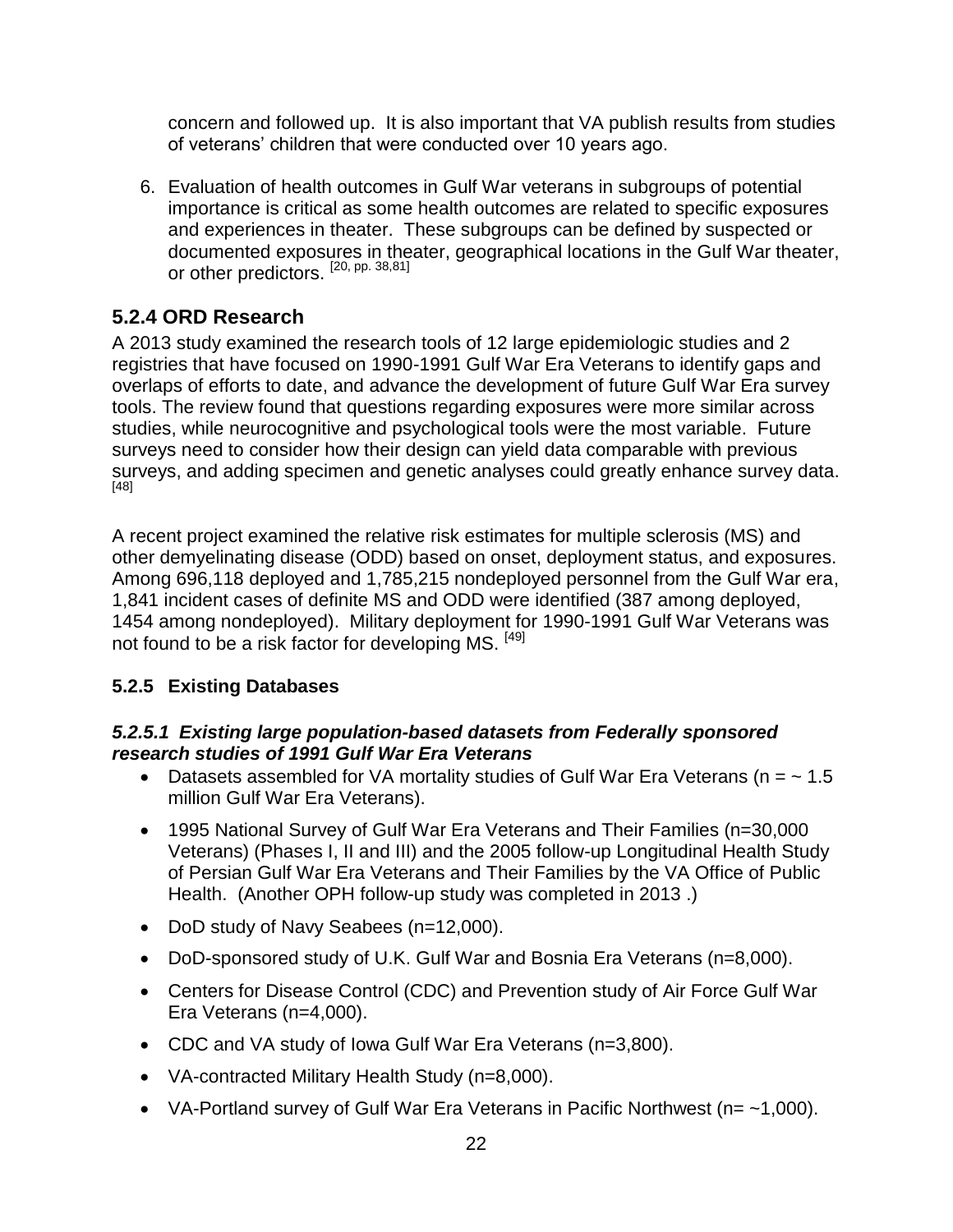concern and followed up. It is also important that VA publish results from studies of veterans' children that were conducted over 10 years ago.

6. Evaluation of health outcomes in Gulf War veterans in subgroups of potential importance is critical as some health outcomes are related to specific exposures and experiences in theater. These subgroups can be defined by suspected or documented exposures in theater, geographical locations in the Gulf War theater, or other predictors.<sup>[20, pp. 38,81]</sup>

#### <span id="page-21-0"></span>**5.2.4 ORD Research**

A 2013 study examined the research tools of 12 large epidemiologic studies and 2 registries that have focused on 1990-1991 Gulf War Era Veterans to identify gaps and overlaps of efforts to date, and advance the development of future Gulf War Era survey tools. The review found that questions regarding exposures were more similar across studies, while neurocognitive and psychological tools were the most variable. Future surveys need to consider how their design can yield data comparable with previous surveys, and adding specimen and genetic analyses could greatly enhance survey data. [48]

A recent project examined the relative risk estimates for multiple sclerosis (MS) and other demyelinating disease (ODD) based on onset, deployment status, and exposures. Among 696,118 deployed and 1,785,215 nondeployed personnel from the Gulf War era, 1,841 incident cases of definite MS and ODD were identified (387 among deployed, 1454 among nondeployed). Military deployment for 1990-1991 Gulf War Veterans was not found to be a risk factor for developing MS. [49]

#### <span id="page-21-1"></span>**5.2.5 Existing Databases**

#### *5.2.5.1 Existing large population-based datasets from Federally sponsored research studies of 1991 Gulf War Era Veterans*

- Datasets assembled for VA mortality studies of Gulf War Era Veterans ( $n = \sim 1.5$ ) million Gulf War Era Veterans).
- 1995 National Survey of Gulf War Era Veterans and Their Families (n=30,000 Veterans) (Phases I, II and III) and the 2005 follow-up Longitudinal Health Study of Persian Gulf War Era Veterans and Their Families by the VA Office of Public Health. (Another OPH follow-up study was completed in 2013 .)
- DoD study of Navy Seabees (n=12,000).
- DoD-sponsored study of U.K. Gulf War and Bosnia Era Veterans (n=8,000).
- Centers for Disease Control (CDC) and Prevention study of Air Force Gulf War Era Veterans (n=4,000).
- CDC and VA study of Iowa Gulf War Era Veterans (n=3,800).
- VA-contracted Military Health Study (n=8,000).
- VA-Portland survey of Gulf War Era Veterans in Pacific Northwest ( $n = -1,000$ ).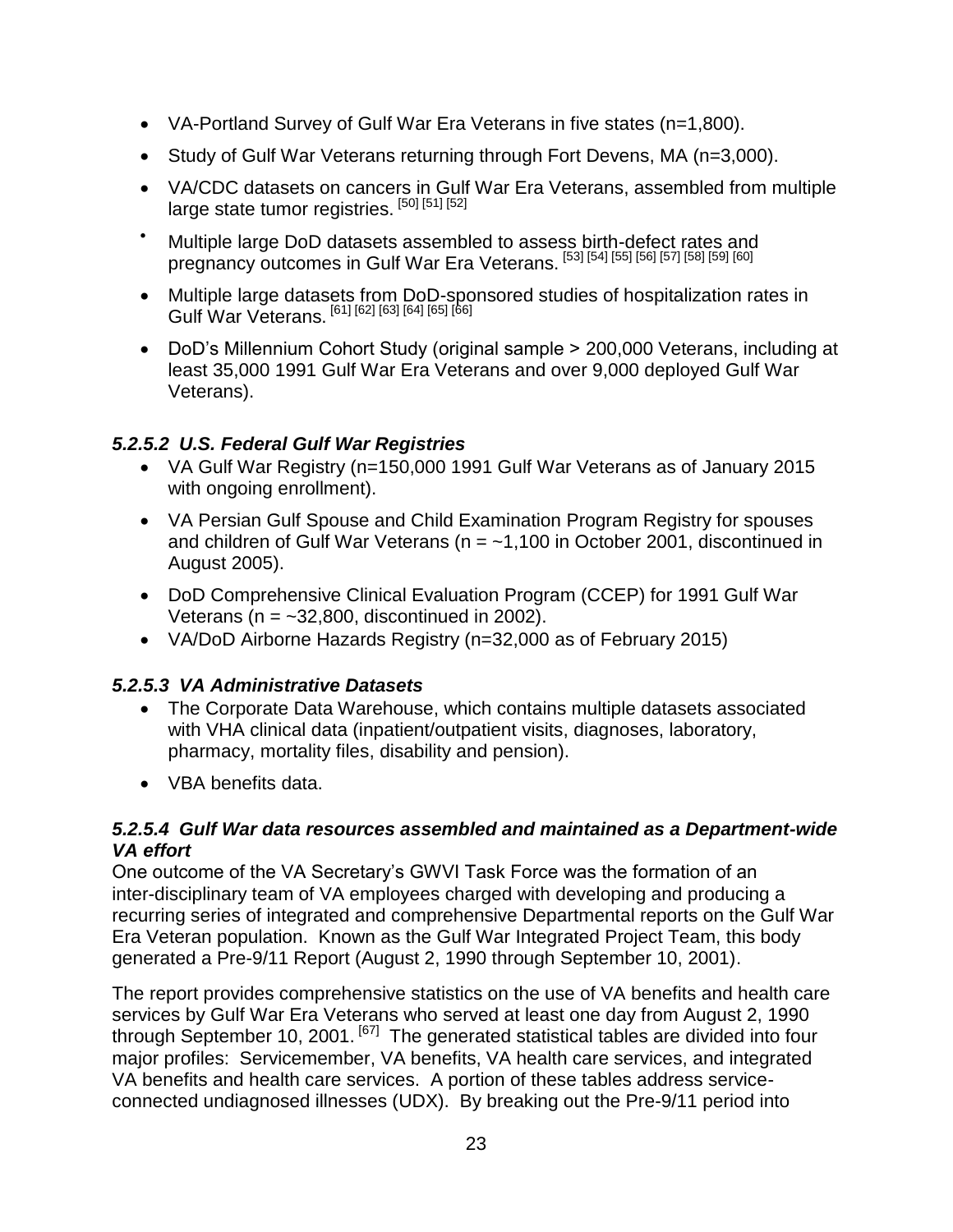- VA-Portland Survey of Gulf War Era Veterans in five states (n=1,800).
- Study of Gulf War Veterans returning through Fort Devens, MA (n=3,000).
- VA/CDC datasets on cancers in Gulf War Era Veterans, assembled from multiple large state tumor registries. [50] [51] [52]
- $\bullet$  Multiple large DoD datasets assembled to assess birth-defect rates and pregnancy outcomes in Gulf War Era Veterans. [53] [54] [55] [56] [57] [58] [59] [60]
- Multiple large datasets from DoD-sponsored studies of hospitalization rates in Gulf War Veterans. [61] [62] [63] [64] [65] [66]
- DoD's Millennium Cohort Study (original sample > 200,000 Veterans, including at least 35,000 1991 Gulf War Era Veterans and over 9,000 deployed Gulf War Veterans).

#### *5.2.5.2 U.S. Federal Gulf War Registries*

- VA Gulf War Registry (n=150,000 1991 Gulf War Veterans as of January 2015 with ongoing enrollment).
- VA Persian Gulf Spouse and Child Examination Program Registry for spouses and children of Gulf War Veterans ( $n = -1,100$  in October 2001, discontinued in August 2005).
- DoD Comprehensive Clinical Evaluation Program (CCEP) for 1991 Gulf War Veterans ( $n = -32,800$ , discontinued in 2002).
- VA/DoD Airborne Hazards Registry (n=32,000 as of February 2015)

#### *5.2.5.3 VA Administrative Datasets*

- The Corporate Data Warehouse, which contains multiple datasets associated with VHA clinical data (inpatient/outpatient visits, diagnoses, laboratory, pharmacy, mortality files, disability and pension).
- VBA benefits data.

#### *5.2.5.4 Gulf War data resources assembled and maintained as a Department-wide VA effort*

One outcome of the VA Secretary's GWVI Task Force was the formation of an inter-disciplinary team of VA employees charged with developing and producing a recurring series of integrated and comprehensive Departmental reports on the Gulf War Era Veteran population. Known as the Gulf War Integrated Project Team, this body generated a Pre-9/11 Report (August 2, 1990 through September 10, 2001).

The report provides comprehensive statistics on the use of VA benefits and health care services by Gulf War Era Veterans who served at least one day from August 2, 1990 through September 10, 2001. <sup>[67]</sup> The generated statistical tables are divided into four major profiles: Servicemember, VA benefits, VA health care services, and integrated VA benefits and health care services. A portion of these tables address serviceconnected undiagnosed illnesses (UDX). By breaking out the Pre-9/11 period into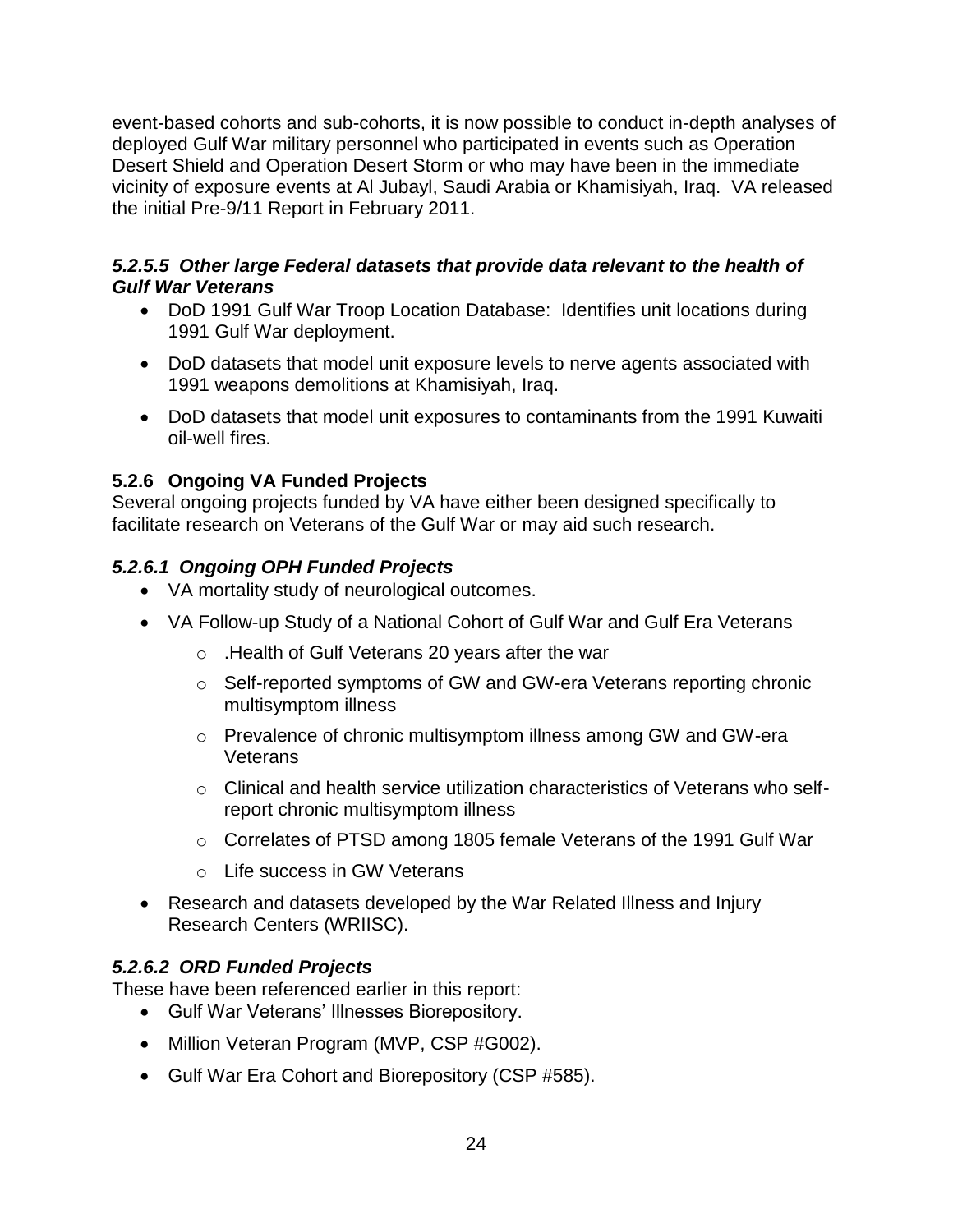event-based cohorts and sub-cohorts, it is now possible to conduct in-depth analyses of deployed Gulf War military personnel who participated in events such as Operation Desert Shield and Operation Desert Storm or who may have been in the immediate vicinity of exposure events at Al Jubayl, Saudi Arabia or Khamisiyah, Iraq. VA released the initial Pre-9/11 Report in February 2011.

#### *5.2.5.5 Other large Federal datasets that provide data relevant to the health of Gulf War Veterans*

- DoD 1991 Gulf War Troop Location Database: Identifies unit locations during 1991 Gulf War deployment.
- DoD datasets that model unit exposure levels to nerve agents associated with 1991 weapons demolitions at Khamisiyah, Iraq.
- DoD datasets that model unit exposures to contaminants from the 1991 Kuwaiti oil-well fires.

#### <span id="page-23-0"></span>**5.2.6 Ongoing VA Funded Projects**

Several ongoing projects funded by VA have either been designed specifically to facilitate research on Veterans of the Gulf War or may aid such research.

#### *5.2.6.1 Ongoing OPH Funded Projects*

- VA mortality study of neurological outcomes.
- VA Follow-up Study of a National Cohort of Gulf War and Gulf Era Veterans
	- o .Health of Gulf Veterans 20 years after the war
	- o Self-reported symptoms of GW and GW-era Veterans reporting chronic multisymptom illness
	- o Prevalence of chronic multisymptom illness among GW and GW-era Veterans
	- $\circ$  Clinical and health service utilization characteristics of Veterans who selfreport chronic multisymptom illness
	- o Correlates of PTSD among 1805 female Veterans of the 1991 Gulf War
	- o Life success in GW Veterans
- Research and datasets developed by the War Related Illness and Injury Research Centers (WRIISC).

#### *5.2.6.2 ORD Funded Projects*

These have been referenced earlier in this report:

- Gulf War Veterans' Illnesses Biorepository.
- Million Veteran Program (MVP, CSP #G002).
- Gulf War Era Cohort and Biorepository (CSP #585).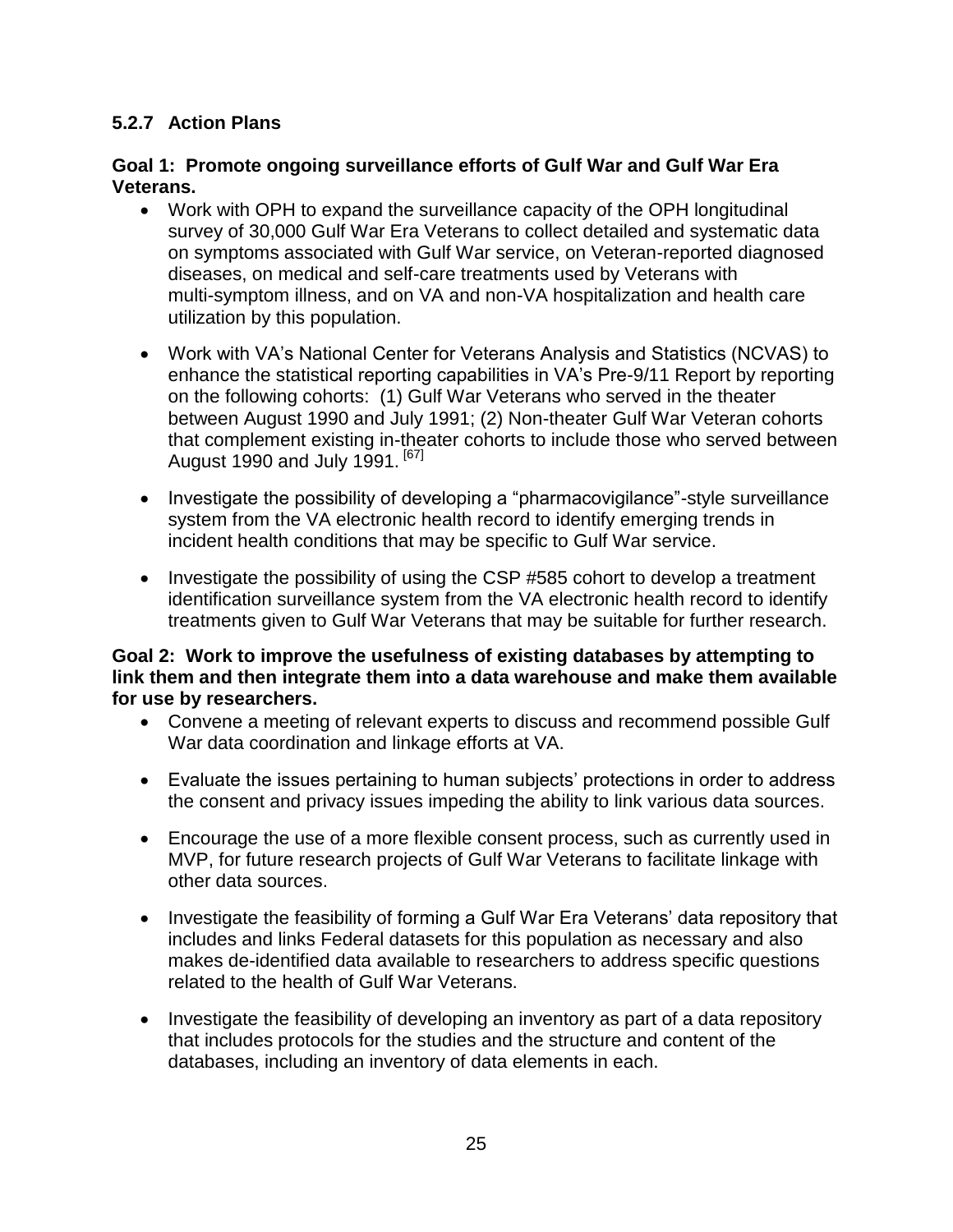#### <span id="page-24-0"></span>**5.2.7 Action Plans**

#### **Goal 1: Promote ongoing surveillance efforts of Gulf War and Gulf War Era Veterans.**

- Work with OPH to expand the surveillance capacity of the OPH longitudinal survey of 30,000 Gulf War Era Veterans to collect detailed and systematic data on symptoms associated with Gulf War service, on Veteran-reported diagnosed diseases, on medical and self-care treatments used by Veterans with multi-symptom illness, and on VA and non-VA hospitalization and health care utilization by this population.
- Work with VA's National Center for Veterans Analysis and Statistics (NCVAS) to enhance the statistical reporting capabilities in VA's Pre-9/11 Report by reporting on the following cohorts: (1) Gulf War Veterans who served in the theater between August 1990 and July 1991; (2) Non-theater Gulf War Veteran cohorts that complement existing in-theater cohorts to include those who served between August 1990 and July 1991.  $[67]$
- Investigate the possibility of developing a "pharmacovigilance"-style surveillance system from the VA electronic health record to identify emerging trends in incident health conditions that may be specific to Gulf War service.
- Investigate the possibility of using the CSP #585 cohort to develop a treatment identification surveillance system from the VA electronic health record to identify treatments given to Gulf War Veterans that may be suitable for further research.

#### **Goal 2: Work to improve the usefulness of existing databases by attempting to link them and then integrate them into a data warehouse and make them available for use by researchers.**

- Convene a meeting of relevant experts to discuss and recommend possible Gulf War data coordination and linkage efforts at VA.
- Evaluate the issues pertaining to human subjects' protections in order to address the consent and privacy issues impeding the ability to link various data sources.
- Encourage the use of a more flexible consent process, such as currently used in MVP, for future research projects of Gulf War Veterans to facilitate linkage with other data sources.
- Investigate the feasibility of forming a Gulf War Era Veterans' data repository that includes and links Federal datasets for this population as necessary and also makes de-identified data available to researchers to address specific questions related to the health of Gulf War Veterans.
- Investigate the feasibility of developing an inventory as part of a data repository that includes protocols for the studies and the structure and content of the databases, including an inventory of data elements in each.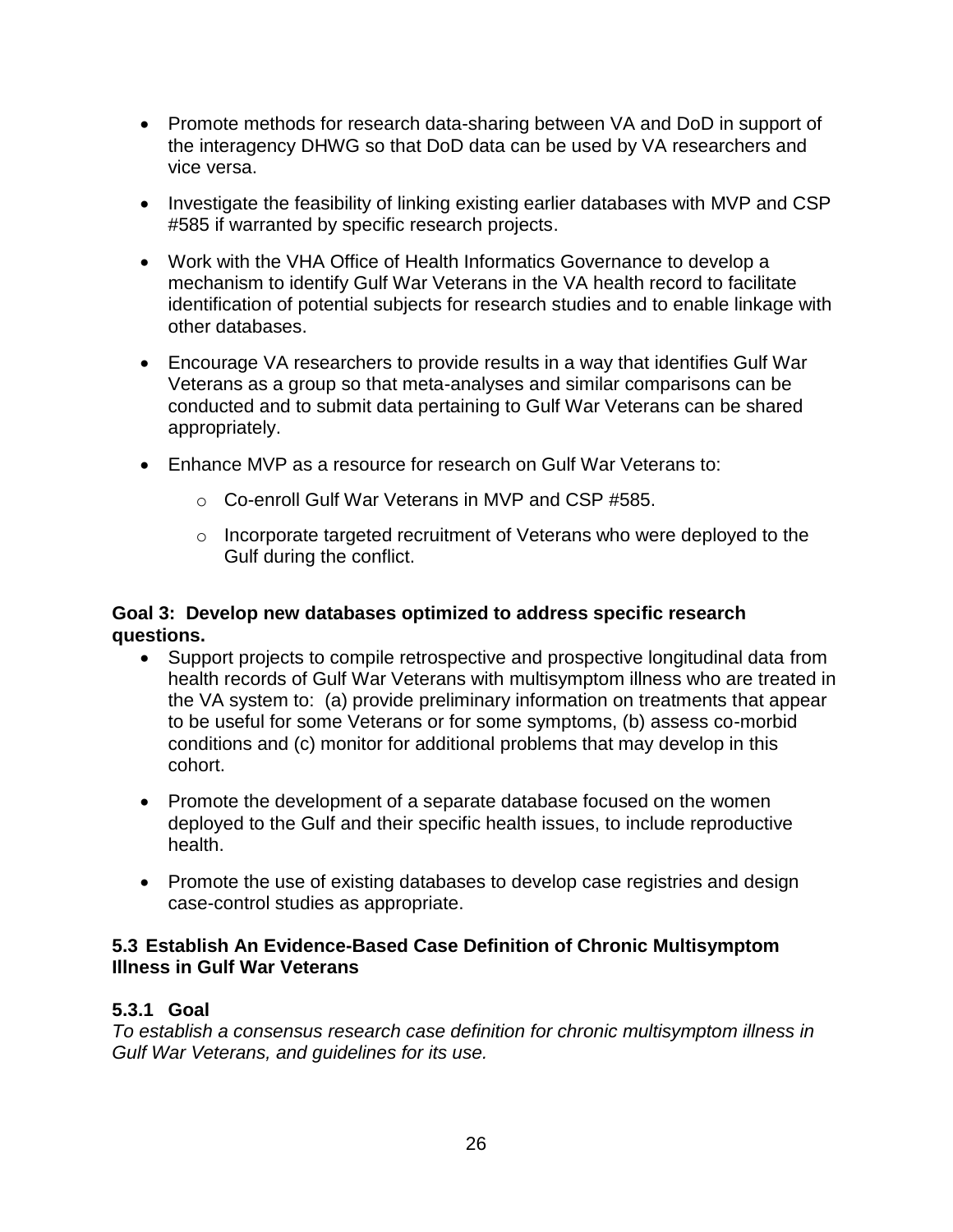- Promote methods for research data-sharing between VA and DoD in support of the interagency DHWG so that DoD data can be used by VA researchers and vice versa.
- Investigate the feasibility of linking existing earlier databases with MVP and CSP #585 if warranted by specific research projects.
- Work with the VHA Office of Health Informatics Governance to develop a mechanism to identify Gulf War Veterans in the VA health record to facilitate identification of potential subjects for research studies and to enable linkage with other databases.
- Encourage VA researchers to provide results in a way that identifies Gulf War Veterans as a group so that meta-analyses and similar comparisons can be conducted and to submit data pertaining to Gulf War Veterans can be shared appropriately.
- Enhance MVP as a resource for research on Gulf War Veterans to:
	- o Co-enroll Gulf War Veterans in MVP and CSP #585.
	- o Incorporate targeted recruitment of Veterans who were deployed to the Gulf during the conflict.

#### **Goal 3: Develop new databases optimized to address specific research questions.**

- Support projects to compile retrospective and prospective longitudinal data from health records of Gulf War Veterans with multisymptom illness who are treated in the VA system to: (a) provide preliminary information on treatments that appear to be useful for some Veterans or for some symptoms, (b) assess co-morbid conditions and (c) monitor for additional problems that may develop in this cohort.
- Promote the development of a separate database focused on the women deployed to the Gulf and their specific health issues, to include reproductive health.
- Promote the use of existing databases to develop case registries and design case-control studies as appropriate.

#### <span id="page-25-0"></span>**5.3 Establish An Evidence-Based Case Definition of Chronic Multisymptom Illness in Gulf War Veterans**

#### <span id="page-25-1"></span>**5.3.1 Goal**

*To establish a consensus research case definition for chronic multisymptom illness in Gulf War Veterans, and guidelines for its use.*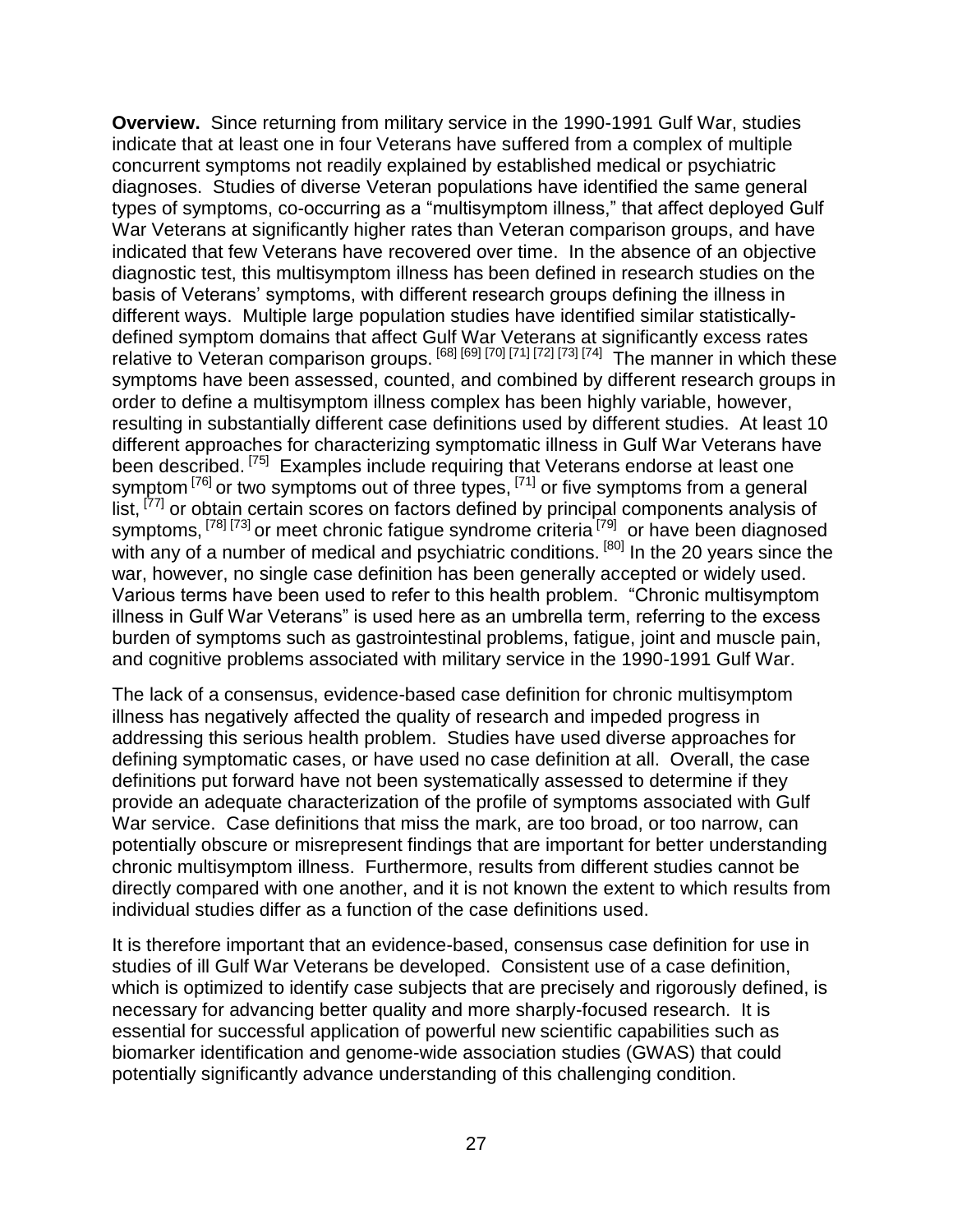**Overview.** Since returning from military service in the 1990-1991 Gulf War, studies indicate that at least one in four Veterans have suffered from a complex of multiple concurrent symptoms not readily explained by established medical or psychiatric diagnoses. Studies of diverse Veteran populations have identified the same general types of symptoms, co-occurring as a "multisymptom illness," that affect deployed Gulf War Veterans at significantly higher rates than Veteran comparison groups, and have indicated that few Veterans have recovered over time. In the absence of an objective diagnostic test, this multisymptom illness has been defined in research studies on the basis of Veterans' symptoms, with different research groups defining the illness in different ways. Multiple large population studies have identified similar statisticallydefined symptom domains that affect Gulf War Veterans at significantly excess rates relative to Veteran comparison groups. <sup>[68] [69]</sup> <sup>[70] [71] [72] [73] [74] The manner in which these</sup> symptoms have been assessed, counted, and combined by different research groups in order to define a multisymptom illness complex has been highly variable, however, resulting in substantially different case definitions used by different studies. At least 10 different approaches for characterizing symptomatic illness in Gulf War Veterans have been described.<sup>[75]</sup> Examples include requiring that Veterans endorse at least one symptom  $^{[76]}$  or two symptoms out of three types,  $^{[71]}$  or five symptoms from a general list, <sup>[77]</sup> or obtain certain scores on factors defined by principal components analysis of symptoms, <sup>[78] [73]</sup> or meet chronic fatigue syndrome criteria<sup>[79]</sup> or have been diagnosed with any of a number of medical and psychiatric conditions. <sup>[80]</sup> In the 20 years since the war, however, no single case definition has been generally accepted or widely used. Various terms have been used to refer to this health problem. "Chronic multisymptom illness in Gulf War Veterans" is used here as an umbrella term, referring to the excess burden of symptoms such as gastrointestinal problems, fatigue, joint and muscle pain, and cognitive problems associated with military service in the 1990-1991 Gulf War.

The lack of a consensus, evidence-based case definition for chronic multisymptom illness has negatively affected the quality of research and impeded progress in addressing this serious health problem. Studies have used diverse approaches for defining symptomatic cases, or have used no case definition at all. Overall, the case definitions put forward have not been systematically assessed to determine if they provide an adequate characterization of the profile of symptoms associated with Gulf War service. Case definitions that miss the mark, are too broad, or too narrow, can potentially obscure or misrepresent findings that are important for better understanding chronic multisymptom illness. Furthermore, results from different studies cannot be directly compared with one another, and it is not known the extent to which results from individual studies differ as a function of the case definitions used.

It is therefore important that an evidence-based, consensus case definition for use in studies of ill Gulf War Veterans be developed. Consistent use of a case definition, which is optimized to identify case subjects that are precisely and rigorously defined, is necessary for advancing better quality and more sharply-focused research. It is essential for successful application of powerful new scientific capabilities such as biomarker identification and genome-wide association studies (GWAS) that could potentially significantly advance understanding of this challenging condition.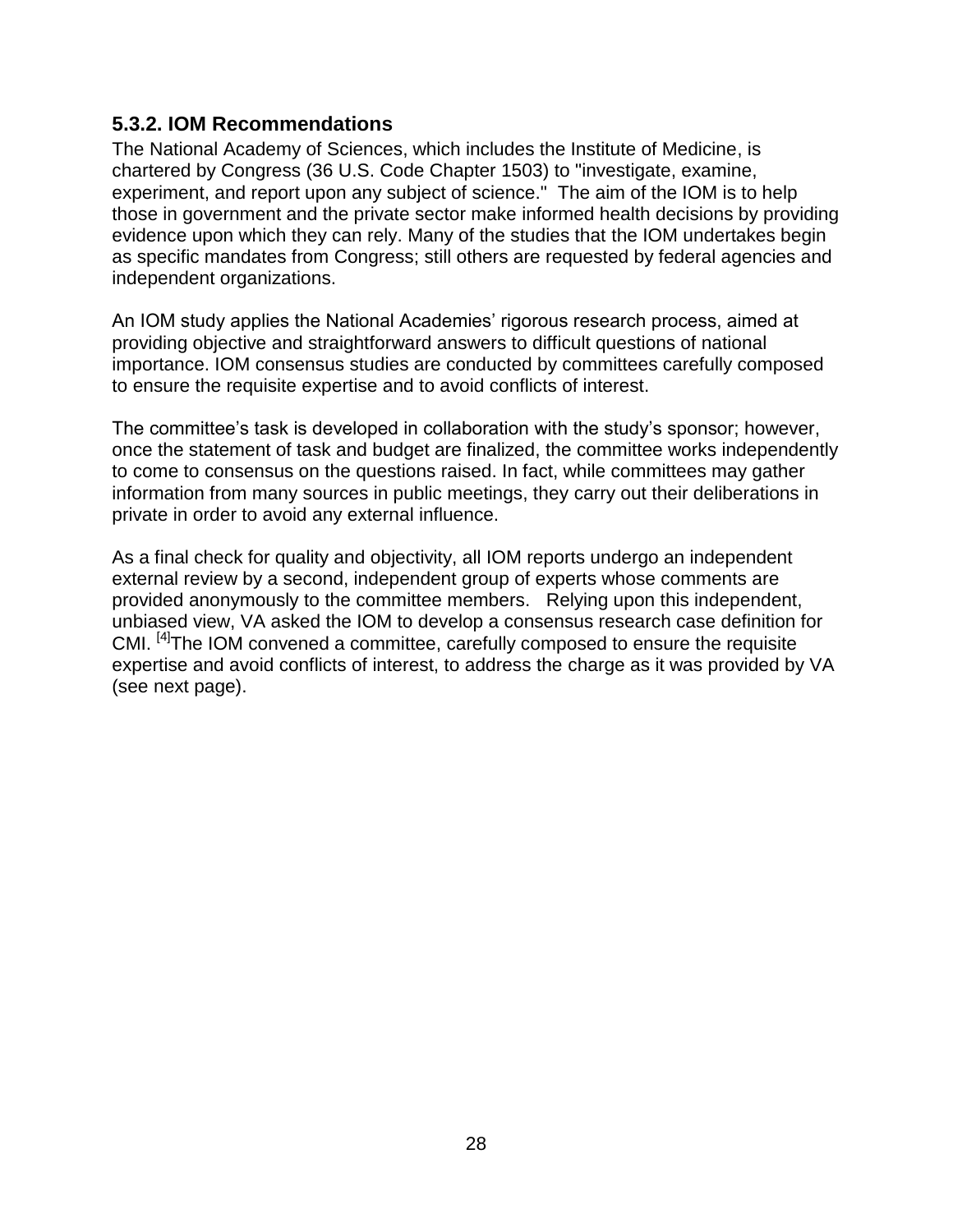#### <span id="page-27-0"></span>**5.3.2. IOM Recommendations**

The National Academy of Sciences, which includes the Institute of Medicine, is chartered by Congress (36 U.S. Code Chapter 1503) to "investigate, examine, experiment, and report upon any subject of science." The aim of the IOM is to help those in government and the private sector make informed health decisions by providing evidence upon which they can rely. Many of the studies that the IOM undertakes begin as specific mandates from Congress; still others are requested by federal agencies and independent organizations.

An IOM study applies the National Academies' rigorous research process, aimed at providing objective and straightforward answers to difficult questions of national importance. IOM consensus studies are conducted by committees carefully composed to ensure the requisite expertise and to avoid conflicts of interest.

The committee's task is developed in collaboration with the study's sponsor; however, once the statement of task and budget are finalized, the committee works independently to come to consensus on the questions raised. In fact, while committees may gather information from many sources in public meetings, they carry out their deliberations in private in order to avoid any external influence.

As a final check for quality and objectivity, all IOM reports undergo an independent external review by a second, independent group of experts whose comments are provided anonymously to the committee members. Relying upon this independent, unbiased view, VA asked the IOM to develop a consensus research case definition for CMI. <sup>[4]</sup>The IOM convened a committee, carefully composed to ensure the requisite expertise and avoid conflicts of interest, to address the charge as it was provided by VA (see next page).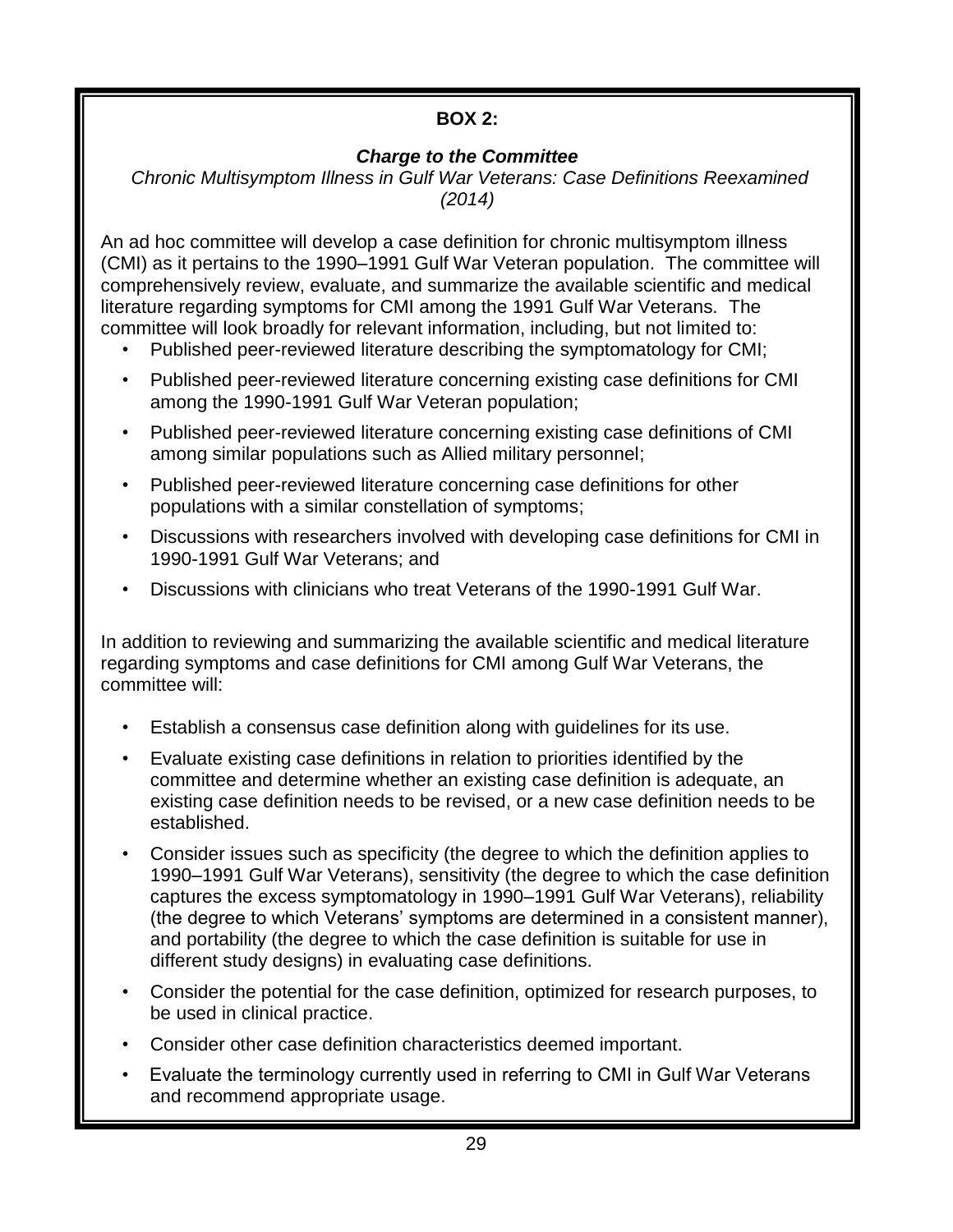#### **BOX 2:**

#### *Charge to the Committee*

*Chronic Multisymptom Illness in Gulf War Veterans: Case Definitions Reexamined (2014)*

An ad hoc committee will develop a case definition for chronic multisymptom illness (CMI) as it pertains to the 1990–1991 Gulf War Veteran population. The committee will comprehensively review, evaluate, and summarize the available scientific and medical literature regarding symptoms for CMI among the 1991 Gulf War Veterans. The committee will look broadly for relevant information, including, but not limited to:

- Published peer-reviewed literature describing the symptomatology for CMI;
- Published peer-reviewed literature concerning existing case definitions for CMI among the 1990-1991 Gulf War Veteran population;
- Published peer-reviewed literature concerning existing case definitions of CMI among similar populations such as Allied military personnel;
- Published peer-reviewed literature concerning case definitions for other populations with a similar constellation of symptoms;
- Discussions with researchers involved with developing case definitions for CMI in 1990-1991 Gulf War Veterans; and
- Discussions with clinicians who treat Veterans of the 1990-1991 Gulf War.

In addition to reviewing and summarizing the available scientific and medical literature regarding symptoms and case definitions for CMI among Gulf War Veterans, the committee will:

- Establish a consensus case definition along with guidelines for its use.
- Evaluate existing case definitions in relation to priorities identified by the committee and determine whether an existing case definition is adequate, an existing case definition needs to be revised, or a new case definition needs to be established.
- Consider issues such as specificity (the degree to which the definition applies to 1990–1991 Gulf War Veterans), sensitivity (the degree to which the case definition captures the excess symptomatology in 1990–1991 Gulf War Veterans), reliability (the degree to which Veterans' symptoms are determined in a consistent manner), and portability (the degree to which the case definition is suitable for use in different study designs) in evaluating case definitions.
- Consider the potential for the case definition, optimized for research purposes, to be used in clinical practice.
- Consider other case definition characteristics deemed important.
- Evaluate the terminology currently used in referring to CMI in Gulf War Veterans and recommend appropriate usage.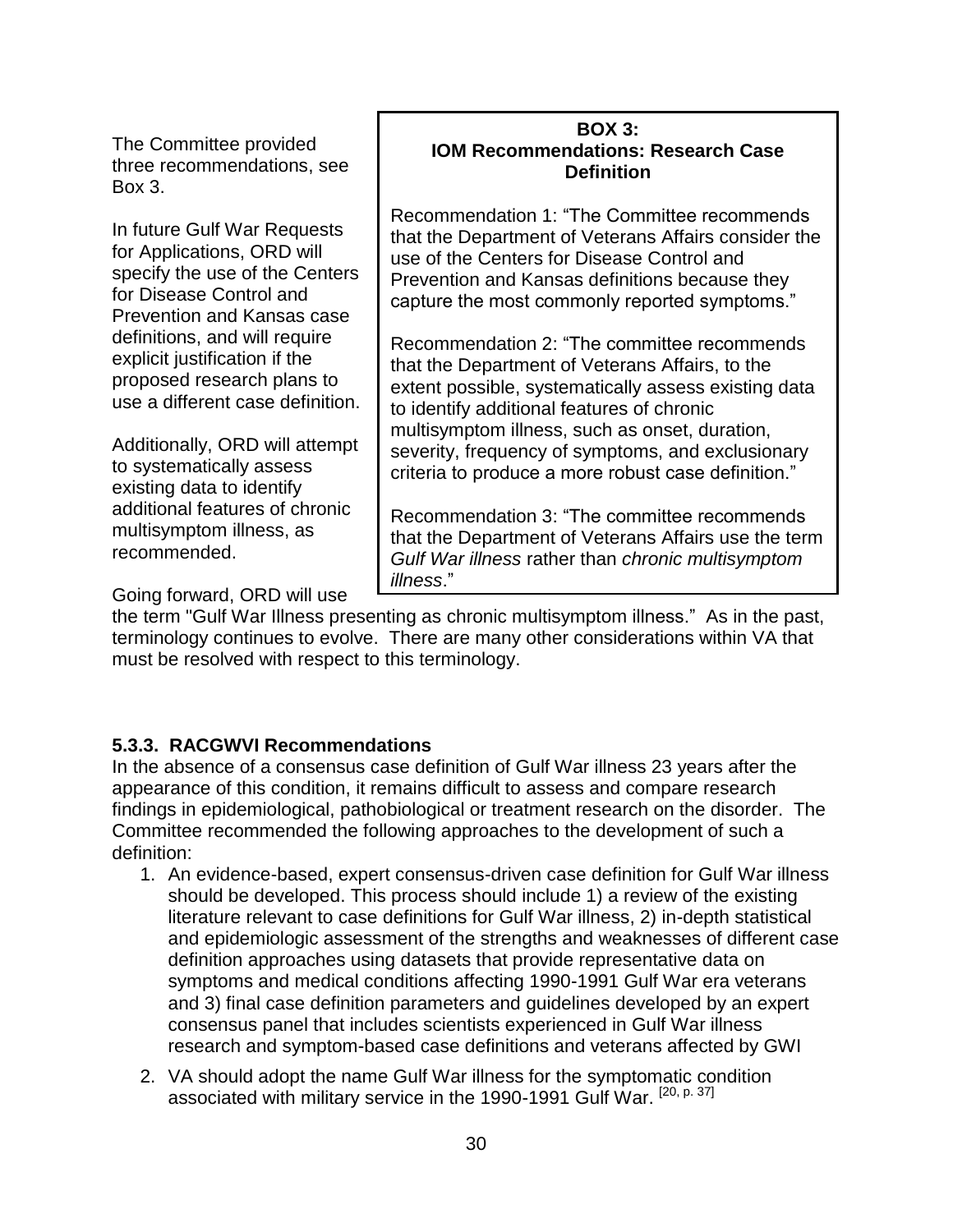In late January, 2012, at a meeting of the RACGWVI, which was also attended by some members of the NRAC and GWSC, the revised draft Gulf War Research Strategic Plan was discussed at length. After the meeting, additional revisions were made based on the recommendations of the RACGWVI and the mission of VA, and the newly revised Gulf War Research Strategic Plan was presented to the entire NRAC at their meeting in late February, 2012. With NRAC recommendations, the draft Gulf War Research Strategic Plan was ready for final review by the RACGWVI and NRAC at their respective meetings in June, 2012. Having successfully completed the intent of its charter, the GWSC was dissolved when the final Gulf War Research Strategic Plan was approved by VA.

In developing this update to the Gulf War Research Strategic Plan, ORD has again relied upon the expertise of our Federal advisory committees. The NRAC and RACGWVI will review this plan periodically to recommend updates as needed.

#### 2.3 VA Research and Development Strategic Plan

The Gulf War Research Strategic Plan 2013-2017 is informed by and consistent with both the VA Research and Development Strategic Plan (new plan currently under development) and the Veterans Health Administration (VHA) Blueprint for Excellence (http://www.va.gov/HEALTH/docs/VHA\_Blueprint\_for\_Excellence.pdf).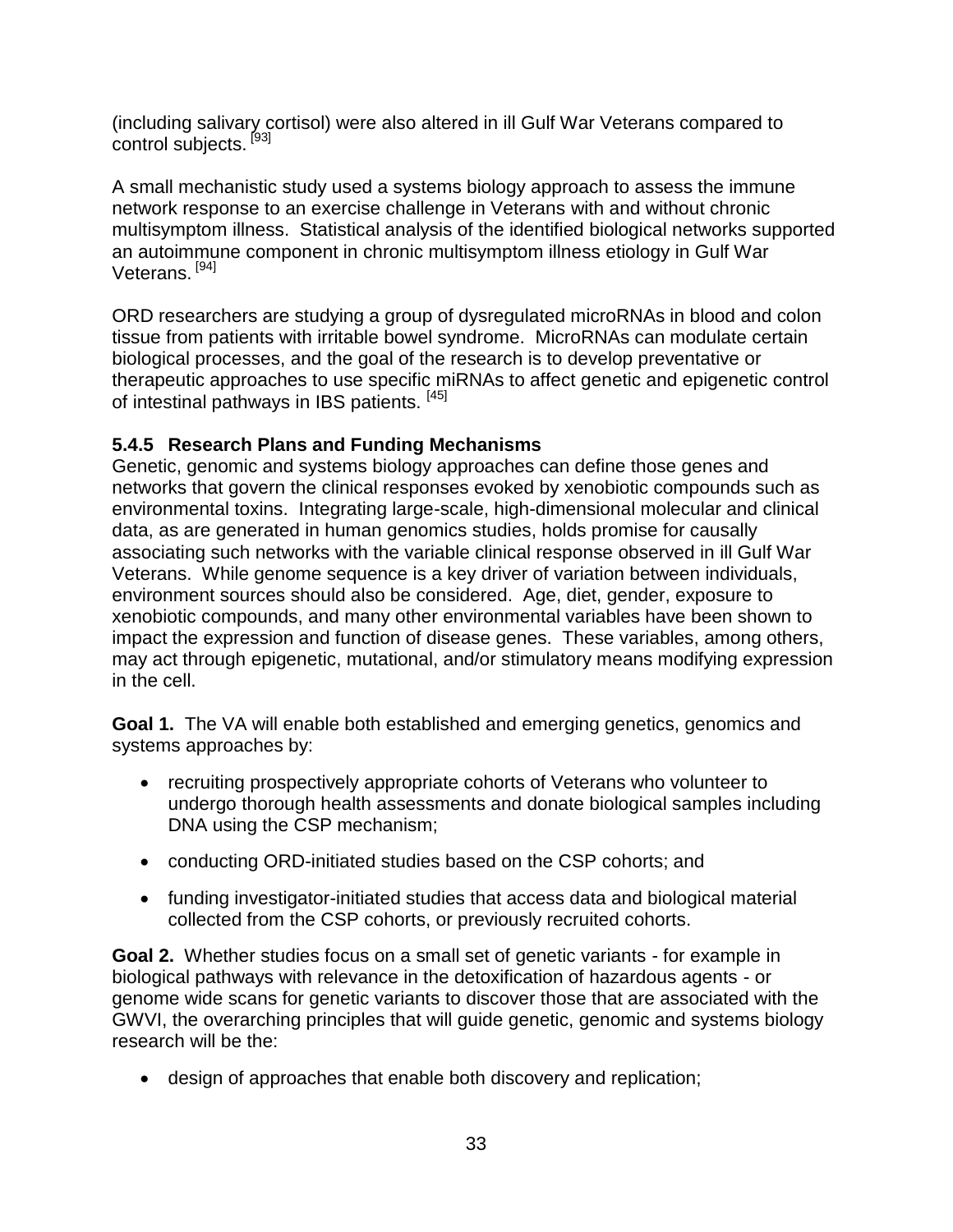|--|--|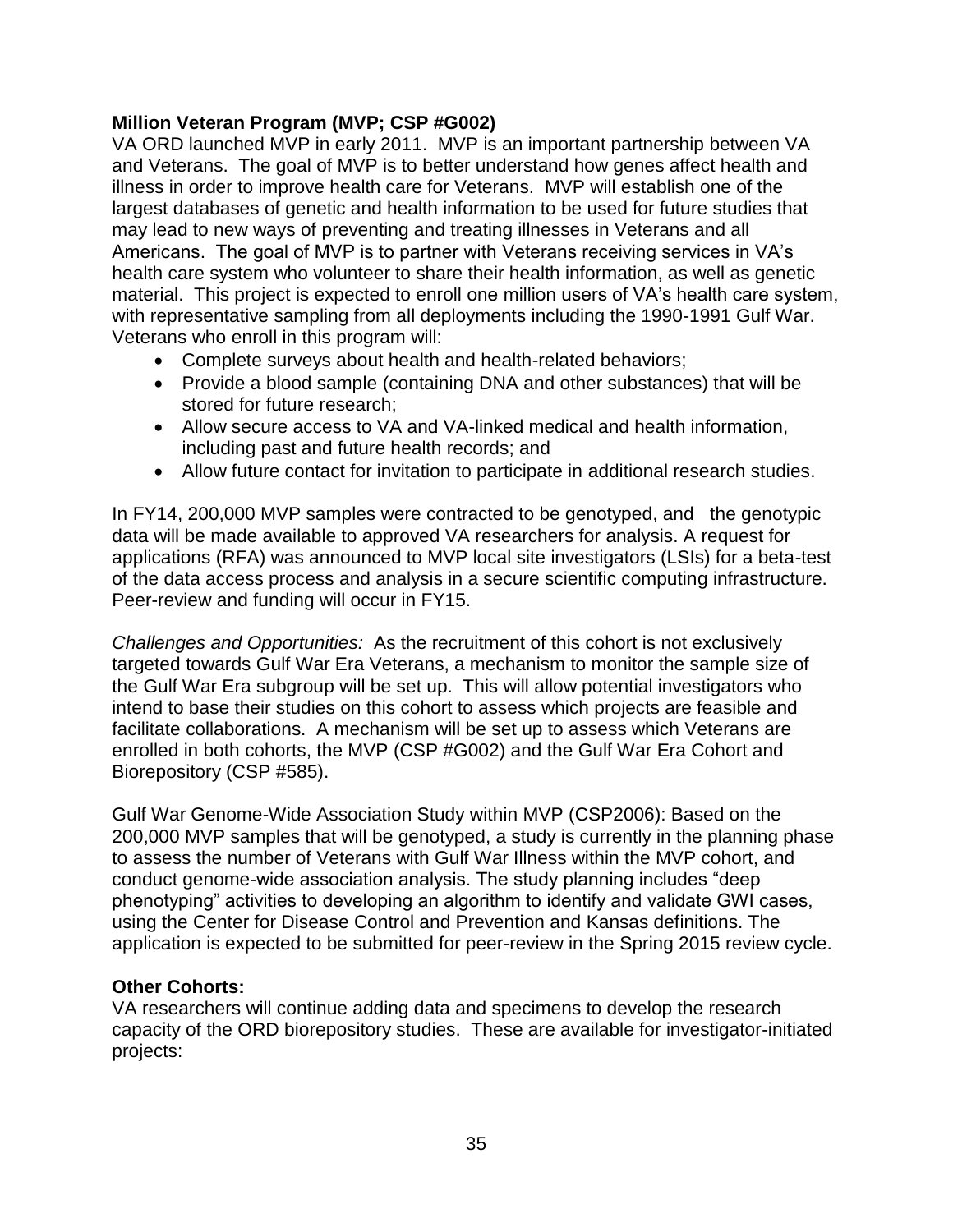| 5.4                                                                |  |
|--------------------------------------------------------------------|--|
|                                                                    |  |
|                                                                    |  |
|                                                                    |  |
|                                                                    |  |
|                                                                    |  |
| 5.5                                                                |  |
|                                                                    |  |
|                                                                    |  |
|                                                                    |  |
|                                                                    |  |
|                                                                    |  |
| 5.6                                                                |  |
|                                                                    |  |
|                                                                    |  |
|                                                                    |  |
|                                                                    |  |
|                                                                    |  |
| Improve Coordination and Communication with Stakeholders 45<br>5.7 |  |
|                                                                    |  |
|                                                                    |  |
|                                                                    |  |
|                                                                    |  |
|                                                                    |  |
| 5.8                                                                |  |
|                                                                    |  |
|                                                                    |  |
|                                                                    |  |
|                                                                    |  |
| 6.0                                                                |  |
| <b>APPENDIX I.</b>                                                 |  |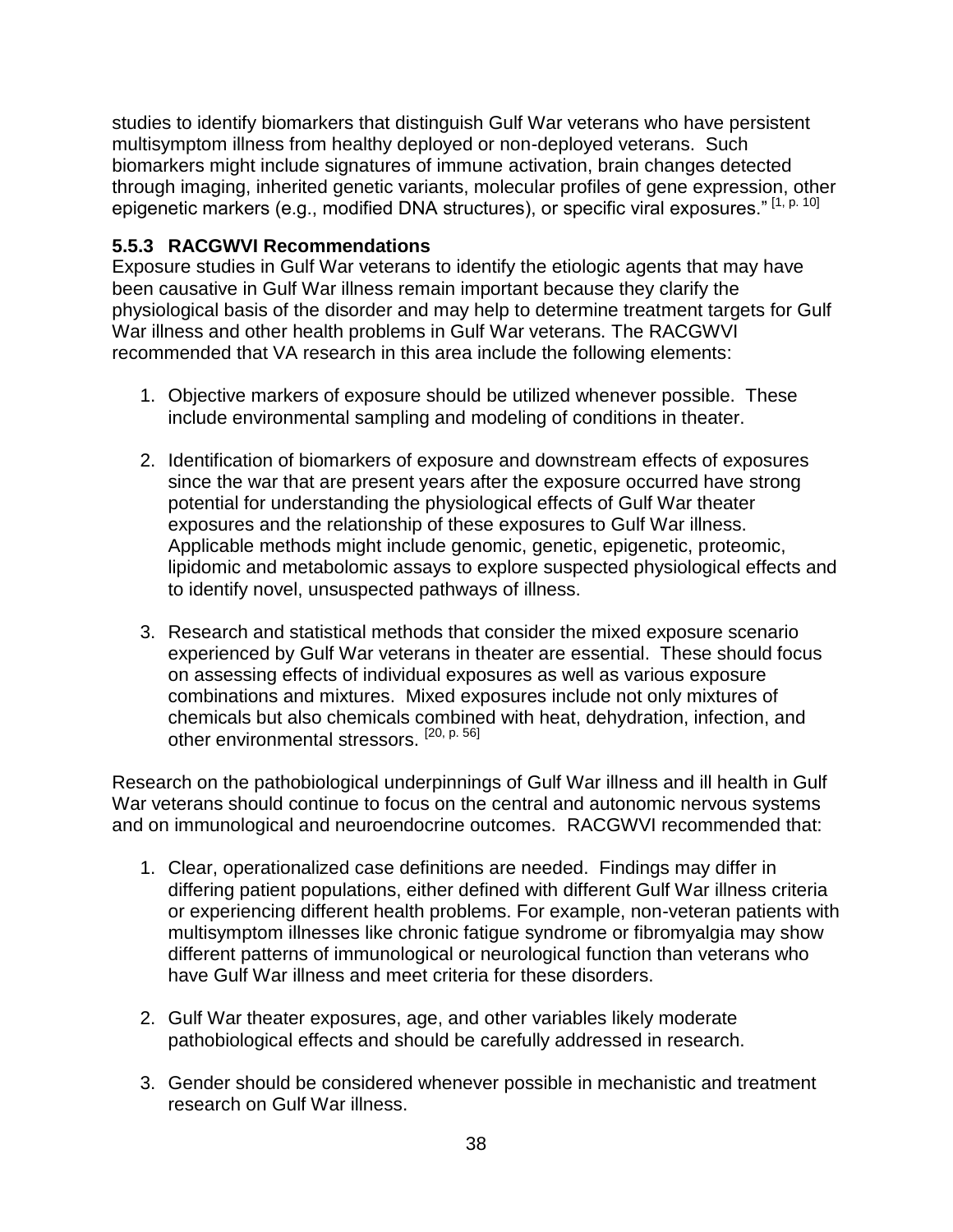# **Table of Contents**

| 1.0 |                                                                            |  |
|-----|----------------------------------------------------------------------------|--|
|     |                                                                            |  |
| 2.0 |                                                                            |  |
|     | The 1990-1991 Gulf War and the Nation's Response to the Need for<br>2.1    |  |
|     |                                                                            |  |
|     | Development of the Gulf War Research Strategic Plan 2013-2017  9<br>2.2    |  |
|     | 2.3                                                                        |  |
| 3.0 | EVOLUTION OF THE GULF WAR RESEARCH STRATEGIC PLAN  11                      |  |
| 4.0 | SUMMARY OF GULF WAR RESEARCH RESULTS AND PAST FEDERAL                      |  |
|     | 4.1 Summary of Federal Funding of Gulf War Research 1994-2014 14           |  |
| 5.0 | GULF WAR RESEARCH STRATEGIC OBJECTIVES 2013-2017 15                        |  |
|     | 5.1                                                                        |  |
|     |                                                                            |  |
|     |                                                                            |  |
|     |                                                                            |  |
|     |                                                                            |  |
|     | 5.2                                                                        |  |
|     |                                                                            |  |
|     |                                                                            |  |
|     |                                                                            |  |
|     |                                                                            |  |
|     |                                                                            |  |
|     |                                                                            |  |
|     |                                                                            |  |
|     | Establish An Evidence-Based Case Definition of Chronic Multisymptom<br>5.3 |  |
|     |                                                                            |  |
|     |                                                                            |  |
|     |                                                                            |  |
|     |                                                                            |  |
|     | 5.3.4. VA ORD Previous Research Activities Related to Case Definitions  31 |  |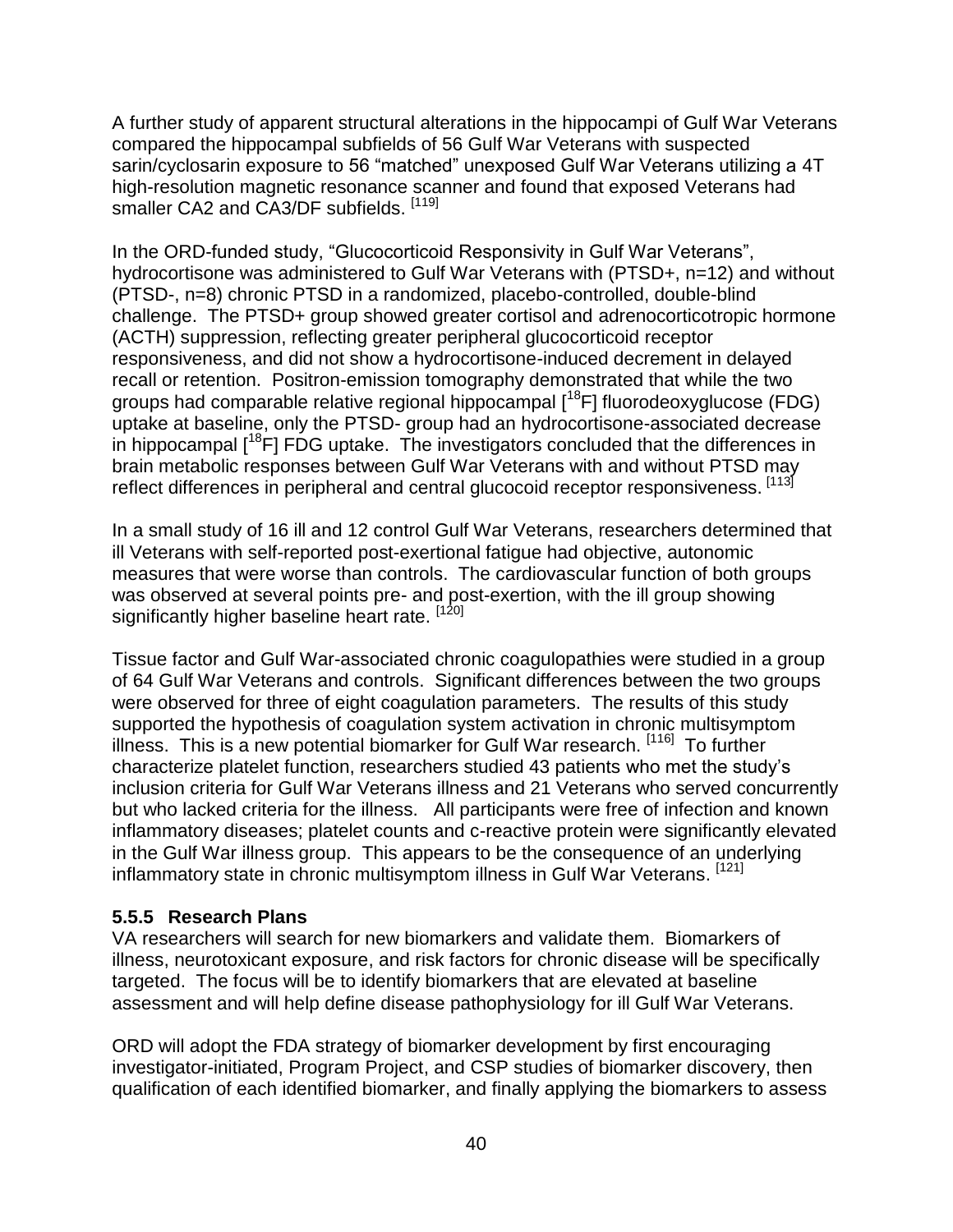A further study of apparent structural alterations in the hippocampi of Gulf War Veterans compared the hippocampal subfields of 56 Gulf War Veterans with suspected sarin/cyclosarin exposure to 56 "matched" unexposed Gulf War Veterans utilizing a 4T high-resolution magnetic resonance scanner and found that exposed Veterans had smaller CA2 and CA3/DF subfields. [119]

In the ORD-funded study, "Glucocorticoid Responsivity in Gulf War Veterans", hydrocortisone was administered to Gulf War Veterans with (PTSD+, n=12) and without (PTSD-, n=8) chronic PTSD in a randomized, placebo-controlled, double-blind challenge. The PTSD+ group showed greater cortisol and adrenocorticotropic hormone (ACTH) suppression, reflecting greater peripheral glucocorticoid receptor responsiveness, and did not show a hydrocortisone-induced decrement in delayed recall or retention. Positron-emission tomography demonstrated that while the two groups had comparable relative regional hippocampal  $[18F]$  fluorodeoxyglucose (FDG) uptake at baseline, only the PTSD- group had an hydrocortisone-associated decrease in hippocampal  $[18F]$  FDG uptake. The investigators concluded that the differences in brain metabolic responses between Gulf War Veterans with and without PTSD may reflect differences in peripheral and central glucocoid receptor responsiveness. [113]

In a small study of 16 ill and 12 control Gulf War Veterans, researchers determined that ill Veterans with self-reported post-exertional fatigue had objective, autonomic measures that were worse than controls. The cardiovascular function of both groups was observed at several points pre- and post-exertion, with the ill group showing significantly higher baseline heart rate. [120]

Tissue factor and Gulf War-associated chronic coagulopathies were studied in a group of 64 Gulf War Veterans and controls. Significant differences between the two groups were observed for three of eight coagulation parameters. The results of this study supported the hypothesis of coagulation system activation in chronic multisymptom illness. This is a new potential biomarker for Gulf War research. [116] To further characterize platelet function, researchers studied 43 patients who met the study's inclusion criteria for Gulf War Veterans illness and 21 Veterans who served concurrently but who lacked criteria for the illness. All participants were free of infection and known inflammatory diseases; platelet counts and c-reactive protein were significantly elevated in the Gulf War illness group. This appears to be the consequence of an underlying inflammatory state in chronic multisymptom illness in Gulf War Veterans. [121]

#### <span id="page-39-0"></span>**5.5.5 Research Plans**

VA researchers will search for new biomarkers and validate them. Biomarkers of illness, neurotoxicant exposure, and risk factors for chronic disease will be specifically targeted. The focus will be to identify biomarkers that are elevated at baseline assessment and will help define disease pathophysiology for ill Gulf War Veterans.

ORD will adopt the FDA strategy of biomarker development by first encouraging investigator-initiated, Program Project, and CSP studies of biomarker discovery, then qualification of each identified biomarker, and finally applying the biomarkers to assess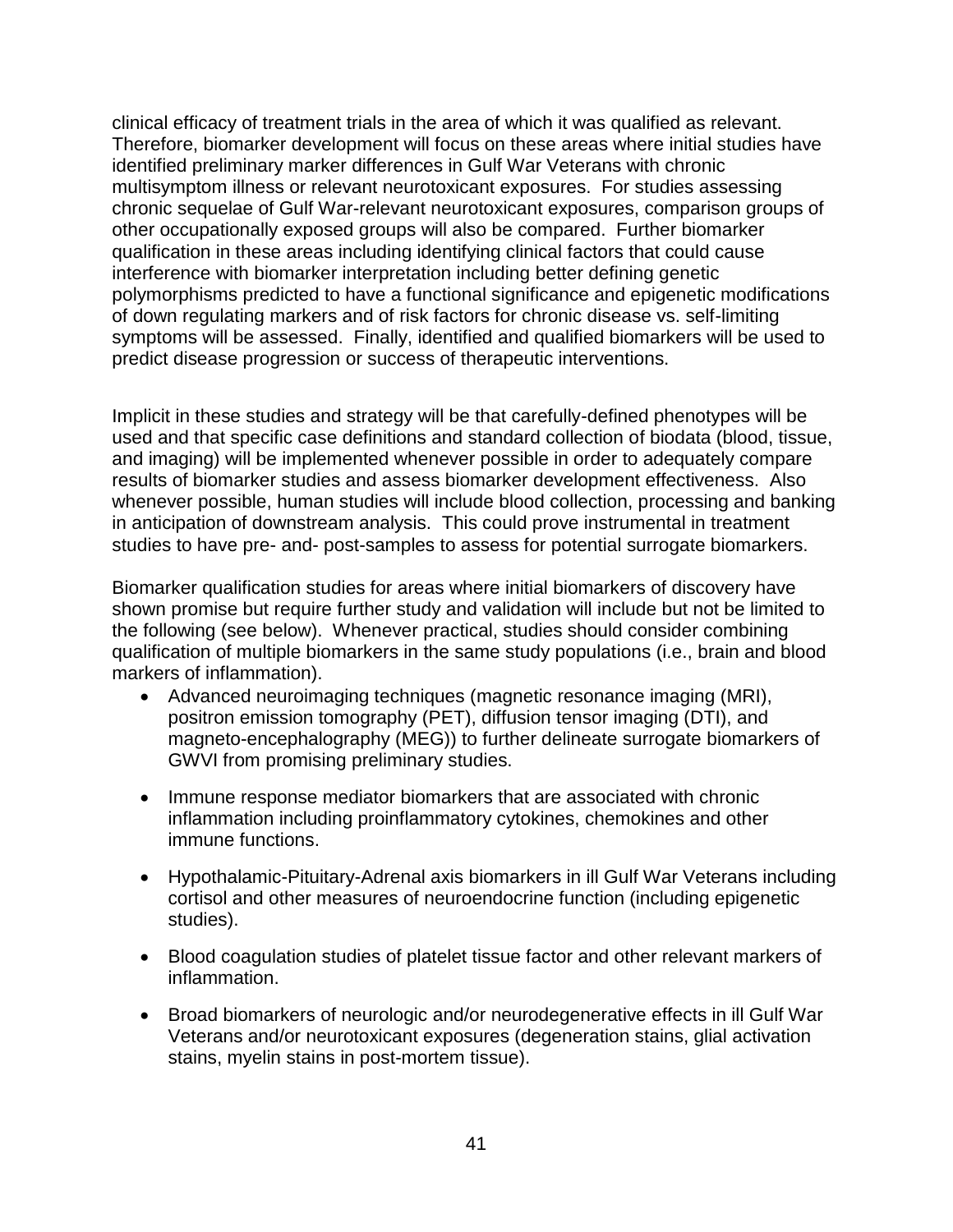clinical efficacy of treatment trials in the area of which it was qualified as relevant. Therefore, biomarker development will focus on these areas where initial studies have identified preliminary marker differences in Gulf War Veterans with chronic multisymptom illness or relevant neurotoxicant exposures. For studies assessing chronic sequelae of Gulf War-relevant neurotoxicant exposures, comparison groups of other occupationally exposed groups will also be compared. Further biomarker qualification in these areas including identifying clinical factors that could cause interference with biomarker interpretation including better defining genetic polymorphisms predicted to have a functional significance and epigenetic modifications of down regulating markers and of risk factors for chronic disease vs. self-limiting symptoms will be assessed. Finally, identified and qualified biomarkers will be used to predict disease progression or success of therapeutic interventions.

Implicit in these studies and strategy will be that carefully-defined phenotypes will be used and that specific case definitions and standard collection of biodata (blood, tissue, and imaging) will be implemented whenever possible in order to adequately compare results of biomarker studies and assess biomarker development effectiveness. Also whenever possible, human studies will include blood collection, processing and banking in anticipation of downstream analysis. This could prove instrumental in treatment studies to have pre- and- post-samples to assess for potential surrogate biomarkers.

Biomarker qualification studies for areas where initial biomarkers of discovery have shown promise but require further study and validation will include but not be limited to the following (see below). Whenever practical, studies should consider combining qualification of multiple biomarkers in the same study populations (i.e., brain and blood markers of inflammation).

- Advanced neuroimaging techniques (magnetic resonance imaging (MRI), positron emission tomography (PET), diffusion tensor imaging (DTI), and magneto-encephalography (MEG)) to further delineate surrogate biomarkers of GWVI from promising preliminary studies.
- Immune response mediator biomarkers that are associated with chronic inflammation including proinflammatory cytokines, chemokines and other immune functions.
- Hypothalamic-Pituitary-Adrenal axis biomarkers in ill Gulf War Veterans including cortisol and other measures of neuroendocrine function (including epigenetic studies).
- Blood coagulation studies of platelet tissue factor and other relevant markers of inflammation.
- Broad biomarkers of neurologic and/or neurodegenerative effects in ill Gulf War Veterans and/or neurotoxicant exposures (degeneration stains, glial activation stains, myelin stains in post-mortem tissue).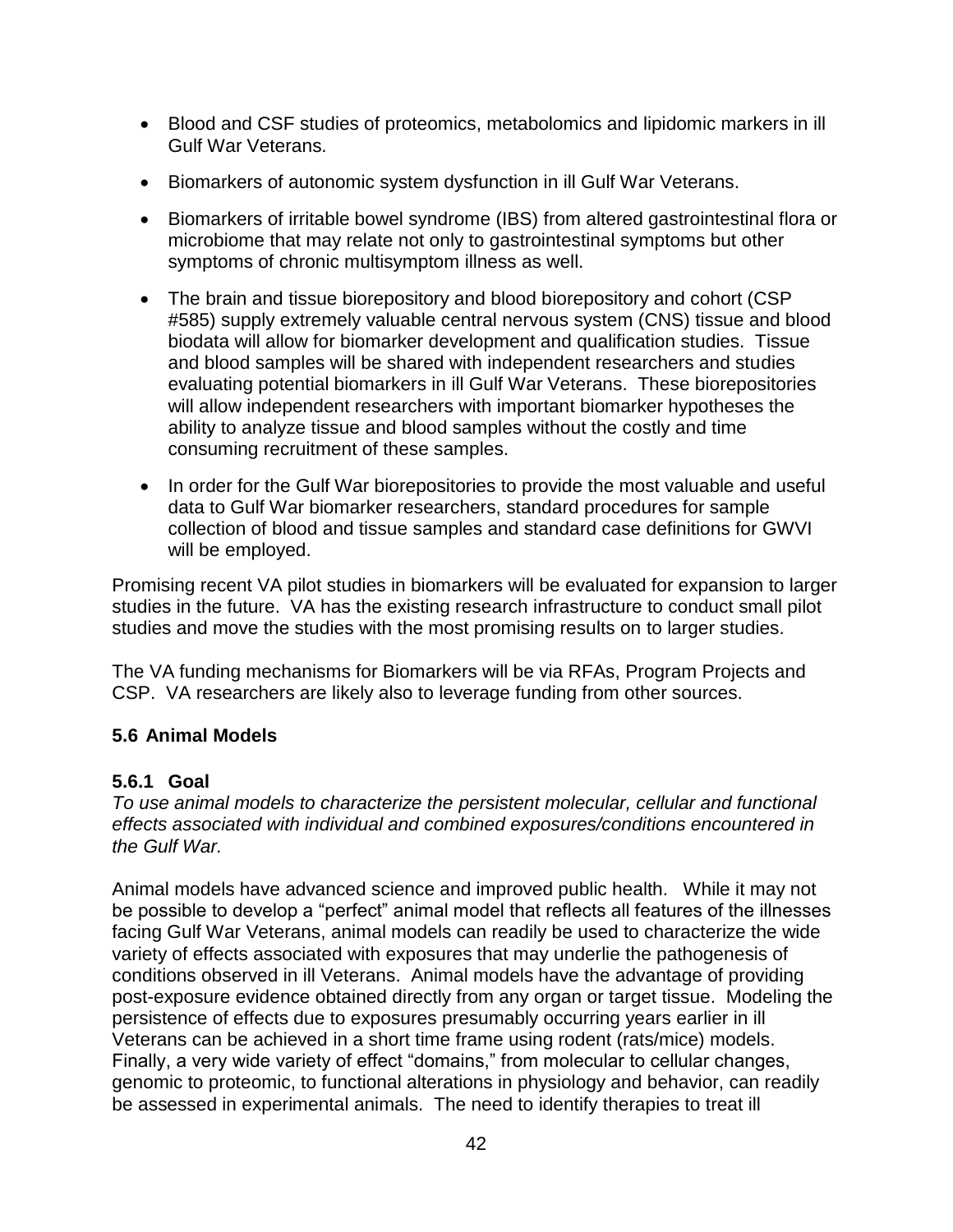- Blood and CSF studies of proteomics, metabolomics and lipidomic markers in ill Gulf War Veterans.
- Biomarkers of autonomic system dysfunction in ill Gulf War Veterans.
- Biomarkers of irritable bowel syndrome (IBS) from altered gastrointestinal flora or microbiome that may relate not only to gastrointestinal symptoms but other symptoms of chronic multisymptom illness as well.
- The brain and tissue biorepository and blood biorepository and cohort (CSP) #585) supply extremely valuable central nervous system (CNS) tissue and blood biodata will allow for biomarker development and qualification studies. Tissue and blood samples will be shared with independent researchers and studies evaluating potential biomarkers in ill Gulf War Veterans. These biorepositories will allow independent researchers with important biomarker hypotheses the ability to analyze tissue and blood samples without the costly and time consuming recruitment of these samples.
- In order for the Gulf War biorepositories to provide the most valuable and useful data to Gulf War biomarker researchers, standard procedures for sample collection of blood and tissue samples and standard case definitions for GWVI will be employed.

Promising recent VA pilot studies in biomarkers will be evaluated for expansion to larger studies in the future. VA has the existing research infrastructure to conduct small pilot studies and move the studies with the most promising results on to larger studies.

The VA funding mechanisms for Biomarkers will be via RFAs, Program Projects and CSP. VA researchers are likely also to leverage funding from other sources.

#### <span id="page-41-0"></span>**5.6 Animal Models**

#### <span id="page-41-1"></span>**5.6.1 Goal**

*To use animal models to characterize the persistent molecular, cellular and functional effects associated with individual and combined exposures/conditions encountered in the Gulf War.* 

Animal models have advanced science and improved public health. While it may not be possible to develop a "perfect" animal model that reflects all features of the illnesses facing Gulf War Veterans, animal models can readily be used to characterize the wide variety of effects associated with exposures that may underlie the pathogenesis of conditions observed in ill Veterans. Animal models have the advantage of providing post-exposure evidence obtained directly from any organ or target tissue. Modeling the persistence of effects due to exposures presumably occurring years earlier in ill Veterans can be achieved in a short time frame using rodent (rats/mice) models. Finally, a very wide variety of effect "domains," from molecular to cellular changes, genomic to proteomic, to functional alterations in physiology and behavior, can readily be assessed in experimental animals. The need to identify therapies to treat ill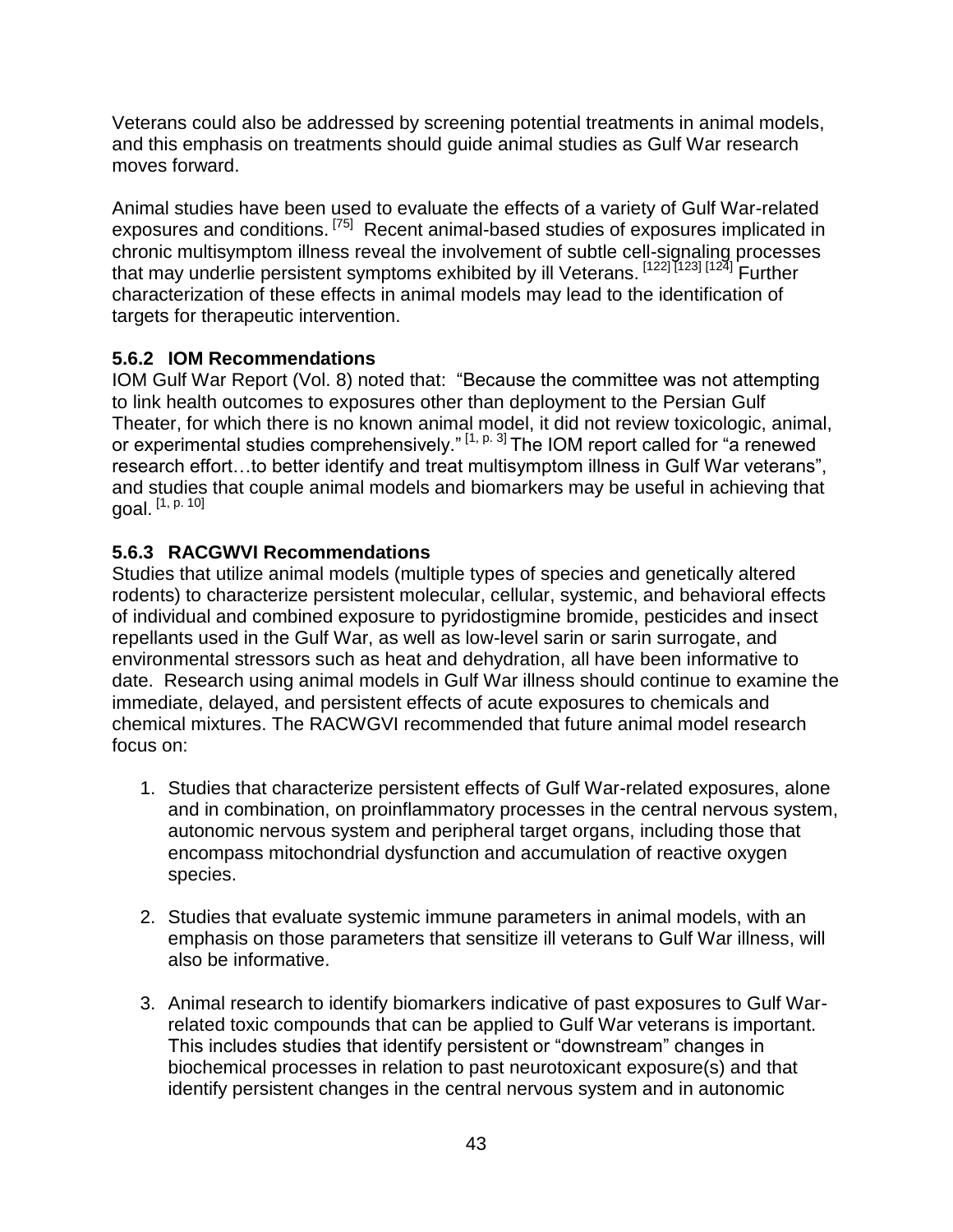Veterans could also be addressed by screening potential treatments in animal models, and this emphasis on treatments should guide animal studies as Gulf War research moves forward.

Animal studies have been used to evaluate the effects of a variety of Gulf War-related exposures and conditions. <sup>[75]</sup> Recent animal-based studies of exposures implicated in chronic multisymptom illness reveal the involvement of subtle cell-signaling processes that may underlie persistent symptoms exhibited by ill Veterans. [122] [123] [124] Further characterization of these effects in animal models may lead to the identification of targets for therapeutic intervention.

#### <span id="page-42-0"></span>**5.6.2 IOM Recommendations**

IOM Gulf War Report (Vol. 8) noted that: "Because the committee was not attempting to link health outcomes to exposures other than deployment to the Persian Gulf Theater, for which there is no known animal model, it did not review toxicologic, animal, or experimental studies comprehensively."<sup>[1, p. 3]</sup> The IOM report called for "a renewed research effort…to better identify and treat multisymptom illness in Gulf War veterans", and studies that couple animal models and biomarkers may be useful in achieving that goal.  $[1, p. 10]$ 

#### <span id="page-42-1"></span>**5.6.3 RACGWVI Recommendations**

Studies that utilize animal models (multiple types of species and genetically altered rodents) to characterize persistent molecular, cellular, systemic, and behavioral effects of individual and combined exposure to pyridostigmine bromide, pesticides and insect repellants used in the Gulf War, as well as low-level sarin or sarin surrogate, and environmental stressors such as heat and dehydration, all have been informative to date. Research using animal models in Gulf War illness should continue to examine the immediate, delayed, and persistent effects of acute exposures to chemicals and chemical mixtures. The RACWGVI recommended that future animal model research focus on:

- 1. Studies that characterize persistent effects of Gulf War-related exposures, alone and in combination, on proinflammatory processes in the central nervous system, autonomic nervous system and peripheral target organs, including those that encompass mitochondrial dysfunction and accumulation of reactive oxygen species.
- 2. Studies that evaluate systemic immune parameters in animal models, with an emphasis on those parameters that sensitize ill veterans to Gulf War illness, will also be informative.
- 3. Animal research to identify biomarkers indicative of past exposures to Gulf Warrelated toxic compounds that can be applied to Gulf War veterans is important. This includes studies that identify persistent or "downstream" changes in biochemical processes in relation to past neurotoxicant exposure(s) and that identify persistent changes in the central nervous system and in autonomic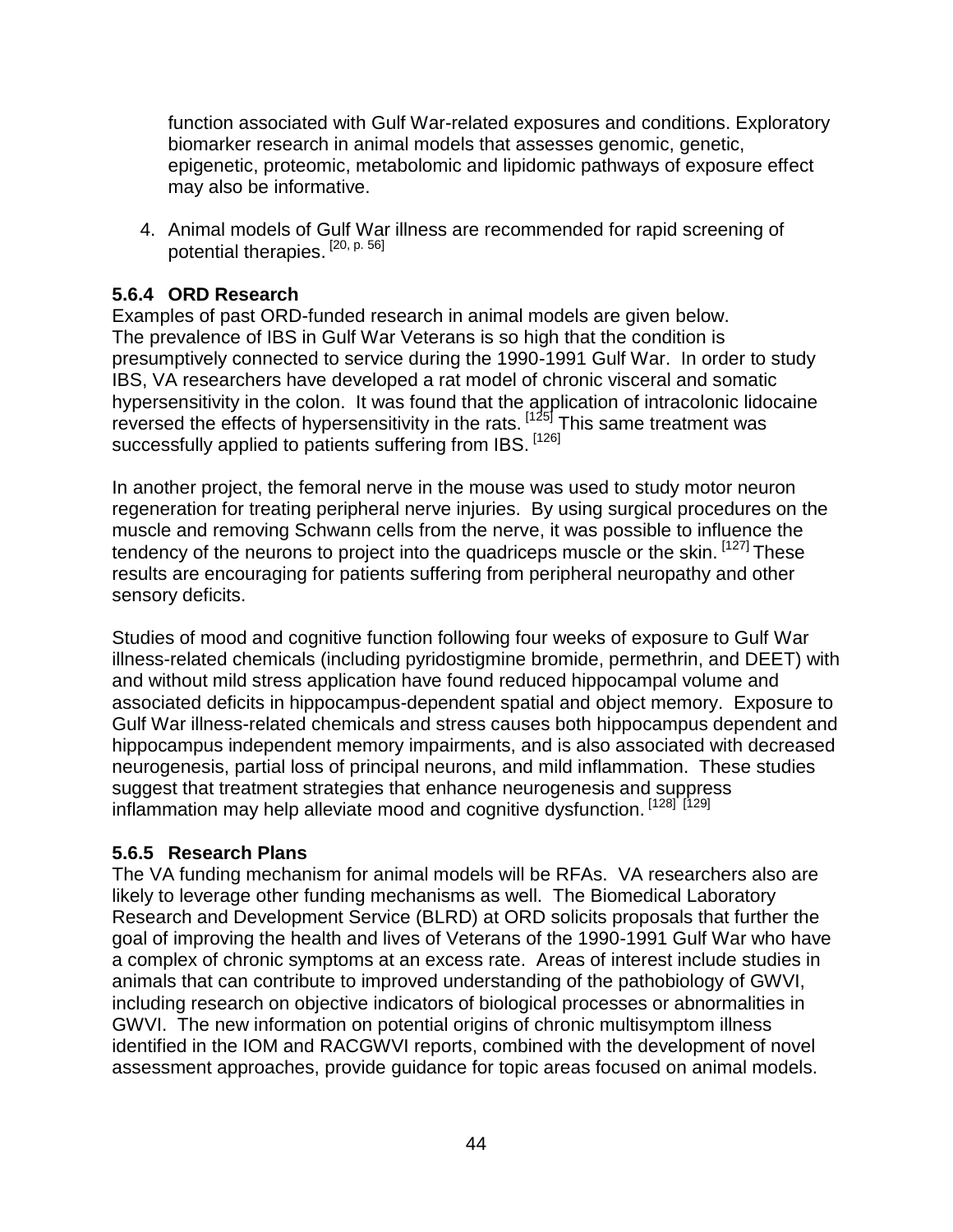function associated with Gulf War-related exposures and conditions. Exploratory biomarker research in animal models that assesses genomic, genetic, epigenetic, proteomic, metabolomic and lipidomic pathways of exposure effect may also be informative.

4. Animal models of Gulf War illness are recommended for rapid screening of potential therapies.<sup>[20, p. 56]</sup>

#### <span id="page-43-0"></span>**5.6.4 ORD Research**

Examples of past ORD-funded research in animal models are given below. The prevalence of IBS in Gulf War Veterans is so high that the condition is presumptively connected to service during the 1990-1991 Gulf War. In order to study IBS, VA researchers have developed a rat model of chronic visceral and somatic hypersensitivity in the colon. It was found that the application of intracolonic lidocaine reversed the effects of hypersensitivity in the rats.  $\left[1^{25}\right]$  This same treatment was successfully applied to patients suffering from IBS. [126]

In another project, the femoral nerve in the mouse was used to study motor neuron regeneration for treating peripheral nerve injuries. By using surgical procedures on the muscle and removing Schwann cells from the nerve, it was possible to influence the tendency of the neurons to project into the quadriceps muscle or the skin. [127] These results are encouraging for patients suffering from peripheral neuropathy and other sensory deficits.

Studies of mood and cognitive function following four weeks of exposure to Gulf War illness-related chemicals (including pyridostigmine bromide, permethrin, and DEET) with and without mild stress application have found reduced hippocampal volume and associated deficits in hippocampus-dependent spatial and object memory. Exposure to Gulf War illness-related chemicals and stress causes both hippocampus dependent and hippocampus independent memory impairments, and is also associated with decreased neurogenesis, partial loss of principal neurons, and mild inflammation. These studies suggest that treatment strategies that enhance neurogenesis and suppress inflammation may help alleviate mood and cognitive dysfunction. [128] [129]

#### <span id="page-43-1"></span>**5.6.5 Research Plans**

The VA funding mechanism for animal models will be RFAs. VA researchers also are likely to leverage other funding mechanisms as well. The Biomedical Laboratory Research and Development Service (BLRD) at ORD solicits proposals that further the goal of improving the health and lives of Veterans of the 1990-1991 Gulf War who have a complex of chronic symptoms at an excess rate. Areas of interest include studies in animals that can contribute to improved understanding of the pathobiology of GWVI, including research on objective indicators of biological processes or abnormalities in GWVI. The new information on potential origins of chronic multisymptom illness identified in the IOM and RACGWVI reports, combined with the development of novel assessment approaches, provide guidance for topic areas focused on animal models.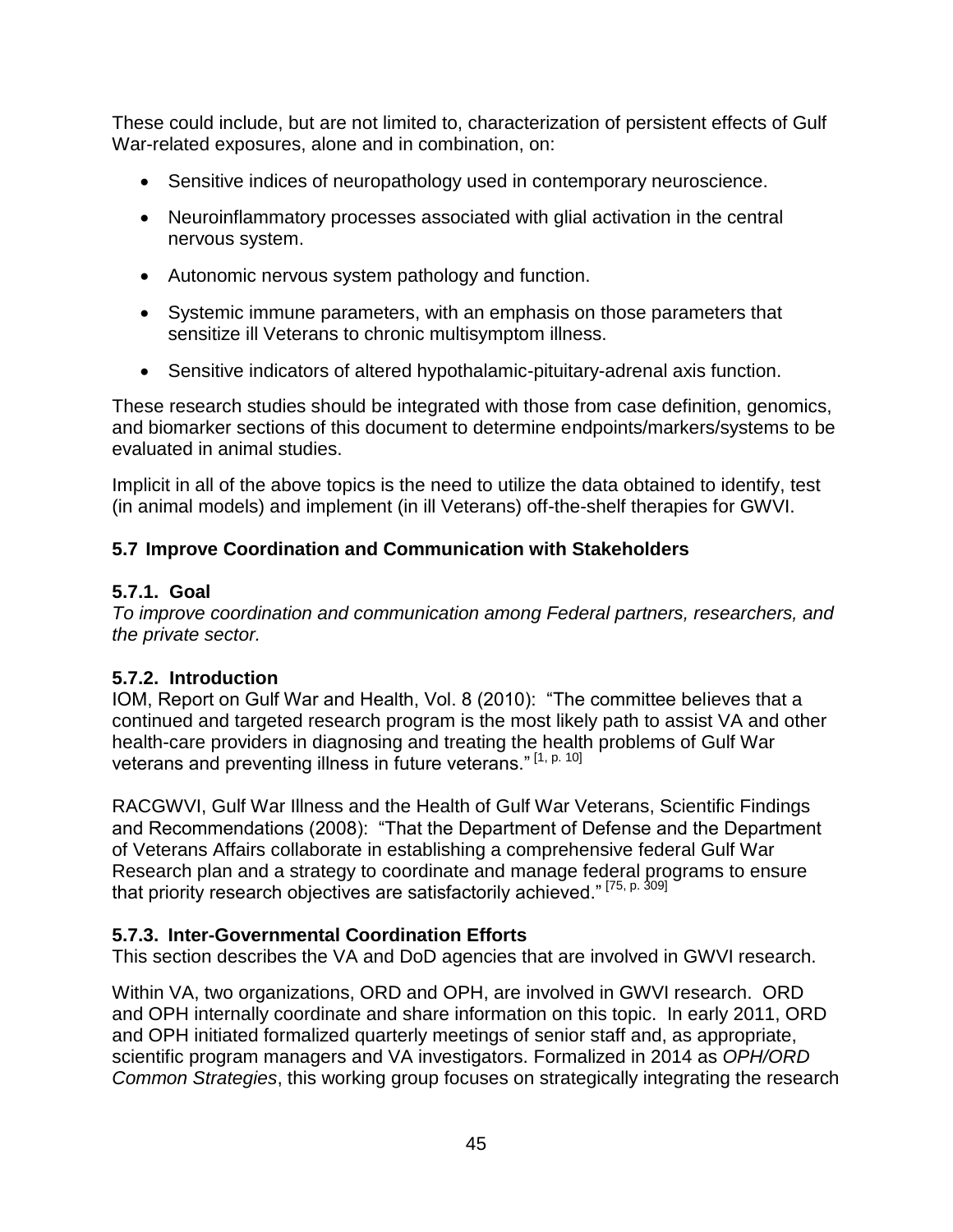These could include, but are not limited to, characterization of persistent effects of Gulf War-related exposures, alone and in combination, on:

- Sensitive indices of neuropathology used in contemporary neuroscience.
- Neuroinflammatory processes associated with glial activation in the central nervous system.
- Autonomic nervous system pathology and function.
- Systemic immune parameters, with an emphasis on those parameters that sensitize ill Veterans to chronic multisymptom illness.
- Sensitive indicators of altered hypothalamic-pituitary-adrenal axis function.

These research studies should be integrated with those from case definition, genomics, and biomarker sections of this document to determine endpoints/markers/systems to be evaluated in animal studies.

Implicit in all of the above topics is the need to utilize the data obtained to identify, test (in animal models) and implement (in ill Veterans) off-the-shelf therapies for GWVI.

#### <span id="page-44-0"></span>**5.7 Improve Coordination and Communication with Stakeholders**

#### <span id="page-44-1"></span>**5.7.1. Goal**

*To improve coordination and communication among Federal partners, researchers, and the private sector.* 

#### <span id="page-44-2"></span>**5.7.2. Introduction**

IOM, Report on Gulf War and Health, Vol. 8 (2010): "The committee believes that a continued and targeted research program is the most likely path to assist VA and other health-care providers in diagnosing and treating the health problems of Gulf War veterans and preventing illness in future veterans."<sup>[1, p. 10]</sup>

RACGWVI, Gulf War Illness and the Health of Gulf War Veterans, Scientific Findings and Recommendations (2008): "That the Department of Defense and the Department of Veterans Affairs collaborate in establishing a comprehensive federal Gulf War Research plan and a strategy to coordinate and manage federal programs to ensure that priority research objectives are satisfactorily achieved." [75, p. 309]

#### <span id="page-44-3"></span>**5.7.3. Inter-Governmental Coordination Efforts**

This section describes the VA and DoD agencies that are involved in GWVI research.

Within VA, two organizations, ORD and OPH, are involved in GWVI research. ORD and OPH internally coordinate and share information on this topic. In early 2011, ORD and OPH initiated formalized quarterly meetings of senior staff and, as appropriate, scientific program managers and VA investigators. Formalized in 2014 as *OPH/ORD Common Strategies*, this working group focuses on strategically integrating the research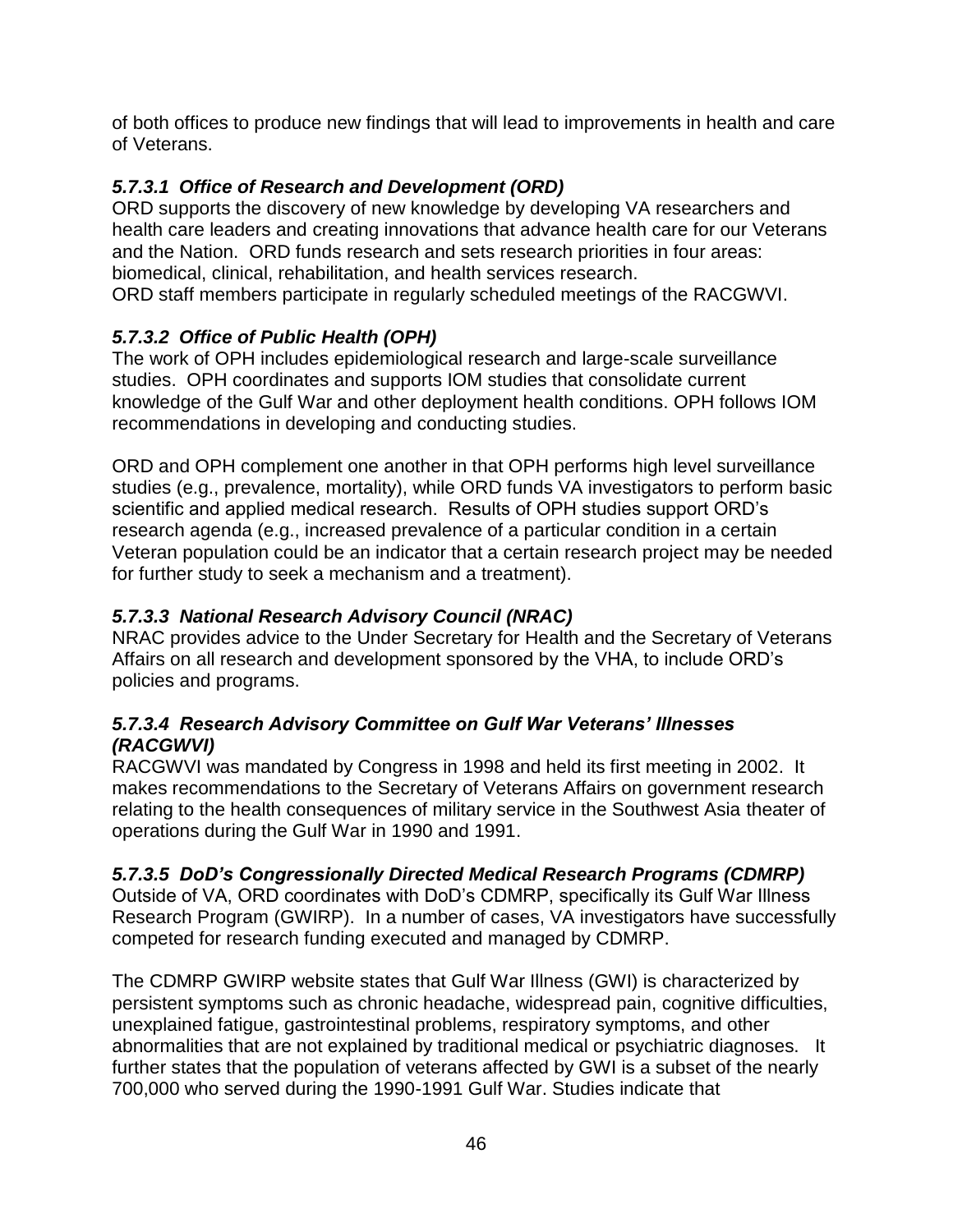of both offices to produce new findings that will lead to improvements in health and care of Veterans.

#### *5.7.3.1 Office of Research and Development (ORD)*

ORD supports the discovery of new knowledge by developing VA researchers and health care leaders and creating innovations that advance health care for our Veterans and the Nation. ORD funds research and sets research priorities in four areas: biomedical, clinical, rehabilitation, and health services research. ORD staff members participate in regularly scheduled meetings of the RACGWVI.

#### *5.7.3.2 Office of Public Health (OPH)*

The work of OPH includes epidemiological research and large-scale surveillance studies. OPH coordinates and supports IOM studies that consolidate current knowledge of the Gulf War and other deployment health conditions. OPH follows IOM recommendations in developing and conducting studies.

ORD and OPH complement one another in that OPH performs high level surveillance studies (e.g., prevalence, mortality), while ORD funds VA investigators to perform basic scientific and applied medical research. Results of OPH studies support ORD's research agenda (e.g., increased prevalence of a particular condition in a certain Veteran population could be an indicator that a certain research project may be needed for further study to seek a mechanism and a treatment).

#### *5.7.3.3 National Research Advisory Council (NRAC)*

NRAC provides advice to the Under Secretary for Health and the Secretary of Veterans Affairs on all research and development sponsored by the VHA, to include ORD's policies and programs.

#### *5.7.3.4 Research Advisory Committee on Gulf War Veterans' Illnesses (RACGWVI)*

RACGWVI was mandated by Congress in 1998 and held its first meeting in 2002. It makes recommendations to the Secretary of Veterans Affairs on government research relating to the health consequences of military service in the Southwest Asia theater of operations during the Gulf War in 1990 and 1991.

#### *5.7.3.5 DoD's Congressionally Directed Medical Research Programs (CDMRP)*

Outside of VA, ORD coordinates with DoD's CDMRP, specifically its Gulf War Illness Research Program (GWIRP). In a number of cases, VA investigators have successfully competed for research funding executed and managed by CDMRP.

The CDMRP GWIRP website states that Gulf War Illness (GWI) is characterized by persistent symptoms such as chronic headache, widespread pain, cognitive difficulties, unexplained fatigue, gastrointestinal problems, respiratory symptoms, and other abnormalities that are not explained by traditional medical or psychiatric diagnoses. It further states that the population of veterans affected by GWI is a subset of the nearly 700,000 who served during the 1990-1991 Gulf War. Studies indicate that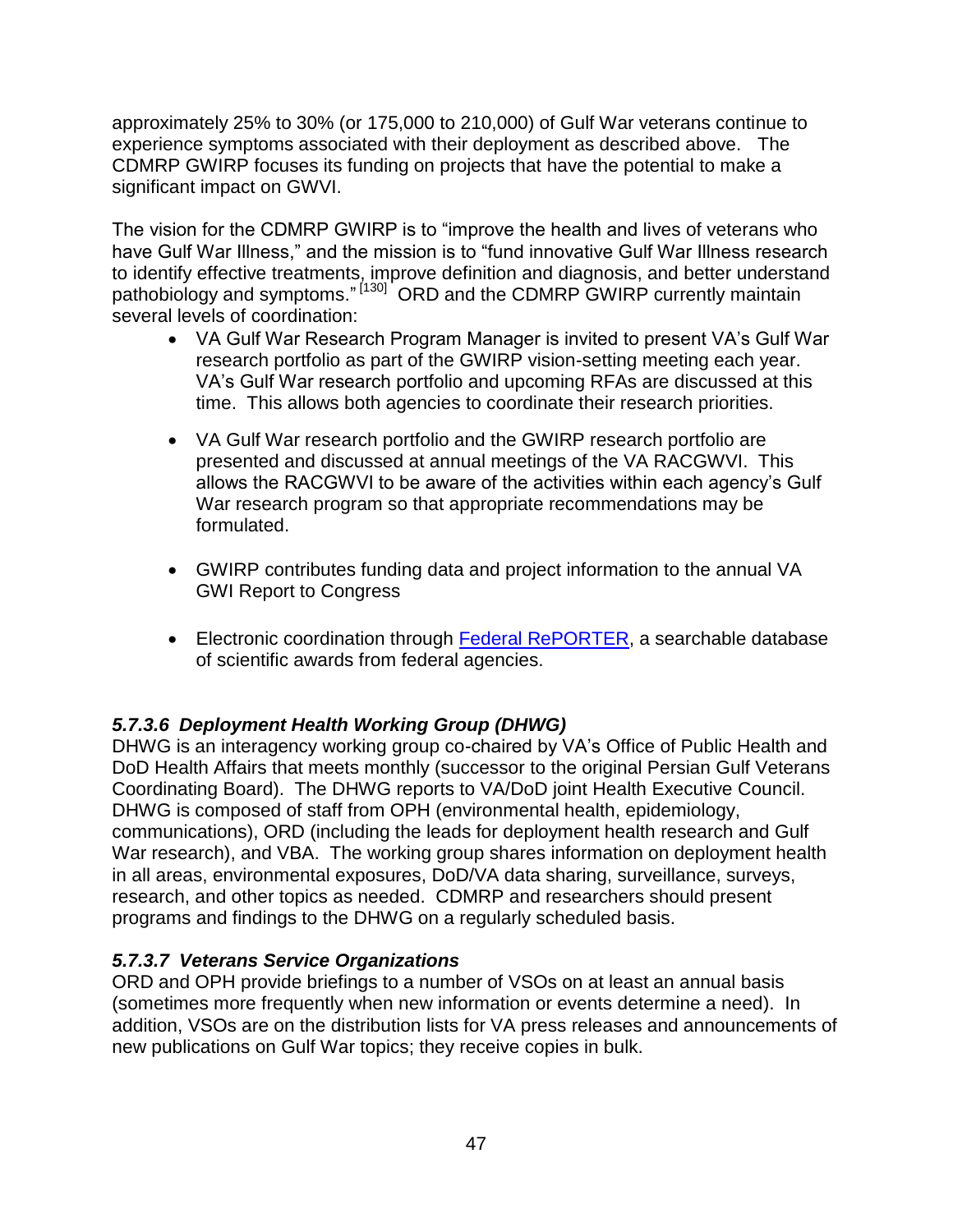approximately 25% to 30% (or 175,000 to 210,000) of Gulf War veterans continue to experience symptoms associated with their deployment as described above. The CDMRP GWIRP focuses its funding on projects that have the potential to make a significant impact on GWVI.

The vision for the CDMRP GWIRP is to "improve the health and lives of veterans who have Gulf War Illness," and the mission is to "fund innovative Gulf War Illness research to identify effective treatments, improve definition and diagnosis, and better understand pathobiology and symptoms."<sup>[130]</sup> ORD and the CDMRP GWIRP currently maintain several levels of coordination:

- VA Gulf War Research Program Manager is invited to present VA's Gulf War research portfolio as part of the GWIRP vision-setting meeting each year. VA's Gulf War research portfolio and upcoming RFAs are discussed at this time. This allows both agencies to coordinate their research priorities.
- VA Gulf War research portfolio and the GWIRP research portfolio are presented and discussed at annual meetings of the VA RACGWVI. This allows the RACGWVI to be aware of the activities within each agency's Gulf War research program so that appropriate recommendations may be formulated.
- GWIRP contributes funding data and project information to the annual VA GWI Report to Congress
- Electronic coordination through [Federal RePORTER,](http://federalreporter.nih.gov/) a searchable database of scientific awards from federal agencies.

#### *5.7.3.6 Deployment Health Working Group (DHWG)*

DHWG is an interagency working group co-chaired by VA's Office of Public Health and DoD Health Affairs that meets monthly (successor to the original Persian Gulf Veterans Coordinating Board). The DHWG reports to VA/DoD joint Health Executive Council. DHWG is composed of staff from OPH (environmental health, epidemiology, communications), ORD (including the leads for deployment health research and Gulf War research), and VBA. The working group shares information on deployment health in all areas, environmental exposures, DoD/VA data sharing, surveillance, surveys, research, and other topics as needed. CDMRP and researchers should present programs and findings to the DHWG on a regularly scheduled basis.

#### *5.7.3.7 Veterans Service Organizations*

ORD and OPH provide briefings to a number of VSOs on at least an annual basis (sometimes more frequently when new information or events determine a need). In addition, VSOs are on the distribution lists for VA press releases and announcements of new publications on Gulf War topics; they receive copies in bulk.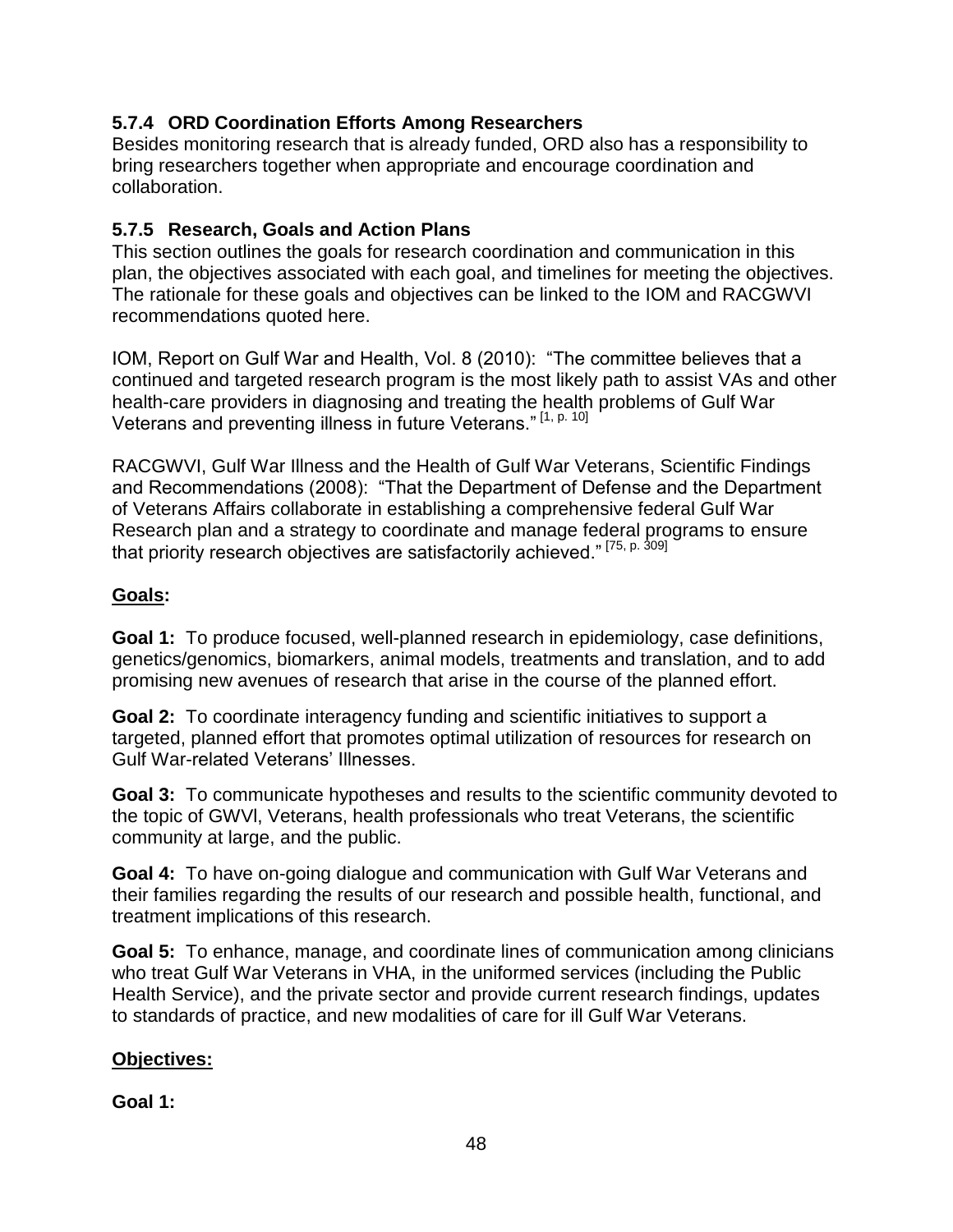#### <span id="page-47-0"></span>**5.7.4 ORD Coordination Efforts Among Researchers**

Besides monitoring research that is already funded, ORD also has a responsibility to bring researchers together when appropriate and encourage coordination and collaboration.

#### <span id="page-47-1"></span>**5.7.5 Research, Goals and Action Plans**

This section outlines the goals for research coordination and communication in this plan, the objectives associated with each goal, and timelines for meeting the objectives. The rationale for these goals and objectives can be linked to the IOM and RACGWVI recommendations quoted here.

IOM, Report on Gulf War and Health, Vol. 8 (2010): "The committee believes that a continued and targeted research program is the most likely path to assist VAs and other health-care providers in diagnosing and treating the health problems of Gulf War Veterans and preventing illness in future Veterans." [1, p. 10]

RACGWVI, Gulf War Illness and the Health of Gulf War Veterans, Scientific Findings and Recommendations (2008): "That the Department of Defense and the Department of Veterans Affairs collaborate in establishing a comprehensive federal Gulf War Research plan and a strategy to coordinate and manage federal programs to ensure that priority research objectives are satisfactorily achieved."<sup>[75, p. 309]</sup>

#### **Goals:**

**Goal 1:** To produce focused, well-planned research in epidemiology, case definitions, genetics/genomics, biomarkers, animal models, treatments and translation, and to add promising new avenues of research that arise in the course of the planned effort.

**Goal 2:** To coordinate interagency funding and scientific initiatives to support a targeted, planned effort that promotes optimal utilization of resources for research on Gulf War-related Veterans' Illnesses.

**Goal 3:** To communicate hypotheses and results to the scientific community devoted to the topic of GWVl, Veterans, health professionals who treat Veterans, the scientific community at large, and the public.

**Goal 4:** To have on-going dialogue and communication with Gulf War Veterans and their families regarding the results of our research and possible health, functional, and treatment implications of this research.

**Goal 5:** To enhance, manage, and coordinate lines of communication among clinicians who treat Gulf War Veterans in VHA, in the uniformed services (including the Public Health Service), and the private sector and provide current research findings, updates to standards of practice, and new modalities of care for ill Gulf War Veterans.

#### **Objectives:**

**Goal 1:**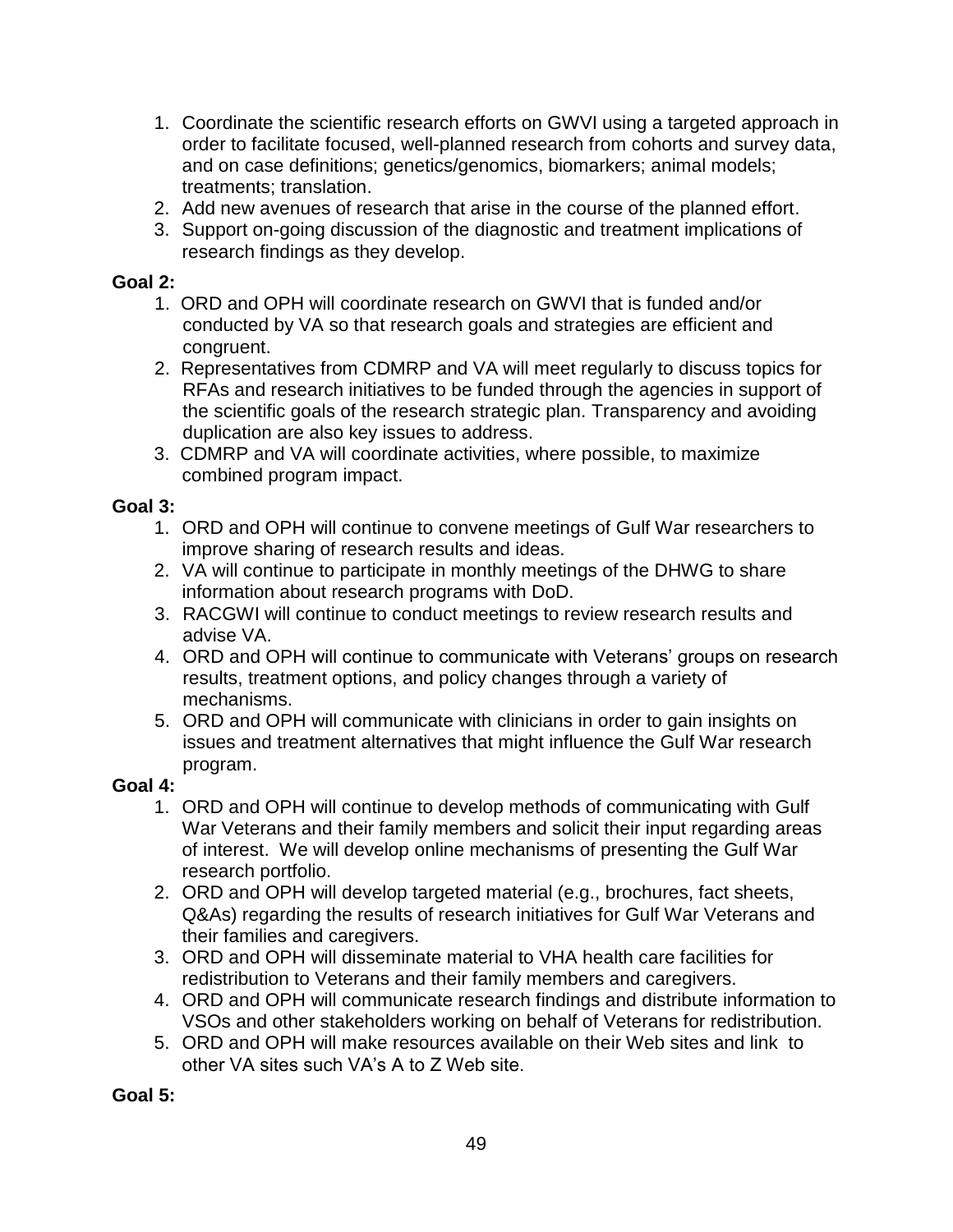- 1. Coordinate the scientific research efforts on GWVI using a targeted approach in order to facilitate focused, well-planned research from cohorts and survey data, and on case definitions; genetics/genomics, biomarkers; animal models; treatments; translation.
- 2. Add new avenues of research that arise in the course of the planned effort.
- 3. Support on-going discussion of the diagnostic and treatment implications of research findings as they develop.

#### **Goal 2:**

- 1. ORD and OPH will coordinate research on GWVI that is funded and/or conducted by VA so that research goals and strategies are efficient and congruent.
- 2. Representatives from CDMRP and VA will meet regularly to discuss topics for RFAs and research initiatives to be funded through the agencies in support of the scientific goals of the research strategic plan. Transparency and avoiding duplication are also key issues to address.
- 3. CDMRP and VA will coordinate activities, where possible, to maximize combined program impact.

#### **Goal 3:**

- 1. ORD and OPH will continue to convene meetings of Gulf War researchers to improve sharing of research results and ideas.
- 2. VA will continue to participate in monthly meetings of the DHWG to share information about research programs with DoD.
- 3. RACGWI will continue to conduct meetings to review research results and advise VA.
- 4. ORD and OPH will continue to communicate with Veterans' groups on research results, treatment options, and policy changes through a variety of mechanisms.
- 5. ORD and OPH will communicate with clinicians in order to gain insights on issues and treatment alternatives that might influence the Gulf War research program.

#### **Goal 4:**

- 1. ORD and OPH will continue to develop methods of communicating with Gulf War Veterans and their family members and solicit their input regarding areas of interest. We will develop online mechanisms of presenting the Gulf War research portfolio.
- 2. ORD and OPH will develop targeted material (e.g., brochures, fact sheets, Q&As) regarding the results of research initiatives for Gulf War Veterans and their families and caregivers.
- 3. ORD and OPH will disseminate material to VHA health care facilities for redistribution to Veterans and their family members and caregivers.
- 4. ORD and OPH will communicate research findings and distribute information to VSOs and other stakeholders working on behalf of Veterans for redistribution.
- 5. ORD and OPH will make resources available on their Web sites and link to other VA sites such VA's A to Z Web site.

**Goal 5:**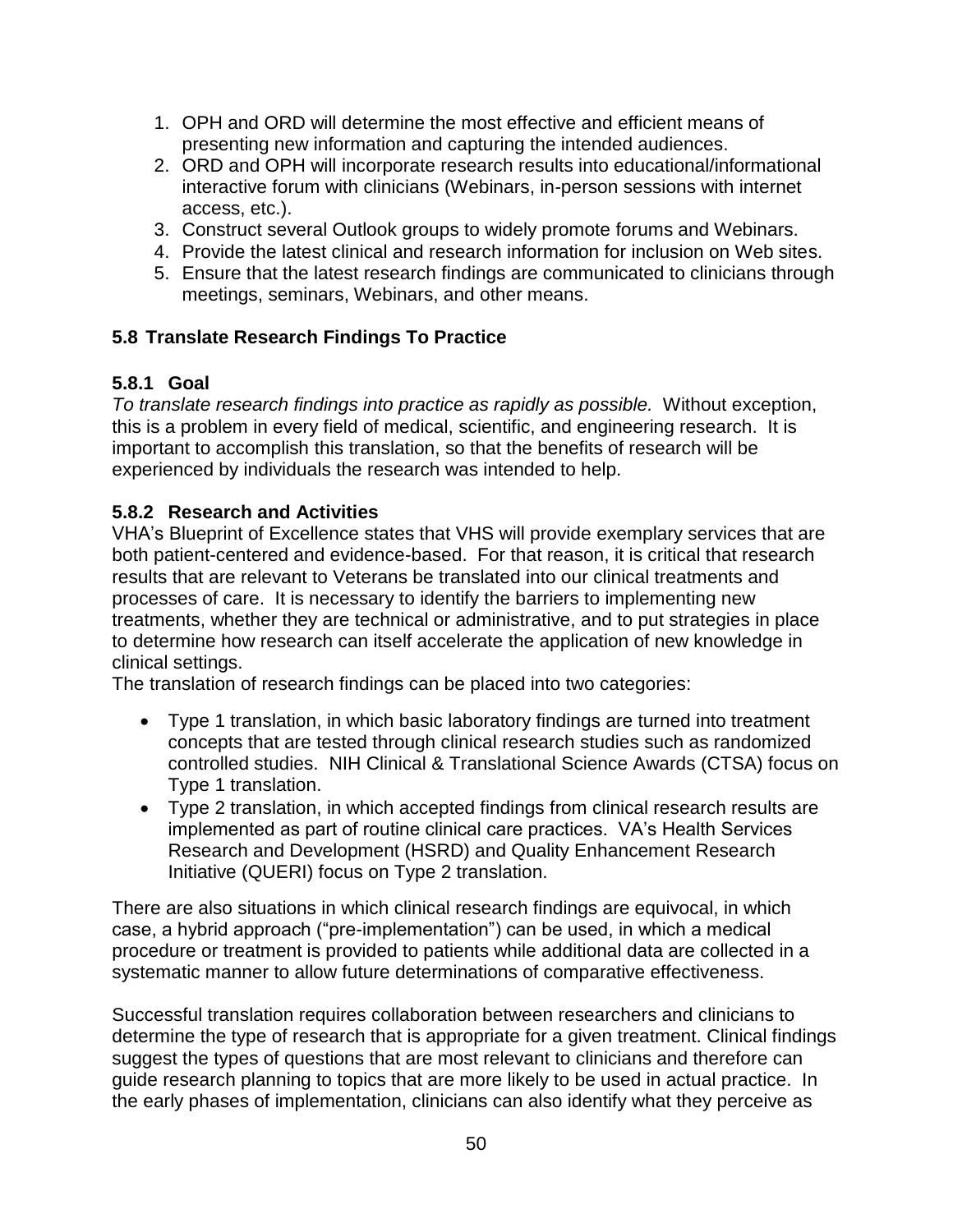- 1. OPH and ORD will determine the most effective and efficient means of presenting new information and capturing the intended audiences.
- 2. ORD and OPH will incorporate research results into educational/informational interactive forum with clinicians (Webinars, in-person sessions with internet access, etc.).
- 3. Construct several Outlook groups to widely promote forums and Webinars.
- 4. Provide the latest clinical and research information for inclusion on Web sites.
- 5. Ensure that the latest research findings are communicated to clinicians through meetings, seminars, Webinars, and other means.

#### <span id="page-49-0"></span>**5.8 Translate Research Findings To Practice**

#### <span id="page-49-1"></span>**5.8.1 Goal**

*To translate research findings into practice as rapidly as possible.* Without exception, this is a problem in every field of medical, scientific, and engineering research. It is important to accomplish this translation, so that the benefits of research will be experienced by individuals the research was intended to help.

#### <span id="page-49-2"></span>**5.8.2 Research and Activities**

VHA's Blueprint of Excellence states that VHS will provide exemplary services that are both patient-centered and evidence-based. For that reason, it is critical that research results that are relevant to Veterans be translated into our clinical treatments and processes of care. It is necessary to identify the barriers to implementing new treatments, whether they are technical or administrative, and to put strategies in place to determine how research can itself accelerate the application of new knowledge in clinical settings.

The translation of research findings can be placed into two categories:

- Type 1 translation, in which basic laboratory findings are turned into treatment concepts that are tested through clinical research studies such as randomized controlled studies. NIH Clinical & Translational Science Awards (CTSA) focus on Type 1 translation.
- Type 2 translation, in which accepted findings from clinical research results are implemented as part of routine clinical care practices. VA's Health Services Research and Development (HSRD) and Quality Enhancement Research Initiative (QUERI) focus on Type 2 translation.

There are also situations in which clinical research findings are equivocal, in which case, a hybrid approach ("pre-implementation") can be used, in which a medical procedure or treatment is provided to patients while additional data are collected in a systematic manner to allow future determinations of comparative effectiveness.

Successful translation requires collaboration between researchers and clinicians to determine the type of research that is appropriate for a given treatment. Clinical findings suggest the types of questions that are most relevant to clinicians and therefore can guide research planning to topics that are more likely to be used in actual practice. In the early phases of implementation, clinicians can also identify what they perceive as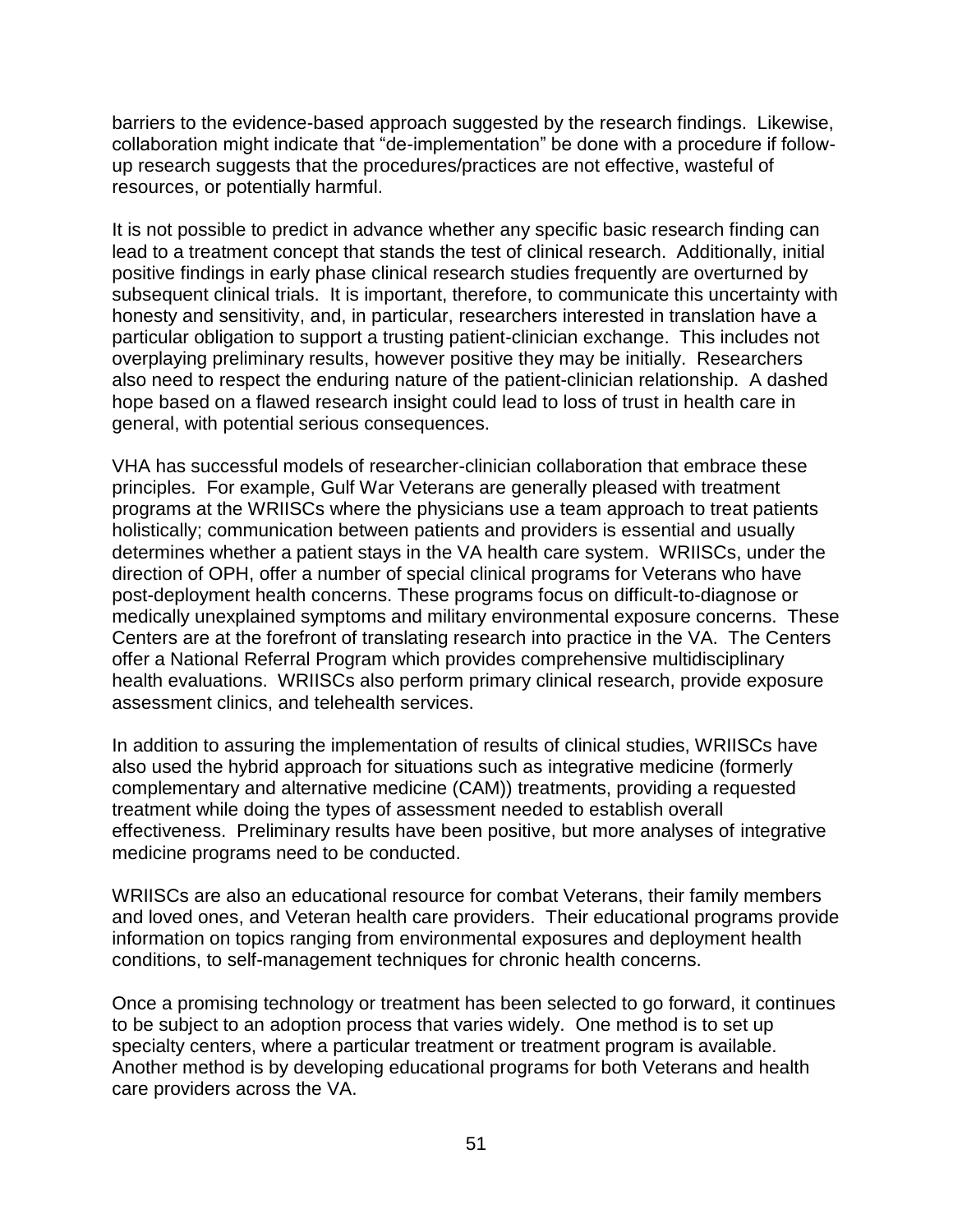barriers to the evidence-based approach suggested by the research findings. Likewise, collaboration might indicate that "de-implementation" be done with a procedure if followup research suggests that the procedures/practices are not effective, wasteful of resources, or potentially harmful.

It is not possible to predict in advance whether any specific basic research finding can lead to a treatment concept that stands the test of clinical research. Additionally, initial positive findings in early phase clinical research studies frequently are overturned by subsequent clinical trials. It is important, therefore, to communicate this uncertainty with honesty and sensitivity, and, in particular, researchers interested in translation have a particular obligation to support a trusting patient-clinician exchange. This includes not overplaying preliminary results, however positive they may be initially. Researchers also need to respect the enduring nature of the patient-clinician relationship. A dashed hope based on a flawed research insight could lead to loss of trust in health care in general, with potential serious consequences.

VHA has successful models of researcher-clinician collaboration that embrace these principles. For example, Gulf War Veterans are generally pleased with treatment programs at the WRIISCs where the physicians use a team approach to treat patients holistically; communication between patients and providers is essential and usually determines whether a patient stays in the VA health care system. WRIISCs, under the direction of OPH, offer a number of special clinical programs for Veterans who have post-deployment health concerns. These programs focus on difficult-to-diagnose or medically unexplained symptoms and military environmental exposure concerns. These Centers are at the forefront of translating research into practice in the VA. The Centers offer a National Referral Program which provides comprehensive multidisciplinary health evaluations. WRIISCs also perform primary clinical research, provide exposure assessment clinics, and telehealth services.

In addition to assuring the implementation of results of clinical studies, WRIISCs have also used the hybrid approach for situations such as integrative medicine (formerly complementary and alternative medicine (CAM)) treatments, providing a requested treatment while doing the types of assessment needed to establish overall effectiveness. Preliminary results have been positive, but more analyses of integrative medicine programs need to be conducted.

WRIISCs are also an educational resource for combat Veterans, their family members and loved ones, and Veteran health care providers. Their educational programs provide information on topics ranging from environmental exposures and deployment health conditions, to self-management techniques for chronic health concerns.

Once a promising technology or treatment has been selected to go forward, it continues to be subject to an adoption process that varies widely. One method is to set up specialty centers, where a particular treatment or treatment program is available. Another method is by developing educational programs for both Veterans and health care providers across the VA.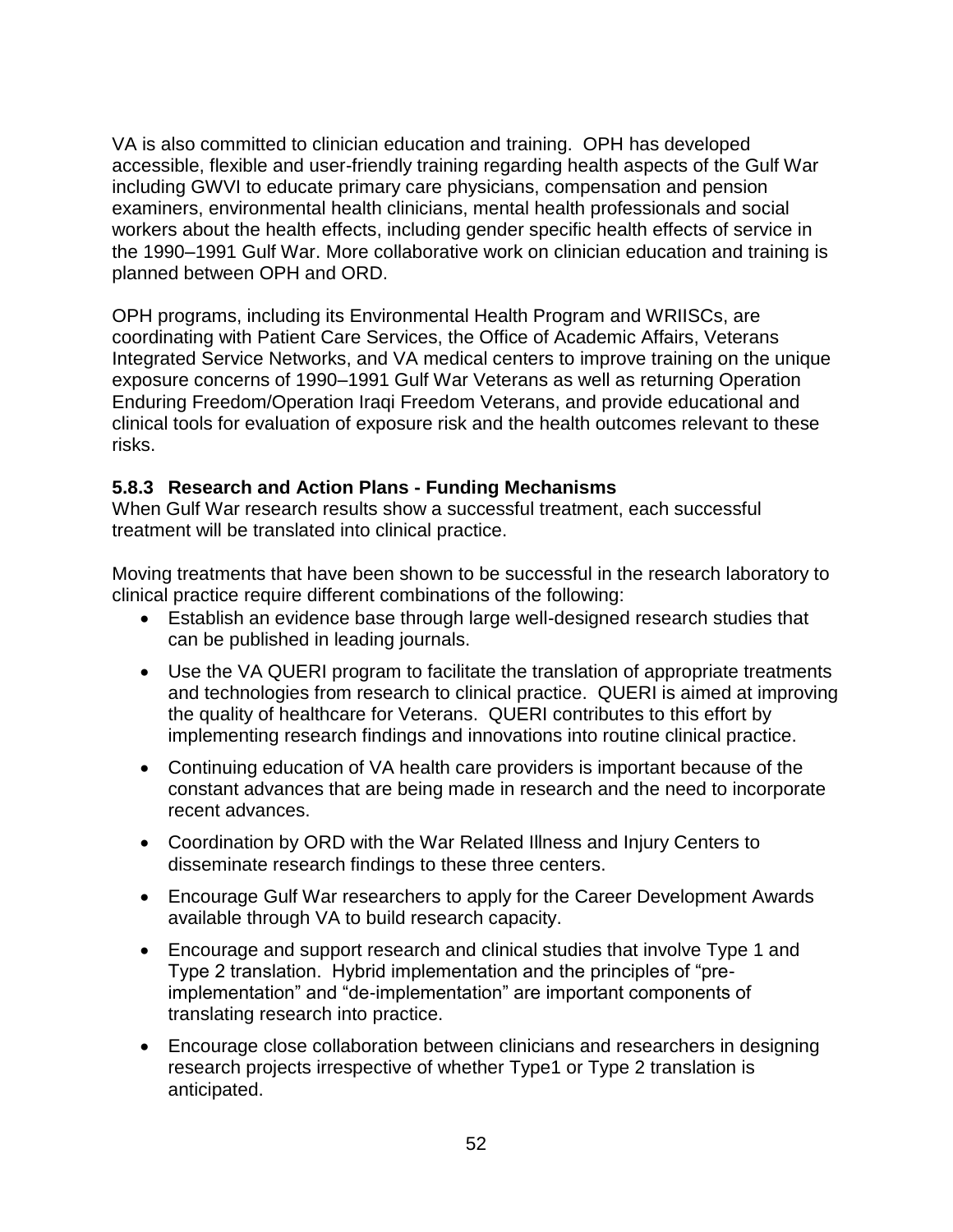VA is also committed to clinician education and training. OPH has developed accessible, flexible and user-friendly training regarding health aspects of the Gulf War including GWVI to educate primary care physicians, compensation and pension examiners, environmental health clinicians, mental health professionals and social workers about the health effects, including gender specific health effects of service in the 1990–1991 Gulf War. More collaborative work on clinician education and training is planned between OPH and ORD.

OPH programs, including its Environmental Health Program and WRIISCs, are coordinating with Patient Care Services, the Office of Academic Affairs, Veterans Integrated Service Networks, and VA medical centers to improve training on the unique exposure concerns of 1990–1991 Gulf War Veterans as well as returning Operation Enduring Freedom/Operation Iraqi Freedom Veterans, and provide educational and clinical tools for evaluation of exposure risk and the health outcomes relevant to these risks.

#### <span id="page-51-0"></span>**5.8.3 Research and Action Plans - Funding Mechanisms**

When Gulf War research results show a successful treatment, each successful treatment will be translated into clinical practice.

Moving treatments that have been shown to be successful in the research laboratory to clinical practice require different combinations of the following:

- Establish an evidence base through large well-designed research studies that can be published in leading journals.
- Use the VA QUERI program to facilitate the translation of appropriate treatments and technologies from research to clinical practice. QUERI is aimed at improving the quality of healthcare for Veterans. QUERI contributes to this effort by implementing research findings and innovations into routine clinical practice.
- Continuing education of VA health care providers is important because of the constant advances that are being made in research and the need to incorporate recent advances.
- Coordination by ORD with the War Related Illness and Injury Centers to disseminate research findings to these three centers.
- Encourage Gulf War researchers to apply for the Career Development Awards available through VA to build research capacity.
- Encourage and support research and clinical studies that involve Type 1 and Type 2 translation. Hybrid implementation and the principles of "preimplementation" and "de-implementation" are important components of translating research into practice.
- Encourage close collaboration between clinicians and researchers in designing research projects irrespective of whether Type1 or Type 2 translation is anticipated.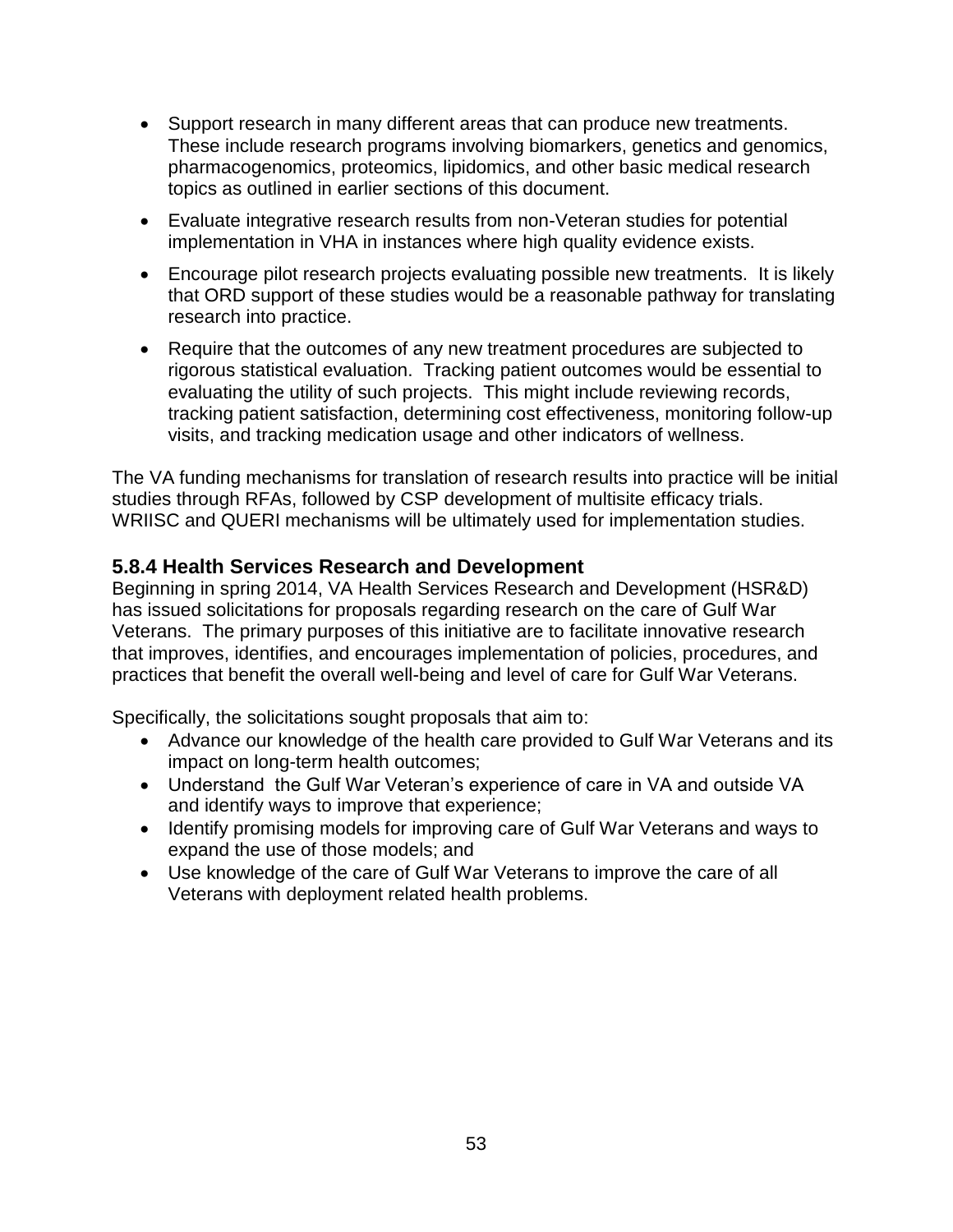- Support research in many different areas that can produce new treatments. These include research programs involving biomarkers, genetics and genomics, pharmacogenomics, proteomics, lipidomics, and other basic medical research topics as outlined in earlier sections of this document.
- Evaluate integrative research results from non-Veteran studies for potential implementation in VHA in instances where high quality evidence exists.
- Encourage pilot research projects evaluating possible new treatments. It is likely that ORD support of these studies would be a reasonable pathway for translating research into practice.
- Require that the outcomes of any new treatment procedures are subjected to rigorous statistical evaluation. Tracking patient outcomes would be essential to evaluating the utility of such projects. This might include reviewing records, tracking patient satisfaction, determining cost effectiveness, monitoring follow-up visits, and tracking medication usage and other indicators of wellness.

The VA funding mechanisms for translation of research results into practice will be initial studies through RFAs, followed by CSP development of multisite efficacy trials. WRIISC and QUERI mechanisms will be ultimately used for implementation studies.

#### <span id="page-52-0"></span>**5.8.4 Health Services Research and Development**

Beginning in spring 2014, VA Health Services Research and Development (HSR&D) has issued solicitations for proposals regarding research on the care of Gulf War Veterans. The primary purposes of this initiative are to facilitate innovative research that improves, identifies, and encourages implementation of policies, procedures, and practices that benefit the overall well-being and level of care for Gulf War Veterans.

Specifically, the solicitations sought proposals that aim to:

- Advance our knowledge of the health care provided to Gulf War Veterans and its impact on long-term health outcomes;
- Understand the Gulf War Veteran's experience of care in VA and outside VA and identify ways to improve that experience;
- Identify promising models for improving care of Gulf War Veterans and ways to expand the use of those models; and
- Use knowledge of the care of Gulf War Veterans to improve the care of all Veterans with deployment related health problems.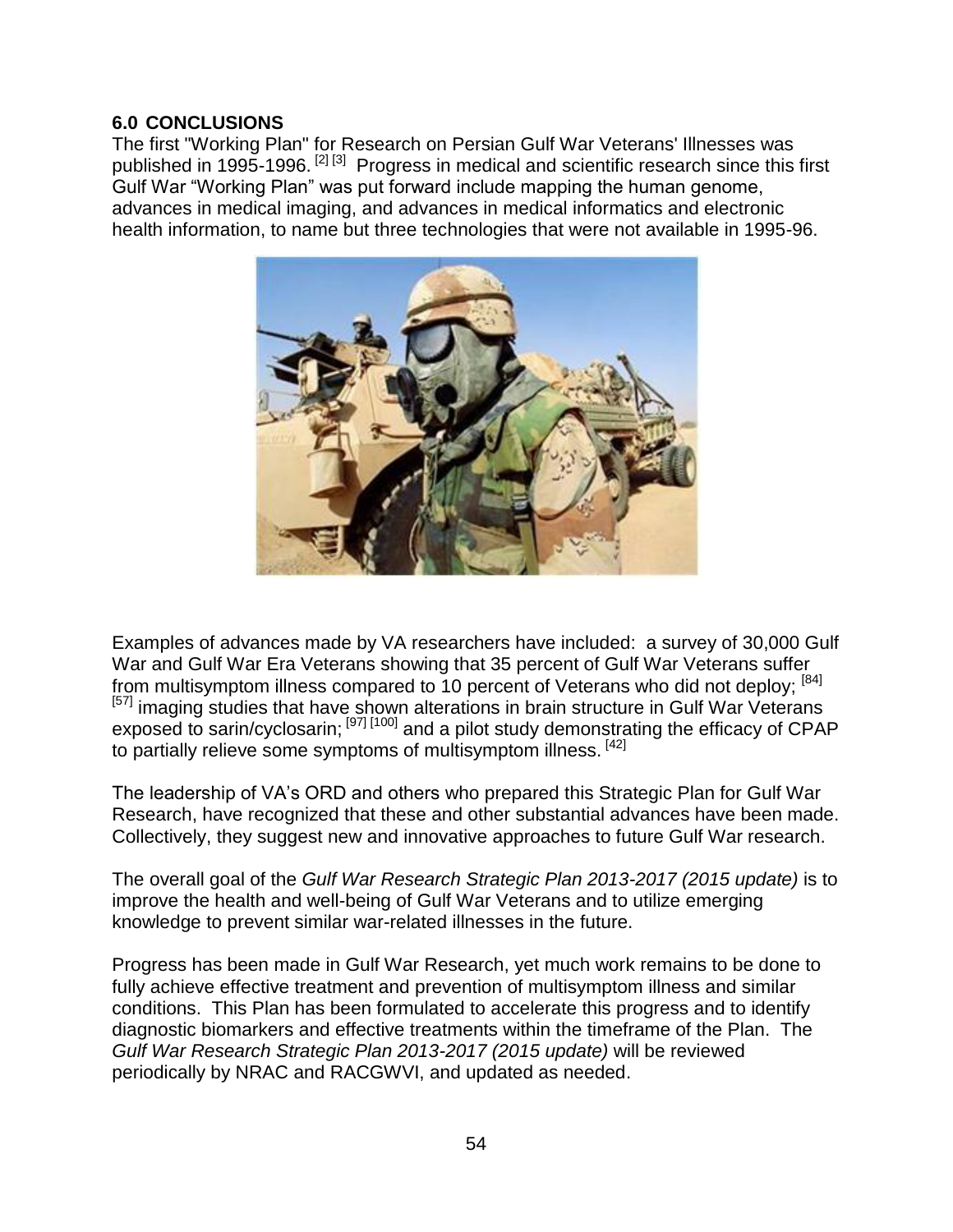#### <span id="page-53-0"></span>**6.0 CONCLUSIONS**

The first "Working Plan" for Research on Persian Gulf War Veterans' Illnesses was published in 1995-1996. <sup>[2] [3]</sup> Progress in medical and scientific research since this first Gulf War "Working Plan" was put forward include mapping the human genome, advances in medical imaging, and advances in medical informatics and electronic health information, to name but three technologies that were not available in 1995-96.



Examples of advances made by VA researchers have included: a survey of 30,000 Gulf War and Gulf War Era Veterans showing that 35 percent of Gulf War Veterans suffer from multisymptom illness compared to 10 percent of Veterans who did not deploy; [84] <sup>[57]</sup> imaging studies that have shown alterations in brain structure in Gulf War Veterans exposed to sarin/cyclosarin;  $[97]$ <sup>[100]</sup> and a pilot study demonstrating the efficacy of CPAP to partially relieve some symptoms of multisymptom illness. [42]

The leadership of VA's ORD and others who prepared this Strategic Plan for Gulf War Research, have recognized that these and other substantial advances have been made. Collectively, they suggest new and innovative approaches to future Gulf War research.

The overall goal of the *Gulf War Research Strategic Plan 2013-2017 (2015 update)* is to improve the health and well-being of Gulf War Veterans and to utilize emerging knowledge to prevent similar war-related illnesses in the future.

Progress has been made in Gulf War Research, yet much work remains to be done to fully achieve effective treatment and prevention of multisymptom illness and similar conditions. This Plan has been formulated to accelerate this progress and to identify diagnostic biomarkers and effective treatments within the timeframe of the Plan. The *Gulf War Research Strategic Plan 2013-2017 (2015 update)* will be reviewed periodically by NRAC and RACGWVI, and updated as needed.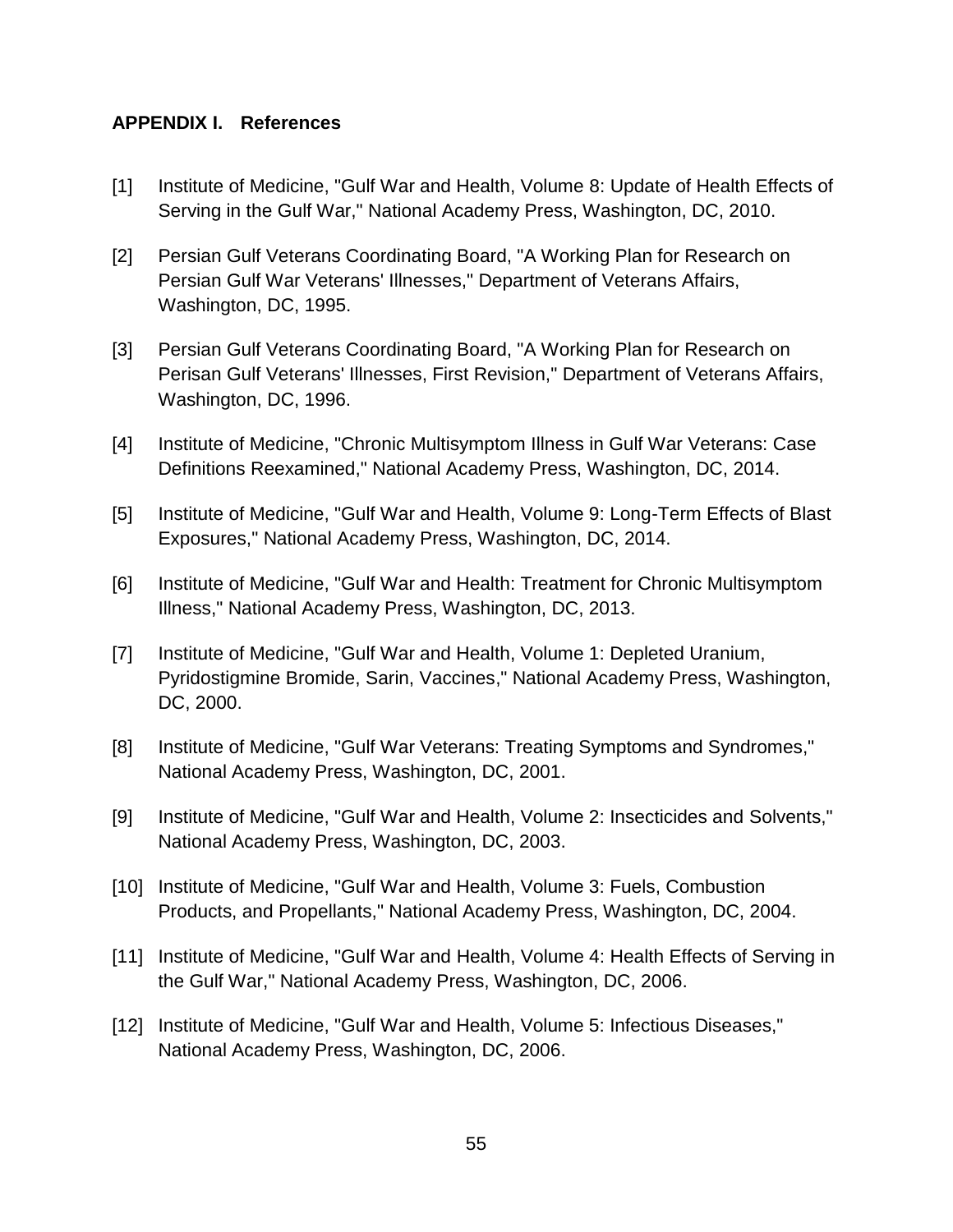#### <span id="page-54-0"></span>**APPENDIX I. References**

- [1] Institute of Medicine, "Gulf War and Health, Volume 8: Update of Health Effects of Serving in the Gulf War," National Academy Press, Washington, DC, 2010.
- [2] Persian Gulf Veterans Coordinating Board, "A Working Plan for Research on Persian Gulf War Veterans' Illnesses," Department of Veterans Affairs, Washington, DC, 1995.
- [3] Persian Gulf Veterans Coordinating Board, "A Working Plan for Research on Perisan Gulf Veterans' Illnesses, First Revision," Department of Veterans Affairs, Washington, DC, 1996.
- [4] Institute of Medicine, "Chronic Multisymptom Illness in Gulf War Veterans: Case Definitions Reexamined," National Academy Press, Washington, DC, 2014.
- [5] Institute of Medicine, "Gulf War and Health, Volume 9: Long-Term Effects of Blast Exposures," National Academy Press, Washington, DC, 2014.
- [6] Institute of Medicine, "Gulf War and Health: Treatment for Chronic Multisymptom Illness," National Academy Press, Washington, DC, 2013.
- [7] Institute of Medicine, "Gulf War and Health, Volume 1: Depleted Uranium, Pyridostigmine Bromide, Sarin, Vaccines," National Academy Press, Washington, DC, 2000.
- [8] Institute of Medicine, "Gulf War Veterans: Treating Symptoms and Syndromes," National Academy Press, Washington, DC, 2001.
- [9] Institute of Medicine, "Gulf War and Health, Volume 2: Insecticides and Solvents," National Academy Press, Washington, DC, 2003.
- [10] Institute of Medicine, "Gulf War and Health, Volume 3: Fuels, Combustion Products, and Propellants," National Academy Press, Washington, DC, 2004.
- [11] Institute of Medicine, "Gulf War and Health, Volume 4: Health Effects of Serving in the Gulf War," National Academy Press, Washington, DC, 2006.
- [12] Institute of Medicine, "Gulf War and Health, Volume 5: Infectious Diseases," National Academy Press, Washington, DC, 2006.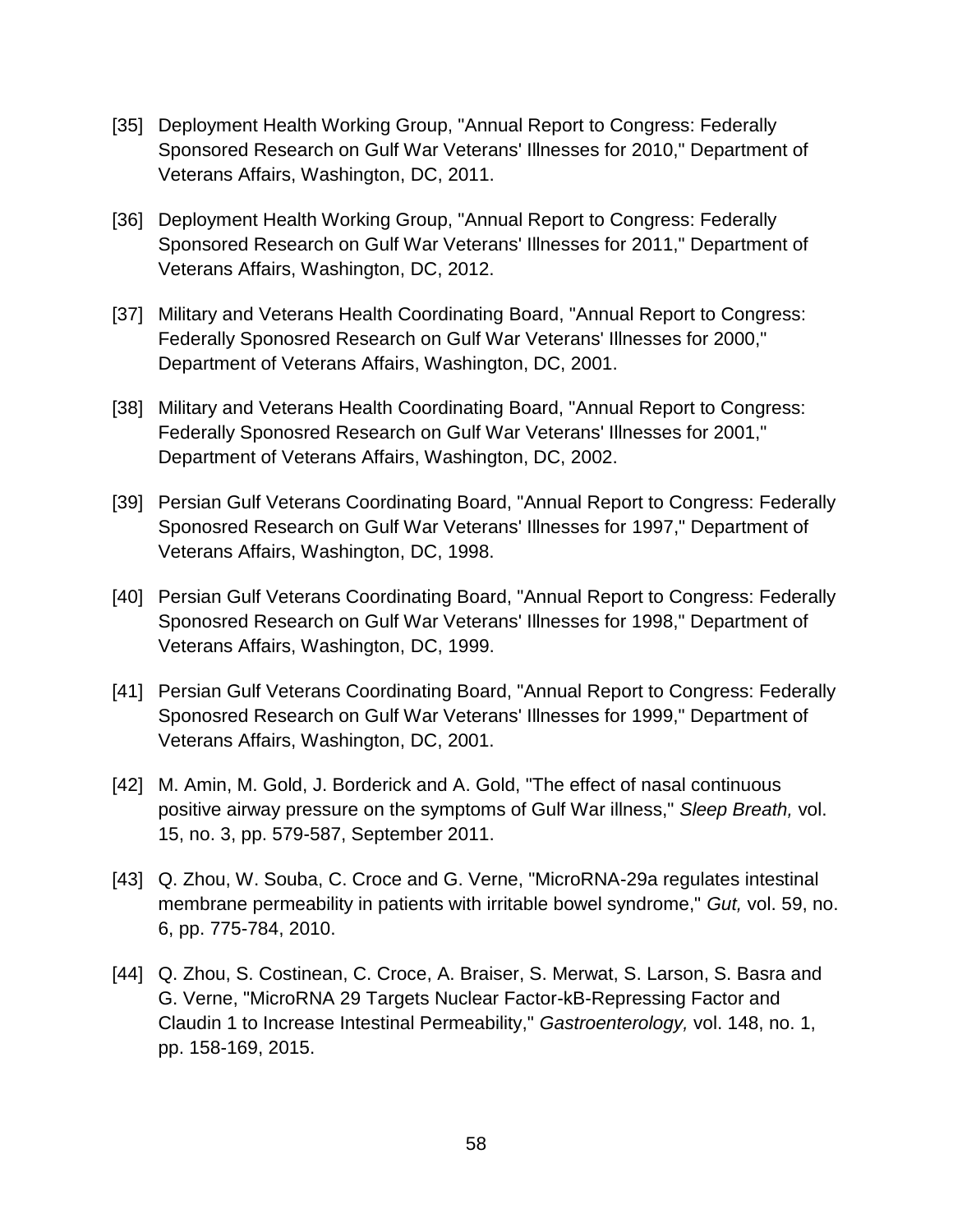- [35] Deployment Health Working Group, "Annual Report to Congress: Federally Sponsored Research on Gulf War Veterans' Illnesses for 2010," Department of Veterans Affairs, Washington, DC, 2011.
- [36] Deployment Health Working Group, "Annual Report to Congress: Federally Sponsored Research on Gulf War Veterans' Illnesses for 2011," Department of Veterans Affairs, Washington, DC, 2012.
- [37] Military and Veterans Health Coordinating Board, "Annual Report to Congress: Federally Sponosred Research on Gulf War Veterans' Illnesses for 2000," Department of Veterans Affairs, Washington, DC, 2001.
- [38] Military and Veterans Health Coordinating Board, "Annual Report to Congress: Federally Sponosred Research on Gulf War Veterans' Illnesses for 2001," Department of Veterans Affairs, Washington, DC, 2002.
- [39] Persian Gulf Veterans Coordinating Board, "Annual Report to Congress: Federally Sponosred Research on Gulf War Veterans' Illnesses for 1997," Department of Veterans Affairs, Washington, DC, 1998.
- [40] Persian Gulf Veterans Coordinating Board, "Annual Report to Congress: Federally Sponosred Research on Gulf War Veterans' Illnesses for 1998," Department of Veterans Affairs, Washington, DC, 1999.
- [41] Persian Gulf Veterans Coordinating Board, "Annual Report to Congress: Federally Sponosred Research on Gulf War Veterans' Illnesses for 1999," Department of Veterans Affairs, Washington, DC, 2001.
- [42] M. Amin, M. Gold, J. Borderick and A. Gold, "The effect of nasal continuous positive airway pressure on the symptoms of Gulf War illness," *Sleep Breath,* vol. 15, no. 3, pp. 579-587, September 2011.
- [43] Q. Zhou, W. Souba, C. Croce and G. Verne, "MicroRNA-29a regulates intestinal membrane permeability in patients with irritable bowel syndrome," *Gut,* vol. 59, no. 6, pp. 775-784, 2010.
- [44] Q. Zhou, S. Costinean, C. Croce, A. Braiser, S. Merwat, S. Larson, S. Basra and G. Verne, "MicroRNA 29 Targets Nuclear Factor-kB-Repressing Factor and Claudin 1 to Increase Intestinal Permeability," *Gastroenterology,* vol. 148, no. 1, pp. 158-169, 2015.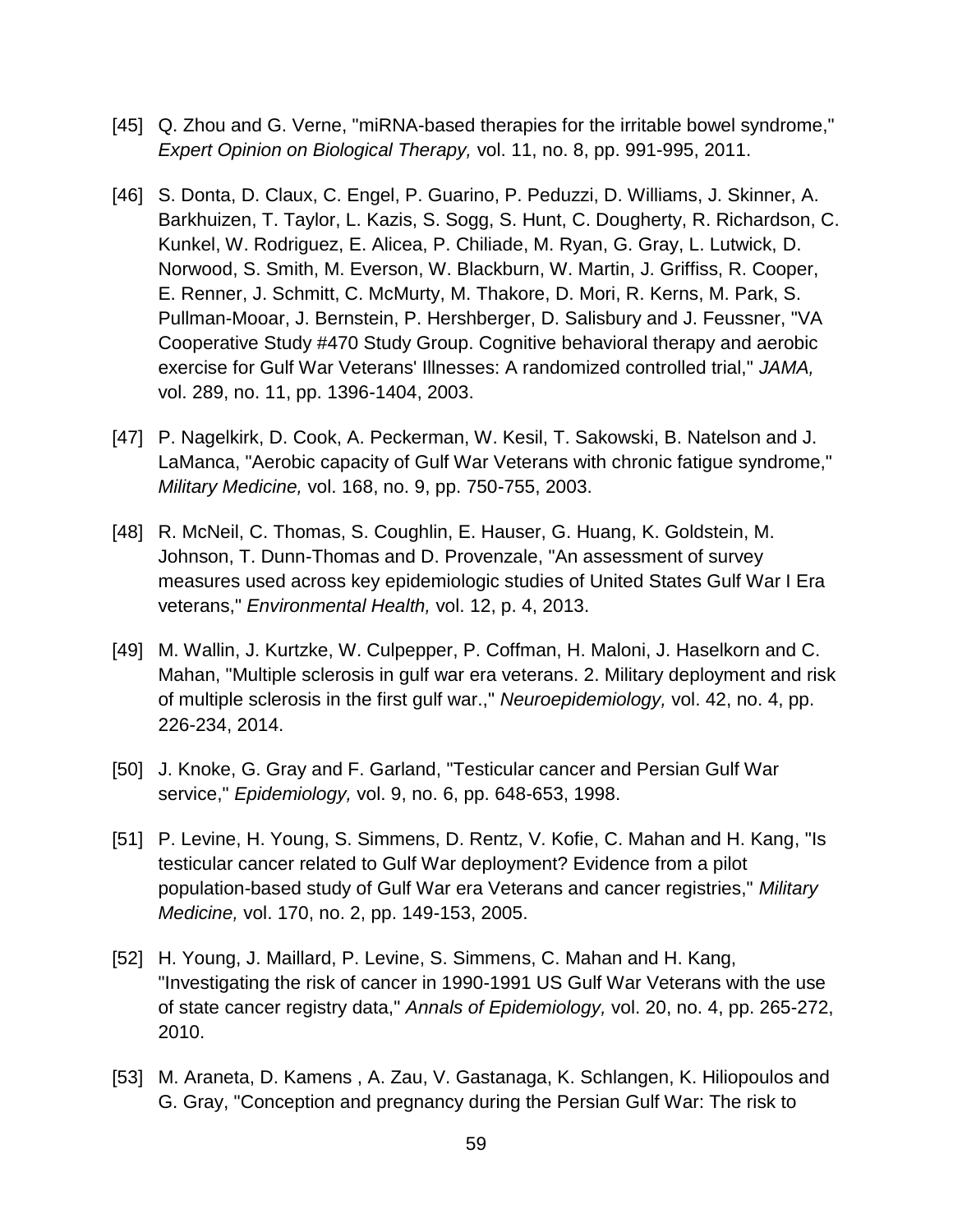- [45] Q. Zhou and G. Verne, "miRNA-based therapies for the irritable bowel syndrome," *Expert Opinion on Biological Therapy,* vol. 11, no. 8, pp. 991-995, 2011.
- [46] S. Donta, D. Claux, C. Engel, P. Guarino, P. Peduzzi, D. Williams, J. Skinner, A. Barkhuizen, T. Taylor, L. Kazis, S. Sogg, S. Hunt, C. Dougherty, R. Richardson, C. Kunkel, W. Rodriguez, E. Alicea, P. Chiliade, M. Ryan, G. Gray, L. Lutwick, D. Norwood, S. Smith, M. Everson, W. Blackburn, W. Martin, J. Griffiss, R. Cooper, E. Renner, J. Schmitt, C. McMurty, M. Thakore, D. Mori, R. Kerns, M. Park, S. Pullman-Mooar, J. Bernstein, P. Hershberger, D. Salisbury and J. Feussner, "VA Cooperative Study #470 Study Group. Cognitive behavioral therapy and aerobic exercise for Gulf War Veterans' Illnesses: A randomized controlled trial," *JAMA,*  vol. 289, no. 11, pp. 1396-1404, 2003.
- [47] P. Nagelkirk, D. Cook, A. Peckerman, W. Kesil, T. Sakowski, B. Natelson and J. LaManca, "Aerobic capacity of Gulf War Veterans with chronic fatigue syndrome," *Military Medicine,* vol. 168, no. 9, pp. 750-755, 2003.
- [48] R. McNeil, C. Thomas, S. Coughlin, E. Hauser, G. Huang, K. Goldstein, M. Johnson, T. Dunn-Thomas and D. Provenzale, "An assessment of survey measures used across key epidemiologic studies of United States Gulf War I Era veterans," *Environmental Health,* vol. 12, p. 4, 2013.
- [49] M. Wallin, J. Kurtzke, W. Culpepper, P. Coffman, H. Maloni, J. Haselkorn and C. Mahan, "Multiple sclerosis in gulf war era veterans. 2. Military deployment and risk of multiple sclerosis in the first gulf war.," *Neuroepidemiology,* vol. 42, no. 4, pp. 226-234, 2014.
- [50] J. Knoke, G. Gray and F. Garland, "Testicular cancer and Persian Gulf War service," *Epidemiology,* vol. 9, no. 6, pp. 648-653, 1998.
- [51] P. Levine, H. Young, S. Simmens, D. Rentz, V. Kofie, C. Mahan and H. Kang, "Is testicular cancer related to Gulf War deployment? Evidence from a pilot population-based study of Gulf War era Veterans and cancer registries," *Military Medicine,* vol. 170, no. 2, pp. 149-153, 2005.
- [52] H. Young, J. Maillard, P. Levine, S. Simmens, C. Mahan and H. Kang, "Investigating the risk of cancer in 1990-1991 US Gulf War Veterans with the use of state cancer registry data," *Annals of Epidemiology,* vol. 20, no. 4, pp. 265-272, 2010.
- [53] M. Araneta, D. Kamens , A. Zau, V. Gastanaga, K. Schlangen, K. Hiliopoulos and G. Gray, "Conception and pregnancy during the Persian Gulf War: The risk to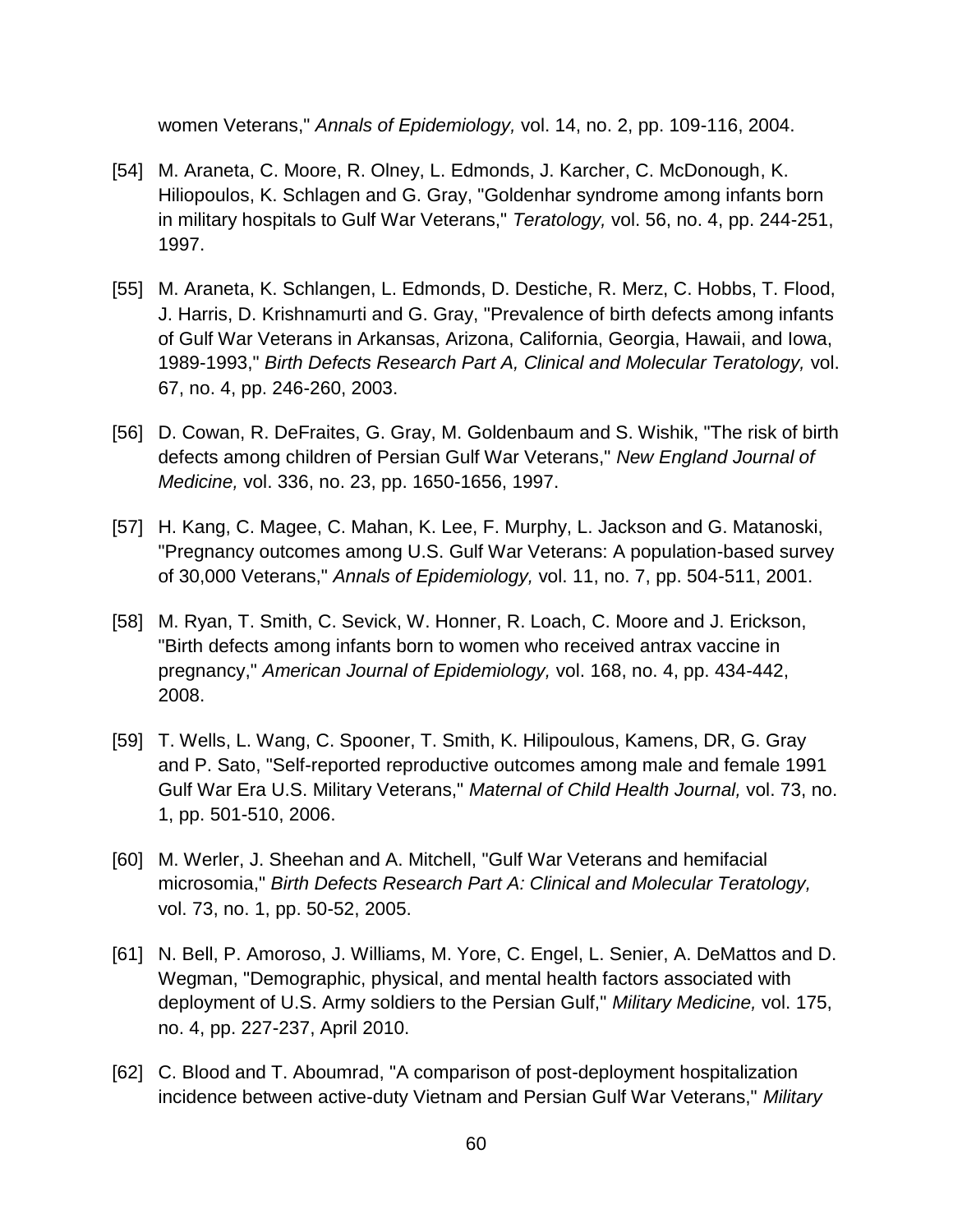women Veterans," *Annals of Epidemiology,* vol. 14, no. 2, pp. 109-116, 2004.

- [54] M. Araneta, C. Moore, R. Olney, L. Edmonds, J. Karcher, C. McDonough, K. Hiliopoulos, K. Schlagen and G. Gray, "Goldenhar syndrome among infants born in military hospitals to Gulf War Veterans," *Teratology,* vol. 56, no. 4, pp. 244-251, 1997.
- [55] M. Araneta, K. Schlangen, L. Edmonds, D. Destiche, R. Merz, C. Hobbs, T. Flood, J. Harris, D. Krishnamurti and G. Gray, "Prevalence of birth defects among infants of Gulf War Veterans in Arkansas, Arizona, California, Georgia, Hawaii, and Iowa, 1989-1993," *Birth Defects Research Part A, Clinical and Molecular Teratology,* vol. 67, no. 4, pp. 246-260, 2003.
- [56] D. Cowan, R. DeFraites, G. Gray, M. Goldenbaum and S. Wishik, "The risk of birth defects among children of Persian Gulf War Veterans," *New England Journal of Medicine,* vol. 336, no. 23, pp. 1650-1656, 1997.
- [57] H. Kang, C. Magee, C. Mahan, K. Lee, F. Murphy, L. Jackson and G. Matanoski, "Pregnancy outcomes among U.S. Gulf War Veterans: A population-based survey of 30,000 Veterans," *Annals of Epidemiology,* vol. 11, no. 7, pp. 504-511, 2001.
- [58] M. Ryan, T. Smith, C. Sevick, W. Honner, R. Loach, C. Moore and J. Erickson, "Birth defects among infants born to women who received antrax vaccine in pregnancy," *American Journal of Epidemiology,* vol. 168, no. 4, pp. 434-442, 2008.
- [59] T. Wells, L. Wang, C. Spooner, T. Smith, K. Hilipoulous, Kamens, DR, G. Gray and P. Sato, "Self-reported reproductive outcomes among male and female 1991 Gulf War Era U.S. Military Veterans," *Maternal of Child Health Journal,* vol. 73, no. 1, pp. 501-510, 2006.
- [60] M. Werler, J. Sheehan and A. Mitchell, "Gulf War Veterans and hemifacial microsomia," *Birth Defects Research Part A: Clinical and Molecular Teratology,*  vol. 73, no. 1, pp. 50-52, 2005.
- [61] N. Bell, P. Amoroso, J. Williams, M. Yore, C. Engel, L. Senier, A. DeMattos and D. Wegman, "Demographic, physical, and mental health factors associated with deployment of U.S. Army soldiers to the Persian Gulf," *Military Medicine,* vol. 175, no. 4, pp. 227-237, April 2010.
- [62] C. Blood and T. Aboumrad, "A comparison of post-deployment hospitalization incidence between active-duty Vietnam and Persian Gulf War Veterans," *Military*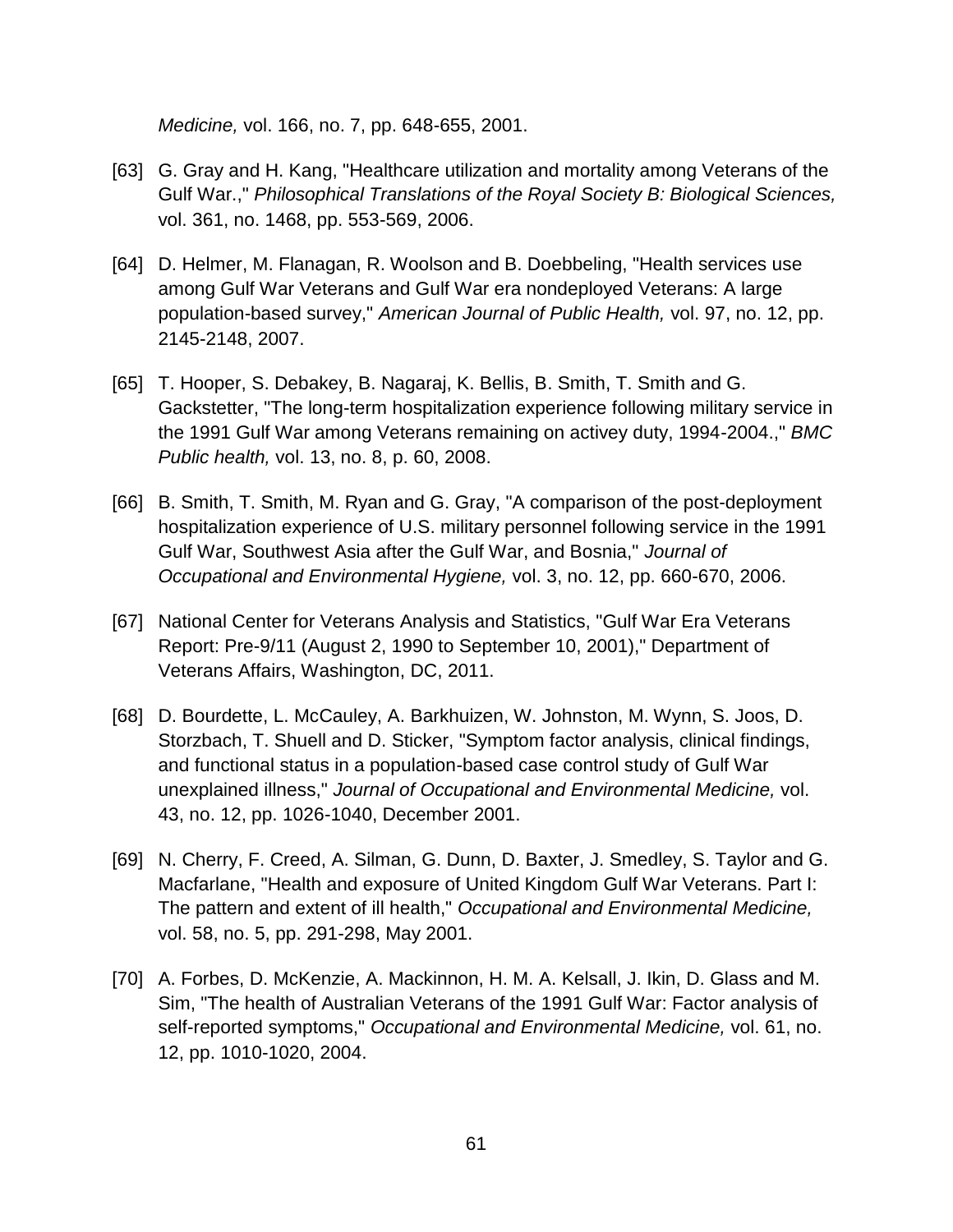*Medicine,* vol. 166, no. 7, pp. 648-655, 2001.

- [63] G. Gray and H. Kang, "Healthcare utilization and mortality among Veterans of the Gulf War.," *Philosophical Translations of the Royal Society B: Biological Sciences,*  vol. 361, no. 1468, pp. 553-569, 2006.
- [64] D. Helmer, M. Flanagan, R. Woolson and B. Doebbeling, "Health services use among Gulf War Veterans and Gulf War era nondeployed Veterans: A large population-based survey," *American Journal of Public Health,* vol. 97, no. 12, pp. 2145-2148, 2007.
- [65] T. Hooper, S. Debakey, B. Nagaraj, K. Bellis, B. Smith, T. Smith and G. Gackstetter, "The long-term hospitalization experience following military service in the 1991 Gulf War among Veterans remaining on activey duty, 1994-2004.," *BMC Public health,* vol. 13, no. 8, p. 60, 2008.
- [66] B. Smith, T. Smith, M. Ryan and G. Gray, "A comparison of the post-deployment hospitalization experience of U.S. military personnel following service in the 1991 Gulf War, Southwest Asia after the Gulf War, and Bosnia," *Journal of Occupational and Environmental Hygiene,* vol. 3, no. 12, pp. 660-670, 2006.
- [67] National Center for Veterans Analysis and Statistics, "Gulf War Era Veterans Report: Pre-9/11 (August 2, 1990 to September 10, 2001)," Department of Veterans Affairs, Washington, DC, 2011.
- [68] D. Bourdette, L. McCauley, A. Barkhuizen, W. Johnston, M. Wynn, S. Joos, D. Storzbach, T. Shuell and D. Sticker, "Symptom factor analysis, clinical findings, and functional status in a population-based case control study of Gulf War unexplained illness," *Journal of Occupational and Environmental Medicine,* vol. 43, no. 12, pp. 1026-1040, December 2001.
- [69] N. Cherry, F. Creed, A. Silman, G. Dunn, D. Baxter, J. Smedley, S. Taylor and G. Macfarlane, "Health and exposure of United Kingdom Gulf War Veterans. Part I: The pattern and extent of ill health," *Occupational and Environmental Medicine,*  vol. 58, no. 5, pp. 291-298, May 2001.
- [70] A. Forbes, D. McKenzie, A. Mackinnon, H. M. A. Kelsall, J. Ikin, D. Glass and M. Sim, "The health of Australian Veterans of the 1991 Gulf War: Factor analysis of self-reported symptoms," *Occupational and Environmental Medicine,* vol. 61, no. 12, pp. 1010-1020, 2004.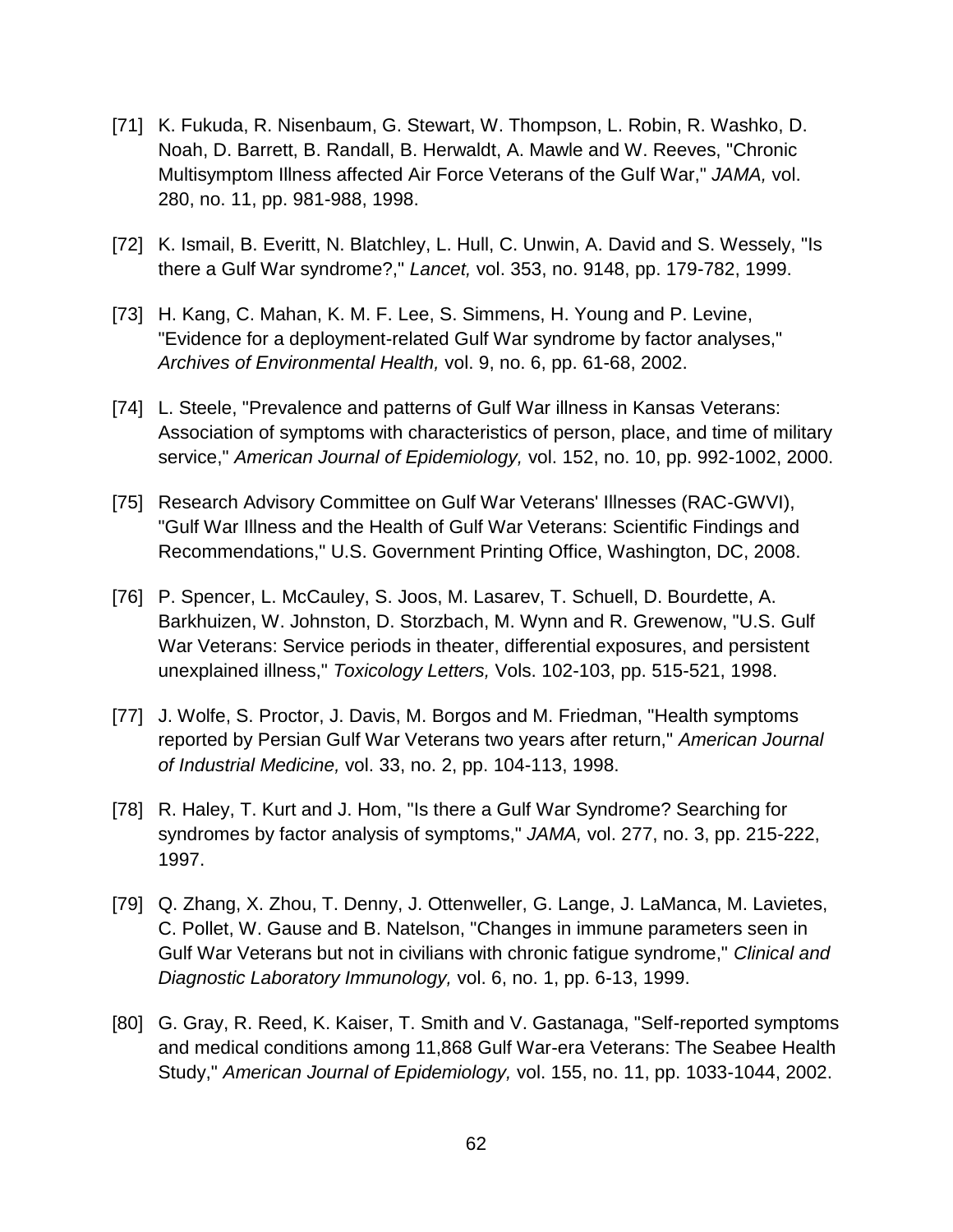- [71] K. Fukuda, R. Nisenbaum, G. Stewart, W. Thompson, L. Robin, R. Washko, D. Noah, D. Barrett, B. Randall, B. Herwaldt, A. Mawle and W. Reeves, "Chronic Multisymptom Illness affected Air Force Veterans of the Gulf War," *JAMA,* vol. 280, no. 11, pp. 981-988, 1998.
- [72] K. Ismail, B. Everitt, N. Blatchley, L. Hull, C. Unwin, A. David and S. Wessely, "Is there a Gulf War syndrome?," *Lancet,* vol. 353, no. 9148, pp. 179-782, 1999.
- [73] H. Kang, C. Mahan, K. M. F. Lee, S. Simmens, H. Young and P. Levine, "Evidence for a deployment-related Gulf War syndrome by factor analyses," *Archives of Environmental Health,* vol. 9, no. 6, pp. 61-68, 2002.
- [74] L. Steele, "Prevalence and patterns of Gulf War illness in Kansas Veterans: Association of symptoms with characteristics of person, place, and time of military service," *American Journal of Epidemiology,* vol. 152, no. 10, pp. 992-1002, 2000.
- [75] Research Advisory Committee on Gulf War Veterans' Illnesses (RAC-GWVI), "Gulf War Illness and the Health of Gulf War Veterans: Scientific Findings and Recommendations," U.S. Government Printing Office, Washington, DC, 2008.
- [76] P. Spencer, L. McCauley, S. Joos, M. Lasarev, T. Schuell, D. Bourdette, A. Barkhuizen, W. Johnston, D. Storzbach, M. Wynn and R. Grewenow, "U.S. Gulf War Veterans: Service periods in theater, differential exposures, and persistent unexplained illness," *Toxicology Letters,* Vols. 102-103, pp. 515-521, 1998.
- [77] J. Wolfe, S. Proctor, J. Davis, M. Borgos and M. Friedman, "Health symptoms reported by Persian Gulf War Veterans two years after return," *American Journal of Industrial Medicine,* vol. 33, no. 2, pp. 104-113, 1998.
- [78] R. Haley, T. Kurt and J. Hom, "Is there a Gulf War Syndrome? Searching for syndromes by factor analysis of symptoms," *JAMA,* vol. 277, no. 3, pp. 215-222, 1997.
- [79] Q. Zhang, X. Zhou, T. Denny, J. Ottenweller, G. Lange, J. LaManca, M. Lavietes, C. Pollet, W. Gause and B. Natelson, "Changes in immune parameters seen in Gulf War Veterans but not in civilians with chronic fatigue syndrome," *Clinical and Diagnostic Laboratory Immunology,* vol. 6, no. 1, pp. 6-13, 1999.
- [80] G. Gray, R. Reed, K. Kaiser, T. Smith and V. Gastanaga, "Self-reported symptoms and medical conditions among 11,868 Gulf War-era Veterans: The Seabee Health Study," *American Journal of Epidemiology,* vol. 155, no. 11, pp. 1033-1044, 2002.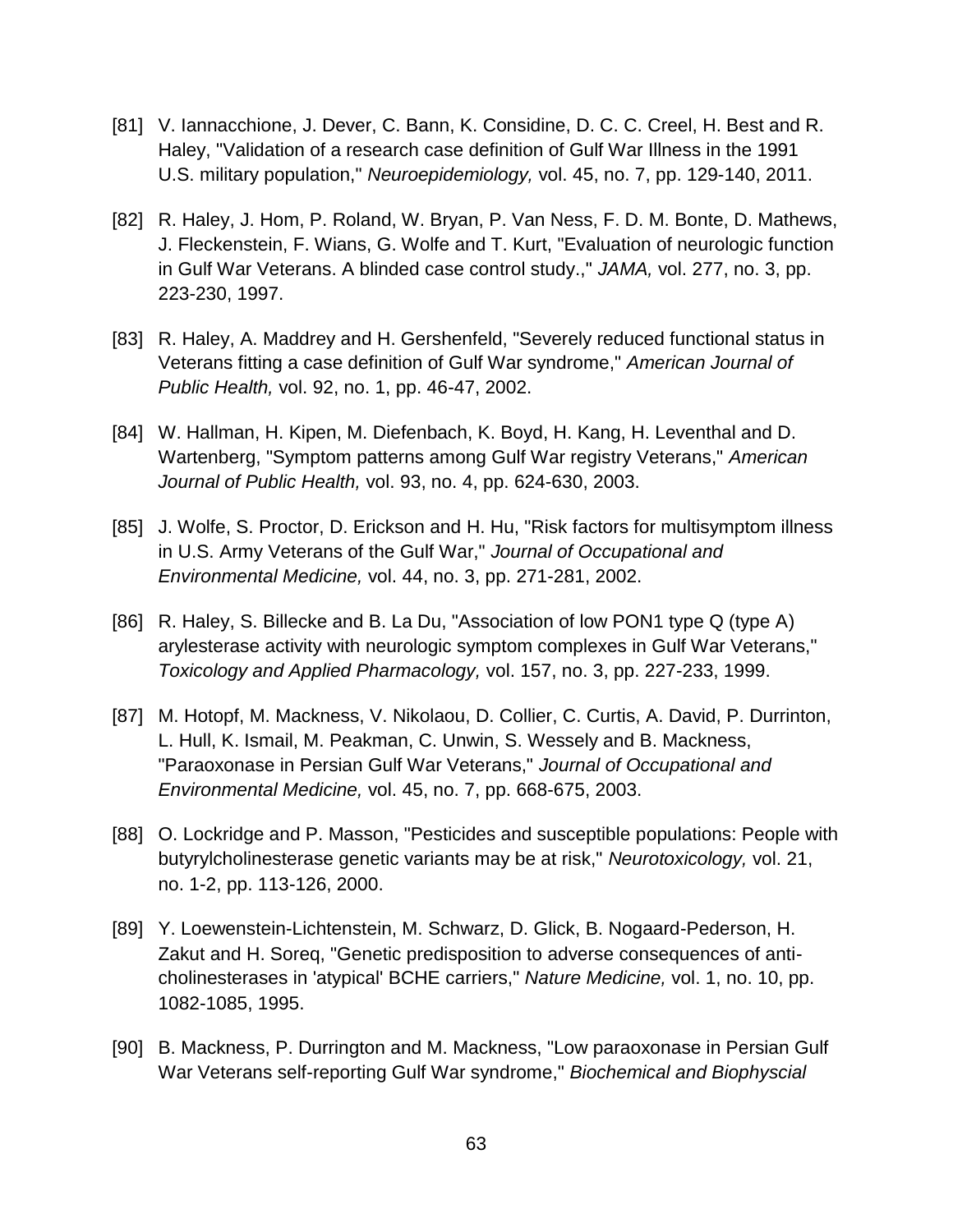- [81] V. Iannacchione, J. Dever, C. Bann, K. Considine, D. C. C. Creel, H. Best and R. Haley, "Validation of a research case definition of Gulf War Illness in the 1991 U.S. military population," *Neuroepidemiology,* vol. 45, no. 7, pp. 129-140, 2011.
- [82] R. Haley, J. Hom, P. Roland, W. Bryan, P. Van Ness, F. D. M. Bonte, D. Mathews, J. Fleckenstein, F. Wians, G. Wolfe and T. Kurt, "Evaluation of neurologic function in Gulf War Veterans. A blinded case control study.," *JAMA,* vol. 277, no. 3, pp. 223-230, 1997.
- [83] R. Haley, A. Maddrey and H. Gershenfeld, "Severely reduced functional status in Veterans fitting a case definition of Gulf War syndrome," *American Journal of Public Health,* vol. 92, no. 1, pp. 46-47, 2002.
- [84] W. Hallman, H. Kipen, M. Diefenbach, K. Boyd, H. Kang, H. Leventhal and D. Wartenberg, "Symptom patterns among Gulf War registry Veterans," *American Journal of Public Health,* vol. 93, no. 4, pp. 624-630, 2003.
- [85] J. Wolfe, S. Proctor, D. Erickson and H. Hu, "Risk factors for multisymptom illness in U.S. Army Veterans of the Gulf War," *Journal of Occupational and Environmental Medicine,* vol. 44, no. 3, pp. 271-281, 2002.
- [86] R. Haley, S. Billecke and B. La Du, "Association of low PON1 type Q (type A) arylesterase activity with neurologic symptom complexes in Gulf War Veterans," *Toxicology and Applied Pharmacology,* vol. 157, no. 3, pp. 227-233, 1999.
- [87] M. Hotopf, M. Mackness, V. Nikolaou, D. Collier, C. Curtis, A. David, P. Durrinton, L. Hull, K. Ismail, M. Peakman, C. Unwin, S. Wessely and B. Mackness, "Paraoxonase in Persian Gulf War Veterans," *Journal of Occupational and Environmental Medicine,* vol. 45, no. 7, pp. 668-675, 2003.
- [88] O. Lockridge and P. Masson, "Pesticides and susceptible populations: People with butyrylcholinesterase genetic variants may be at risk," *Neurotoxicology,* vol. 21, no. 1-2, pp. 113-126, 2000.
- [89] Y. Loewenstein-Lichtenstein, M. Schwarz, D. Glick, B. Nogaard-Pederson, H. Zakut and H. Soreq, "Genetic predisposition to adverse consequences of anticholinesterases in 'atypical' BCHE carriers," *Nature Medicine,* vol. 1, no. 10, pp. 1082-1085, 1995.
- [90] B. Mackness, P. Durrington and M. Mackness, "Low paraoxonase in Persian Gulf War Veterans self-reporting Gulf War syndrome," *Biochemical and Biophyscial*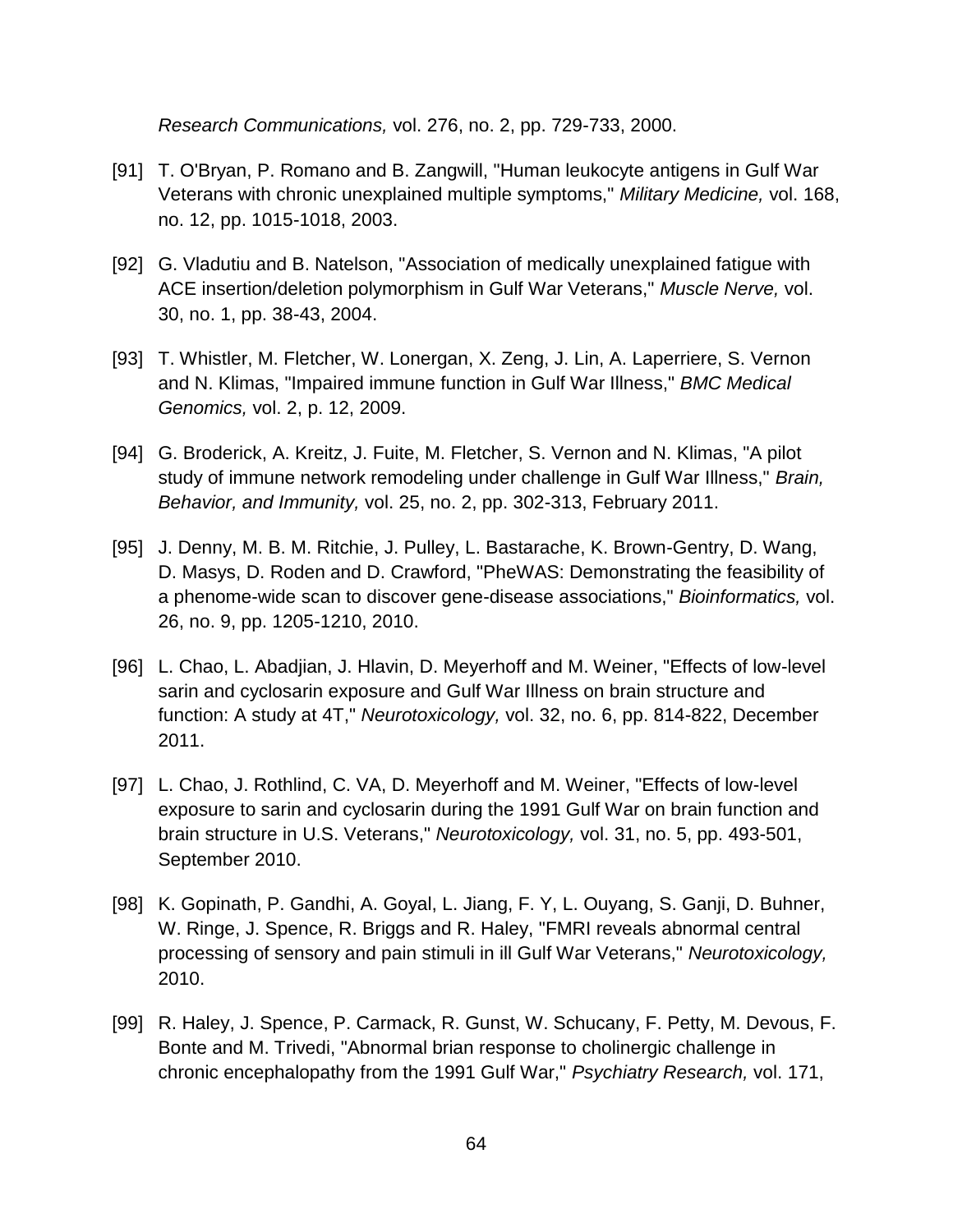*Research Communications,* vol. 276, no. 2, pp. 729-733, 2000.

- [91] T. O'Bryan, P. Romano and B. Zangwill, "Human leukocyte antigens in Gulf War Veterans with chronic unexplained multiple symptoms," *Military Medicine,* vol. 168, no. 12, pp. 1015-1018, 2003.
- [92] G. Vladutiu and B. Natelson, "Association of medically unexplained fatigue with ACE insertion/deletion polymorphism in Gulf War Veterans," *Muscle Nerve,* vol. 30, no. 1, pp. 38-43, 2004.
- [93] T. Whistler, M. Fletcher, W. Lonergan, X. Zeng, J. Lin, A. Laperriere, S. Vernon and N. Klimas, "Impaired immune function in Gulf War Illness," *BMC Medical Genomics,* vol. 2, p. 12, 2009.
- [94] G. Broderick, A. Kreitz, J. Fuite, M. Fletcher, S. Vernon and N. Klimas, "A pilot study of immune network remodeling under challenge in Gulf War Illness," *Brain, Behavior, and Immunity,* vol. 25, no. 2, pp. 302-313, February 2011.
- [95] J. Denny, M. B. M. Ritchie, J. Pulley, L. Bastarache, K. Brown-Gentry, D. Wang, D. Masys, D. Roden and D. Crawford, "PheWAS: Demonstrating the feasibility of a phenome-wide scan to discover gene-disease associations," *Bioinformatics,* vol. 26, no. 9, pp. 1205-1210, 2010.
- [96] L. Chao, L. Abadjian, J. Hlavin, D. Meyerhoff and M. Weiner, "Effects of low-level sarin and cyclosarin exposure and Gulf War Illness on brain structure and function: A study at 4T," *Neurotoxicology,* vol. 32, no. 6, pp. 814-822, December 2011.
- [97] L. Chao, J. Rothlind, C. VA, D. Meyerhoff and M. Weiner, "Effects of low-level exposure to sarin and cyclosarin during the 1991 Gulf War on brain function and brain structure in U.S. Veterans," *Neurotoxicology,* vol. 31, no. 5, pp. 493-501, September 2010.
- [98] K. Gopinath, P. Gandhi, A. Goyal, L. Jiang, F. Y, L. Ouyang, S. Ganji, D. Buhner, W. Ringe, J. Spence, R. Briggs and R. Haley, "FMRI reveals abnormal central processing of sensory and pain stimuli in ill Gulf War Veterans," *Neurotoxicology,*  2010.
- [99] R. Haley, J. Spence, P. Carmack, R. Gunst, W. Schucany, F. Petty, M. Devous, F. Bonte and M. Trivedi, "Abnormal brian response to cholinergic challenge in chronic encephalopathy from the 1991 Gulf War," *Psychiatry Research,* vol. 171,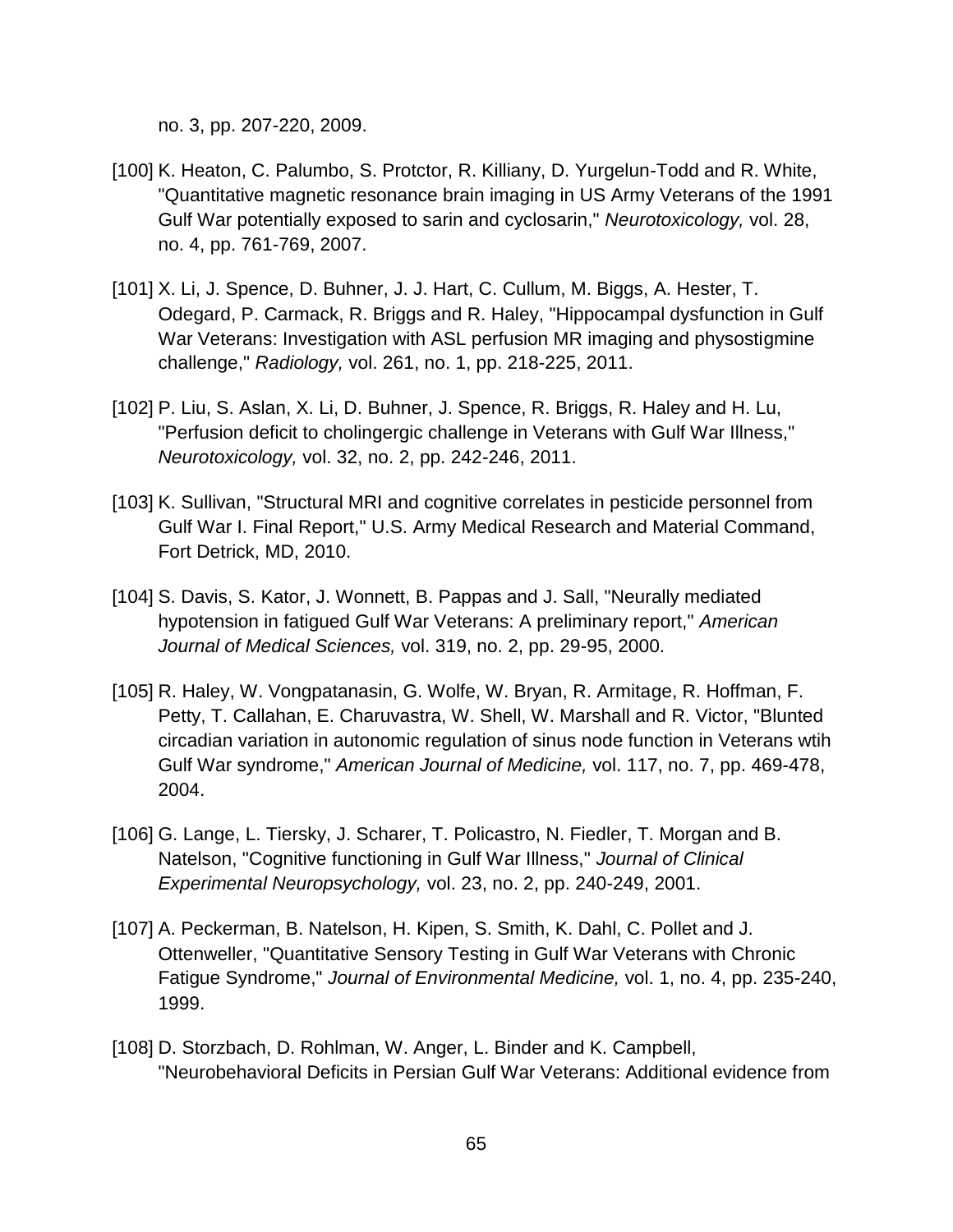no. 3, pp. 207-220, 2009.

- [100] K. Heaton, C. Palumbo, S. Protctor, R. Killiany, D. Yurgelun-Todd and R. White, "Quantitative magnetic resonance brain imaging in US Army Veterans of the 1991 Gulf War potentially exposed to sarin and cyclosarin," *Neurotoxicology,* vol. 28, no. 4, pp. 761-769, 2007.
- [101] X. Li, J. Spence, D. Buhner, J. J. Hart, C. Cullum, M. Biggs, A. Hester, T. Odegard, P. Carmack, R. Briggs and R. Haley, "Hippocampal dysfunction in Gulf War Veterans: Investigation with ASL perfusion MR imaging and physostigmine challenge," *Radiology,* vol. 261, no. 1, pp. 218-225, 2011.
- [102] P. Liu, S. Aslan, X. Li, D. Buhner, J. Spence, R. Briggs, R. Haley and H. Lu, "Perfusion deficit to cholingergic challenge in Veterans with Gulf War Illness," *Neurotoxicology,* vol. 32, no. 2, pp. 242-246, 2011.
- [103] K. Sullivan, "Structural MRI and cognitive correlates in pesticide personnel from Gulf War I. Final Report," U.S. Army Medical Research and Material Command, Fort Detrick, MD, 2010.
- [104] S. Davis, S. Kator, J. Wonnett, B. Pappas and J. Sall, "Neurally mediated hypotension in fatigued Gulf War Veterans: A preliminary report," *American Journal of Medical Sciences,* vol. 319, no. 2, pp. 29-95, 2000.
- [105] R. Haley, W. Vongpatanasin, G. Wolfe, W. Bryan, R. Armitage, R. Hoffman, F. Petty, T. Callahan, E. Charuvastra, W. Shell, W. Marshall and R. Victor, "Blunted circadian variation in autonomic regulation of sinus node function in Veterans wtih Gulf War syndrome," *American Journal of Medicine,* vol. 117, no. 7, pp. 469-478, 2004.
- [106] G. Lange, L. Tiersky, J. Scharer, T. Policastro, N. Fiedler, T. Morgan and B. Natelson, "Cognitive functioning in Gulf War Illness," *Journal of Clinical Experimental Neuropsychology,* vol. 23, no. 2, pp. 240-249, 2001.
- [107] A. Peckerman, B. Natelson, H. Kipen, S. Smith, K. Dahl, C. Pollet and J. Ottenweller, "Quantitative Sensory Testing in Gulf War Veterans with Chronic Fatigue Syndrome," *Journal of Environmental Medicine,* vol. 1, no. 4, pp. 235-240, 1999.
- [108] D. Storzbach, D. Rohlman, W. Anger, L. Binder and K. Campbell, "Neurobehavioral Deficits in Persian Gulf War Veterans: Additional evidence from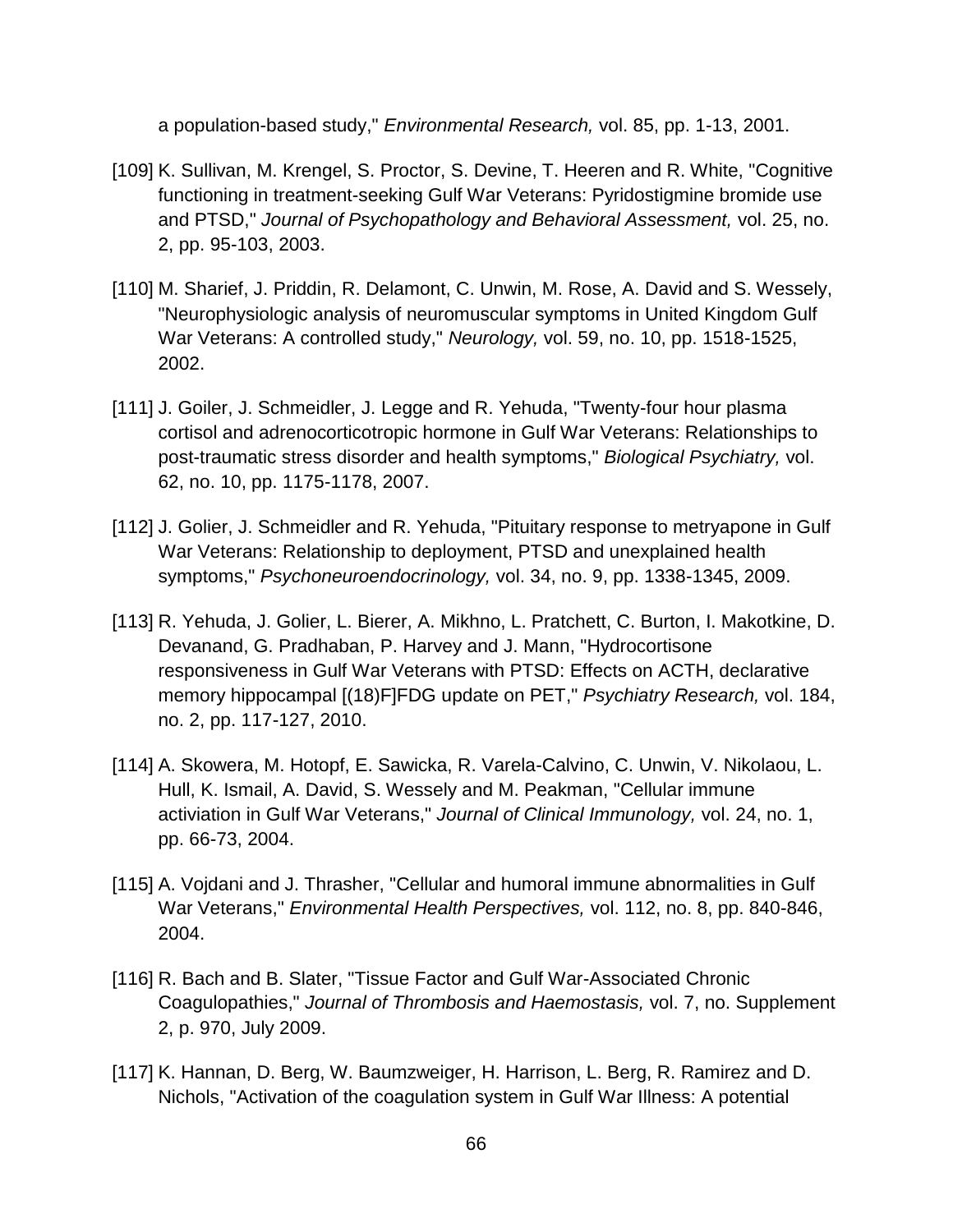a population-based study," *Environmental Research,* vol. 85, pp. 1-13, 2001.

- [109] K. Sullivan, M. Krengel, S. Proctor, S. Devine, T. Heeren and R. White, "Cognitive functioning in treatment-seeking Gulf War Veterans: Pyridostigmine bromide use and PTSD," *Journal of Psychopathology and Behavioral Assessment,* vol. 25, no. 2, pp. 95-103, 2003.
- [110] M. Sharief, J. Priddin, R. Delamont, C. Unwin, M. Rose, A. David and S. Wessely, "Neurophysiologic analysis of neuromuscular symptoms in United Kingdom Gulf War Veterans: A controlled study," *Neurology,* vol. 59, no. 10, pp. 1518-1525, 2002.
- [111] J. Goiler, J. Schmeidler, J. Legge and R. Yehuda, "Twenty-four hour plasma cortisol and adrenocorticotropic hormone in Gulf War Veterans: Relationships to post-traumatic stress disorder and health symptoms," *Biological Psychiatry,* vol. 62, no. 10, pp. 1175-1178, 2007.
- [112] J. Golier, J. Schmeidler and R. Yehuda, "Pituitary response to metryapone in Gulf War Veterans: Relationship to deployment, PTSD and unexplained health symptoms," *Psychoneuroendocrinology,* vol. 34, no. 9, pp. 1338-1345, 2009.
- [113] R. Yehuda, J. Golier, L. Bierer, A. Mikhno, L. Pratchett, C. Burton, I. Makotkine, D. Devanand, G. Pradhaban, P. Harvey and J. Mann, "Hydrocortisone responsiveness in Gulf War Veterans with PTSD: Effects on ACTH, declarative memory hippocampal [(18)F]FDG update on PET," *Psychiatry Research,* vol. 184, no. 2, pp. 117-127, 2010.
- [114] A. Skowera, M. Hotopf, E. Sawicka, R. Varela-Calvino, C. Unwin, V. Nikolaou, L. Hull, K. Ismail, A. David, S. Wessely and M. Peakman, "Cellular immune activiation in Gulf War Veterans," *Journal of Clinical Immunology,* vol. 24, no. 1, pp. 66-73, 2004.
- [115] A. Vojdani and J. Thrasher, "Cellular and humoral immune abnormalities in Gulf War Veterans," *Environmental Health Perspectives,* vol. 112, no. 8, pp. 840-846, 2004.
- [116] R. Bach and B. Slater, "Tissue Factor and Gulf War-Associated Chronic Coagulopathies," *Journal of Thrombosis and Haemostasis,* vol. 7, no. Supplement 2, p. 970, July 2009.
- [117] K. Hannan, D. Berg, W. Baumzweiger, H. Harrison, L. Berg, R. Ramirez and D. Nichols, "Activation of the coagulation system in Gulf War Illness: A potential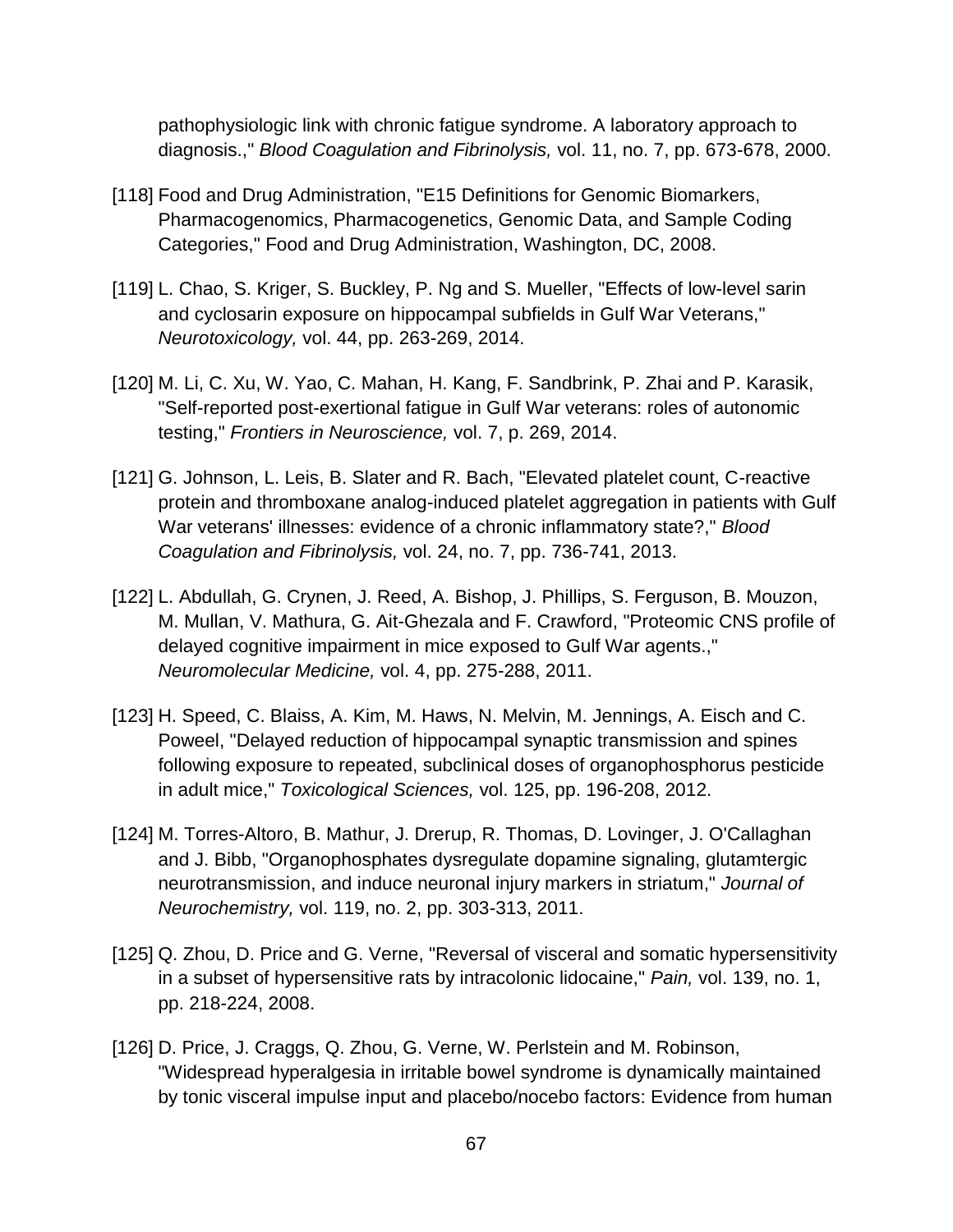pathophysiologic link with chronic fatigue syndrome. A laboratory approach to diagnosis.," *Blood Coagulation and Fibrinolysis,* vol. 11, no. 7, pp. 673-678, 2000.

- [118] Food and Drug Administration, "E15 Definitions for Genomic Biomarkers, Pharmacogenomics, Pharmacogenetics, Genomic Data, and Sample Coding Categories," Food and Drug Administration, Washington, DC, 2008.
- [119] L. Chao, S. Kriger, S. Buckley, P. Ng and S. Mueller, "Effects of low-level sarin and cyclosarin exposure on hippocampal subfields in Gulf War Veterans," *Neurotoxicology,* vol. 44, pp. 263-269, 2014.
- [120] M. Li, C. Xu, W. Yao, C. Mahan, H. Kang, F. Sandbrink, P. Zhai and P. Karasik, "Self-reported post-exertional fatigue in Gulf War veterans: roles of autonomic testing," *Frontiers in Neuroscience,* vol. 7, p. 269, 2014.
- [121] G. Johnson, L. Leis, B. Slater and R. Bach, "Elevated platelet count, C-reactive protein and thromboxane analog-induced platelet aggregation in patients with Gulf War veterans' illnesses: evidence of a chronic inflammatory state?," *Blood Coagulation and Fibrinolysis,* vol. 24, no. 7, pp. 736-741, 2013.
- [122] L. Abdullah, G. Crynen, J. Reed, A. Bishop, J. Phillips, S. Ferguson, B. Mouzon, M. Mullan, V. Mathura, G. Ait-Ghezala and F. Crawford, "Proteomic CNS profile of delayed cognitive impairment in mice exposed to Gulf War agents.," *Neuromolecular Medicine,* vol. 4, pp. 275-288, 2011.
- [123] H. Speed, C. Blaiss, A. Kim, M. Haws, N. Melvin, M. Jennings, A. Eisch and C. Poweel, "Delayed reduction of hippocampal synaptic transmission and spines following exposure to repeated, subclinical doses of organophosphorus pesticide in adult mice," *Toxicological Sciences,* vol. 125, pp. 196-208, 2012.
- [124] M. Torres-Altoro, B. Mathur, J. Drerup, R. Thomas, D. Lovinger, J. O'Callaghan and J. Bibb, "Organophosphates dysregulate dopamine signaling, glutamtergic neurotransmission, and induce neuronal injury markers in striatum," *Journal of Neurochemistry,* vol. 119, no. 2, pp. 303-313, 2011.
- [125] Q. Zhou, D. Price and G. Verne, "Reversal of visceral and somatic hypersensitivity in a subset of hypersensitive rats by intracolonic lidocaine," *Pain,* vol. 139, no. 1, pp. 218-224, 2008.
- [126] D. Price, J. Craggs, Q. Zhou, G. Verne, W. Perlstein and M. Robinson, "Widespread hyperalgesia in irritable bowel syndrome is dynamically maintained by tonic visceral impulse input and placebo/nocebo factors: Evidence from human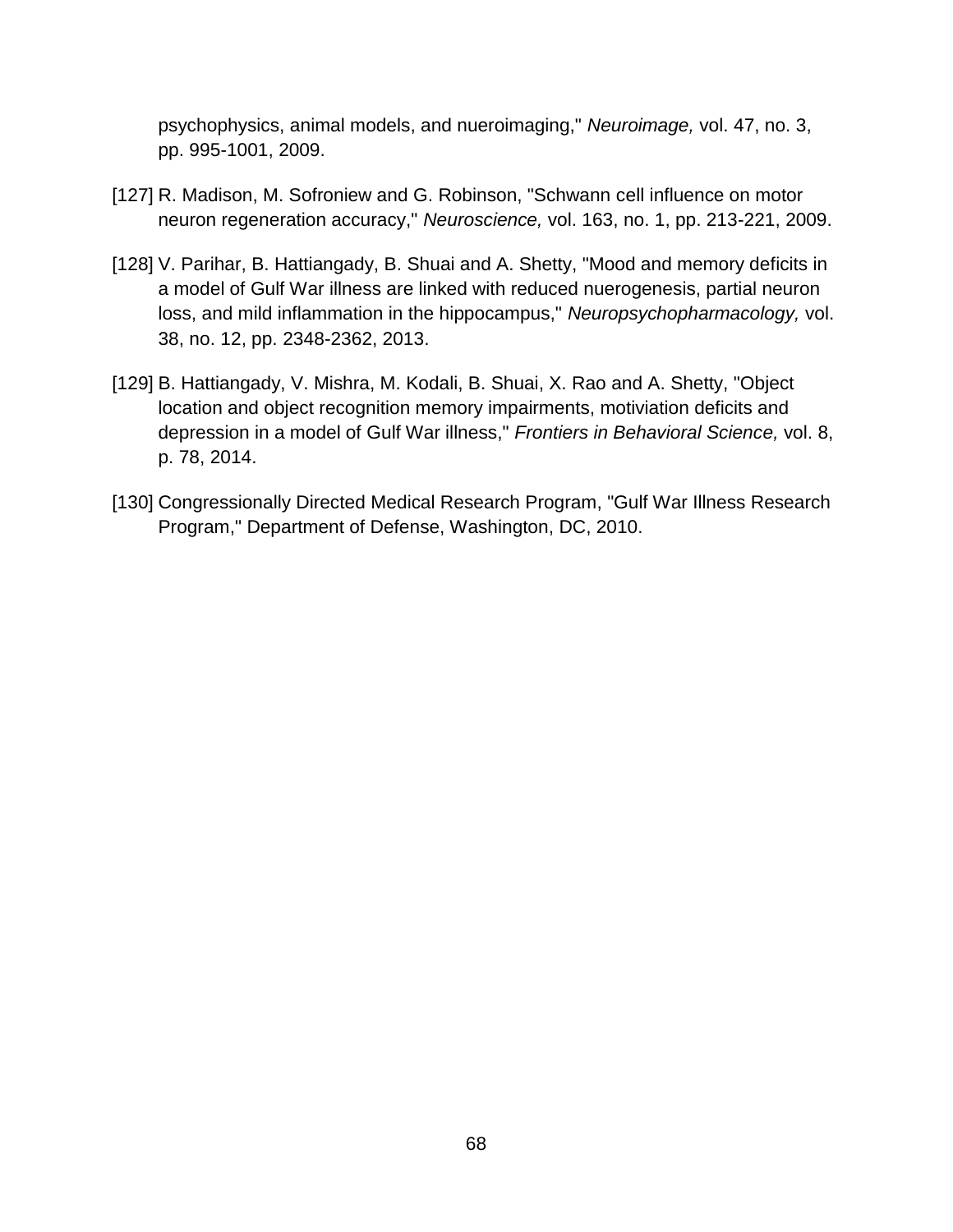psychophysics, animal models, and nueroimaging," *Neuroimage,* vol. 47, no. 3, pp. 995-1001, 2009.

- [127] R. Madison, M. Sofroniew and G. Robinson, "Schwann cell influence on motor neuron regeneration accuracy," *Neuroscience,* vol. 163, no. 1, pp. 213-221, 2009.
- [128] V. Parihar, B. Hattiangady, B. Shuai and A. Shetty, "Mood and memory deficits in a model of Gulf War illness are linked with reduced nuerogenesis, partial neuron loss, and mild inflammation in the hippocampus," *Neuropsychopharmacology,* vol. 38, no. 12, pp. 2348-2362, 2013.
- [129] B. Hattiangady, V. Mishra, M. Kodali, B. Shuai, X. Rao and A. Shetty, "Object location and object recognition memory impairments, motiviation deficits and depression in a model of Gulf War illness," *Frontiers in Behavioral Science,* vol. 8, p. 78, 2014.
- [130] Congressionally Directed Medical Research Program, "Gulf War Illness Research Program," Department of Defense, Washington, DC, 2010.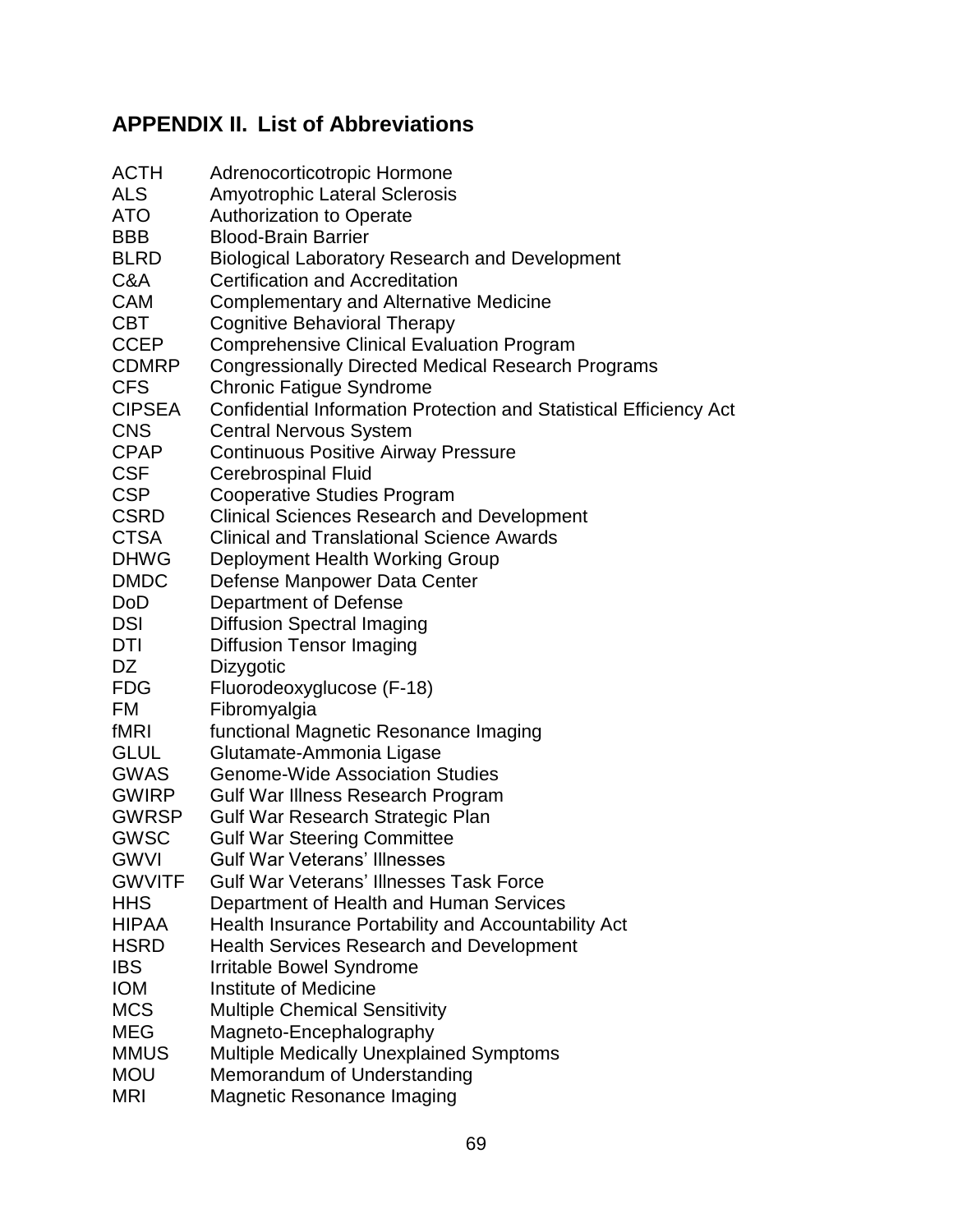### <span id="page-68-0"></span>**APPENDIX II. List of Abbreviations**

| <b>ACTH</b>   | Adrenocorticotropic Hormone                                        |
|---------------|--------------------------------------------------------------------|
| <b>ALS</b>    | <b>Amyotrophic Lateral Sclerosis</b>                               |
| <b>ATO</b>    | <b>Authorization to Operate</b>                                    |
| <b>BBB</b>    | <b>Blood-Brain Barrier</b>                                         |
| <b>BLRD</b>   | <b>Biological Laboratory Research and Development</b>              |
| C&A           | <b>Certification and Accreditation</b>                             |
| <b>CAM</b>    | <b>Complementary and Alternative Medicine</b>                      |
| <b>CBT</b>    | <b>Cognitive Behavioral Therapy</b>                                |
| <b>CCEP</b>   | <b>Comprehensive Clinical Evaluation Program</b>                   |
| <b>CDMRP</b>  | <b>Congressionally Directed Medical Research Programs</b>          |
| <b>CFS</b>    | <b>Chronic Fatigue Syndrome</b>                                    |
| <b>CIPSEA</b> | Confidential Information Protection and Statistical Efficiency Act |
| <b>CNS</b>    | <b>Central Nervous System</b>                                      |
| <b>CPAP</b>   | <b>Continuous Positive Airway Pressure</b>                         |
| <b>CSF</b>    | <b>Cerebrospinal Fluid</b>                                         |
| <b>CSP</b>    | <b>Cooperative Studies Program</b>                                 |
| <b>CSRD</b>   | <b>Clinical Sciences Research and Development</b>                  |
| <b>CTSA</b>   | <b>Clinical and Translational Science Awards</b>                   |
| <b>DHWG</b>   | Deployment Health Working Group                                    |
| <b>DMDC</b>   | Defense Manpower Data Center                                       |
| <b>DoD</b>    | Department of Defense                                              |
| <b>DSI</b>    | <b>Diffusion Spectral Imaging</b>                                  |
| DTI           | <b>Diffusion Tensor Imaging</b>                                    |
| DZ            | Dizygotic                                                          |
| <b>FDG</b>    | Fluorodeoxyglucose (F-18)                                          |
| <b>FM</b>     | Fibromyalgia                                                       |
| fMRI          | functional Magnetic Resonance Imaging                              |
| <b>GLUL</b>   | Glutamate-Ammonia Ligase                                           |
| <b>GWAS</b>   | <b>Genome-Wide Association Studies</b>                             |
| <b>GWIRP</b>  | Gulf War Illness Research Program                                  |
| <b>GWRSP</b>  | Gulf War Research Strategic Plan                                   |
| <b>GWSC</b>   | <b>Gulf War Steering Committee</b>                                 |
| <b>GWVI</b>   | <b>Gulf War Veterans' Illnesses</b>                                |
| <b>GWVITF</b> | <b>Gulf War Veterans' Illnesses Task Force</b>                     |
| <b>HHS</b>    | Department of Health and Human Services                            |
| <b>HIPAA</b>  | Health Insurance Portability and Accountability Act                |
| <b>HSRD</b>   | <b>Health Services Research and Development</b>                    |
| <b>IBS</b>    | Irritable Bowel Syndrome                                           |
| <b>IOM</b>    | <b>Institute of Medicine</b>                                       |
| <b>MCS</b>    | <b>Multiple Chemical Sensitivity</b>                               |
| <b>MEG</b>    | Magneto-Encephalography                                            |
| <b>MMUS</b>   | <b>Multiple Medically Unexplained Symptoms</b>                     |
| <b>MOU</b>    | Memorandum of Understanding                                        |
| <b>MRI</b>    | <b>Magnetic Resonance Imaging</b>                                  |